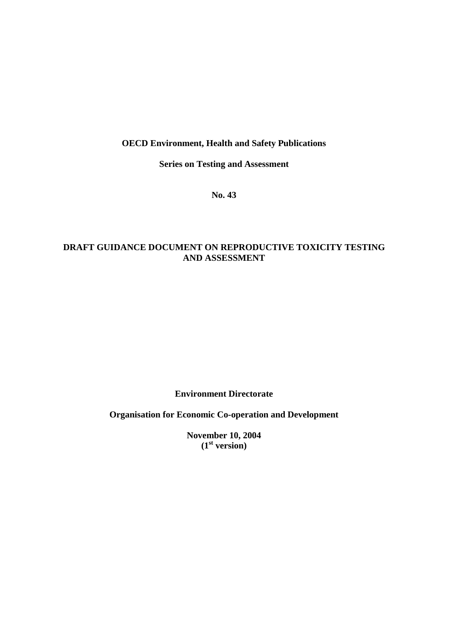# **OECD Environment, Health and Safety Publications**

**Series on Testing and Assessment** 

**No. 43** 

# **DRAFT GUIDANCE DOCUMENT ON REPRODUCTIVE TOXICITY TESTING AND ASSESSMENT**

**Environment Directorate** 

**Organisation for Economic Co-operation and Development** 

**November 10, 2004 (1st version)**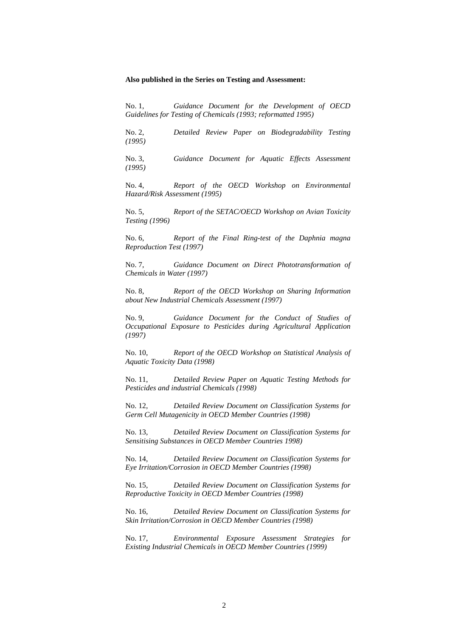#### **Also published in the Series on Testing and Assessment:**

No. 1, *Guidance Document for the Development of OECD Guidelines for Testing of Chemicals (1993; reformatted 1995)*

No. 2, *Detailed Review Paper on Biodegradability Testing (1995)*

No. 3, *Guidance Document for Aquatic Effects Assessment (1995)* 

No. 4, *Report of the OECD Workshop on Environmental Hazard/Risk Assessment (1995)*

No. 5, *Report of the SETAC/OECD Workshop on Avian Toxicity Testing (1996)*

No. 6, *Report of the Final Ring-test of the Daphnia magna Reproduction Test (1997)*

No. 7, *Guidance Document on Direct Phototransformation of Chemicals in Water (1997)* 

No. 8, *Report of the OECD Workshop on Sharing Information about New Industrial Chemicals Assessment (1997)*

No. 9, *Guidance Document for the Conduct of Studies of Occupational Exposure to Pesticides during Agricultural Application (1997)*

No. 10, *Report of the OECD Workshop on Statistical Analysis of Aquatic Toxicity Data (1998)*

No. 11, *Detailed Review Paper on Aquatic Testing Methods for Pesticides and industrial Chemicals (1998)*

No. 12, *Detailed Review Document on Classification Systems for Germ Cell Mutagenicity in OECD Member Countries (1998)*

No. 13, *Detailed Review Document on Classification Systems for Sensitising Substances in OECD Member Countries 1998)*

No. 14, *Detailed Review Document on Classification Systems for Eye Irritation/Corrosion in OECD Member Countries (1998)*

No. 15, *Detailed Review Document on Classification Systems for Reproductive Toxicity in OECD Member Countries (1998)*

No. 16, *Detailed Review Document on Classification Systems for Skin Irritation/Corrosion in OECD Member Countries (1998)*

No. 17, *Environmental Exposure Assessment Strategies for Existing Industrial Chemicals in OECD Member Countries (1999)*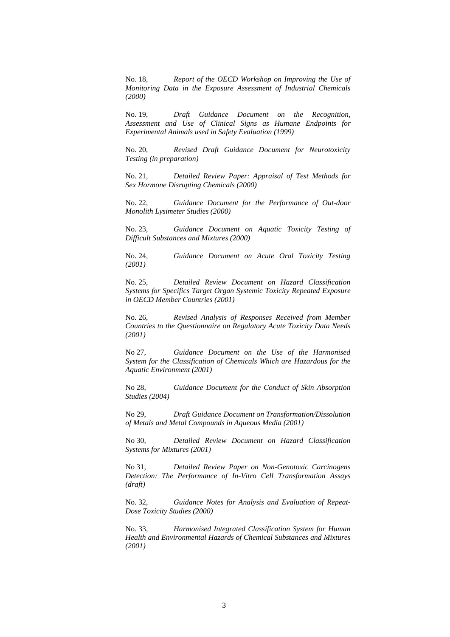No. 18, *Report of the OECD Workshop on Improving the Use of Monitoring Data in the Exposure Assessment of Industrial Chemicals (2000)*

No. 19, *Draft Guidance Document on the Recognition, Assessment and Use of Clinical Signs as Humane Endpoints for Experimental Animals used in Safety Evaluation (1999)*

No. 20, *Revised Draft Guidance Document for Neurotoxicity Testing (in preparation)*

No. 21, *Detailed Review Paper: Appraisal of Test Methods for Sex Hormone Disrupting Chemicals (2000)*

No. 22, *Guidance Document for the Performance of Out-door Monolith Lysimeter Studies (2000)*

No. 23, *Guidance Document on Aquatic Toxicity Testing of Difficult Substances and Mixtures (2000)*

No. 24, *Guidance Document on Acute Oral Toxicity Testing (2001)*

No. 25, *Detailed Review Document on Hazard Classification Systems for Specifics Target Organ Systemic Toxicity Repeated Exposure in OECD Member Countries (2001)*

No. 26, *Revised Analysis of Responses Received from Member Countries to the Questionnaire on Regulatory Acute Toxicity Data Needs (2001)*

No 27, *Guidance Document on the Use of the Harmonised System for the Classification of Chemicals Which are Hazardous for the Aquatic Environment (2001)*

No 28, *Guidance Document for the Conduct of Skin Absorption Studies (2004)*

No 29, *Draft Guidance Document on Transformation/Dissolution of Metals and Metal Compounds in Aqueous Media (2001)*

No 30, *Detailed Review Document on Hazard Classification Systems for Mixtures (2001)*

No 31, *Detailed Review Paper on Non-Genotoxic Carcinogens Detection: The Performance of In-Vitro Cell Transformation Assays (draft)*

No. 32, *Guidance Notes for Analysis and Evaluation of Repeat-Dose Toxicity Studies (2000)*

No. 33, *Harmonised Integrated Classification System for Human Health and Environmental Hazards of Chemical Substances and Mixtures (2001)*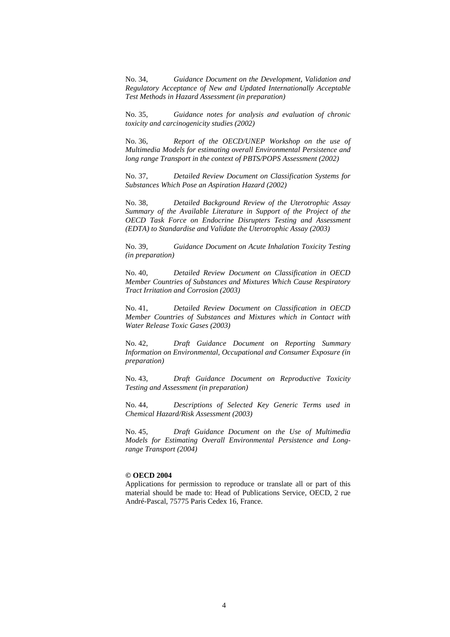No. 34, *Guidance Document on the Development, Validation and Regulatory Acceptance of New and Updated Internationally Acceptable Test Methods in Hazard Assessment (in preparation)*

No. 35, *Guidance notes for analysis and evaluation of chronic toxicity and carcinogenicity studies (2002)*

No. 36, *Report of the OECD/UNEP Workshop on the use of Multimedia Models for estimating overall Environmental Persistence and long range Transport in the context of PBTS/POPS Assessment (2002)*

No. 37, *Detailed Review Document on Classification Systems for Substances Which Pose an Aspiration Hazard (2002)*

No. 38, *Detailed Background Review of the Uterotrophic Assay Summary of the Available Literature in Support of the Project of the OECD Task Force on Endocrine Disrupters Testing and Assessment (EDTA) to Standardise and Validate the Uterotrophic Assay (2003)*

No. 39, *Guidance Document on Acute Inhalation Toxicity Testing (in preparation)*

No. 40, *Detailed Review Document on Classification in OECD Member Countries of Substances and Mixtures Which Cause Respiratory Tract Irritation and Corrosion (2003)*

No. 41, *Detailed Review Document on Classification in OECD Member Countries of Substances and Mixtures which in Contact with Water Release Toxic Gases (2003)*

No. 42, *Draft Guidance Document on Reporting Summary Information on Environmental, Occupational and Consumer Exposure (in preparation)*

No. 43, *Draft Guidance Document on Reproductive Toxicity Testing and Assessment (in preparation)* 

No. 44, *Descriptions of Selected Key Generic Terms used in Chemical Hazard/Risk Assessment (2003)* 

No. 45, *Draft Guidance Document on the Use of Multimedia Models for Estimating Overall Environmental Persistence and Longrange Transport (2004)* 

#### **© OECD 2004**

Applications for permission to reproduce or translate all or part of this material should be made to: Head of Publications Service, OECD, 2 rue André-Pascal, 75775 Paris Cedex 16, France.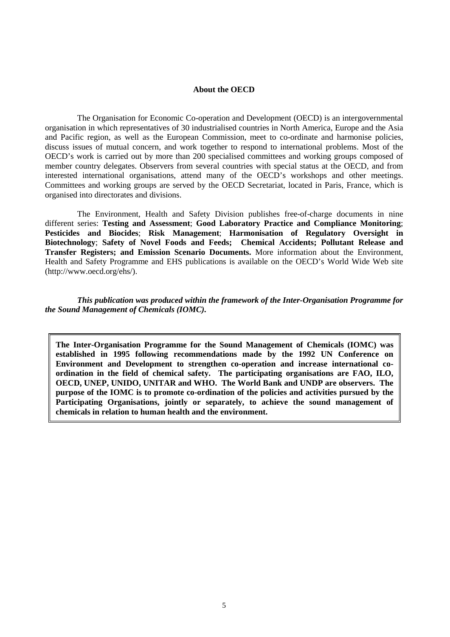#### **About the OECD**

The Organisation for Economic Co-operation and Development (OECD) is an intergovernmental organisation in which representatives of 30 industrialised countries in North America, Europe and the Asia and Pacific region, as well as the European Commission, meet to co-ordinate and harmonise policies, discuss issues of mutual concern, and work together to respond to international problems. Most of the OECD's work is carried out by more than 200 specialised committees and working groups composed of member country delegates. Observers from several countries with special status at the OECD, and from interested international organisations, attend many of the OECD's workshops and other meetings. Committees and working groups are served by the OECD Secretariat, located in Paris, France, which is organised into directorates and divisions.

 The Environment, Health and Safety Division publishes free-of-charge documents in nine different series: **Testing and Assessment**; **Good Laboratory Practice and Compliance Monitoring**; **Pesticides and Biocides**; **Risk Management**; **Harmonisation of Regulatory Oversight in Biotechnology**; **Safety of Novel Foods and Feeds; Chemical Accidents; Pollutant Release and Transfer Registers; and Emission Scenario Documents.** More information about the Environment, Health and Safety Programme and EHS publications is available on the OECD's World Wide Web site (http://www.oecd.org/ehs/).

 *This publication was produced within the framework of the Inter-Organisation Programme for the Sound Management of Chemicals (IOMC).* 

**The Inter-Organisation Programme for the Sound Management of Chemicals (IOMC) was established in 1995 following recommendations made by the 1992 UN Conference on Environment and Development to strengthen co-operation and increase international coordination in the field of chemical safety. The participating organisations are FAO, ILO, OECD, UNEP, UNIDO, UNITAR and WHO. The World Bank and UNDP are observers. The purpose of the IOMC is to promote co-ordination of the policies and activities pursued by the Participating Organisations, jointly or separately, to achieve the sound management of chemicals in relation to human health and the environment.**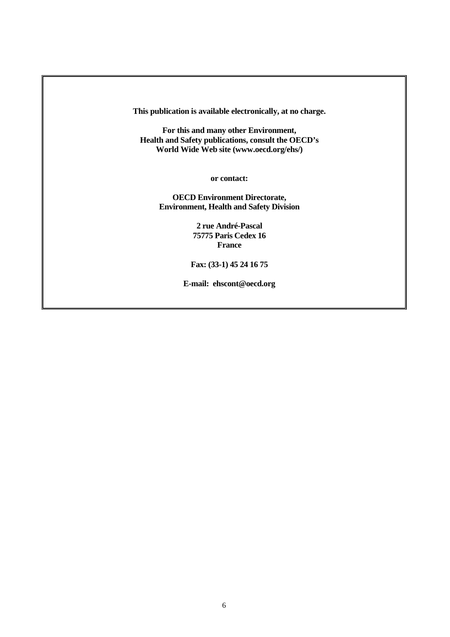**This publication is available electronically, at no charge.** 

**For this and many other Environment, Health and Safety publications, consult the OECD's World Wide Web site (www.oecd.org/ehs/)** 

**or contact:** 

**OECD Environment Directorate, Environment, Health and Safety Division**

> **2 rue André-Pascal 75775 Paris Cedex 16 France**

**Fax: (33-1) 45 24 16 75** 

**E-mail: ehscont@oecd.org**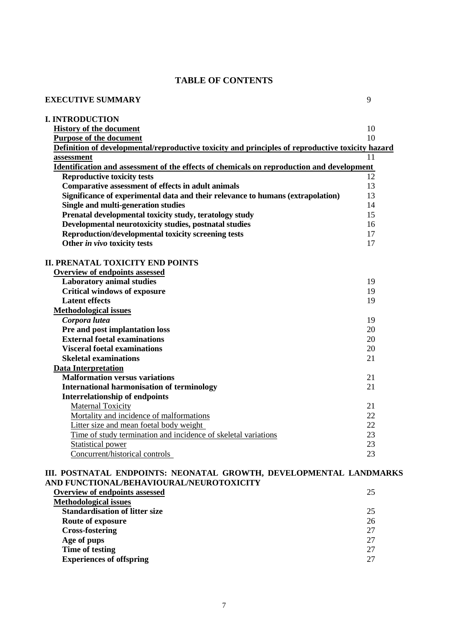# **TABLE OF CONTENTS**

| <b>EXECUTIVE SUMMARY</b>                                                                         | 9  |
|--------------------------------------------------------------------------------------------------|----|
| <b>I. INTRODUCTION</b>                                                                           |    |
| <b>History of the document</b>                                                                   | 10 |
| <b>Purpose of the document</b>                                                                   | 10 |
| Definition of developmental/reproductive toxicity and principles of reproductive toxicity hazard |    |
| assessment                                                                                       |    |
| <b>Identification and assessment of the effects of chemicals on reproduction and development</b> |    |
| <b>Reproductive toxicity tests</b>                                                               | 12 |
| Comparative assessment of effects in adult animals                                               | 13 |
| Significance of experimental data and their relevance to humans (extrapolation)                  | 13 |
| Single and multi-generation studies                                                              | 14 |
| Prenatal developmental toxicity study, teratology study                                          | 15 |
| Developmental neurotoxicity studies, postnatal studies                                           | 16 |
| <b>Reproduction/developmental toxicity screening tests</b>                                       | 17 |
| Other in vivo toxicity tests                                                                     | 17 |
|                                                                                                  |    |
| <b>II. PRENATAL TOXICITY END POINTS</b>                                                          |    |
| <b>Overview of endpoints assessed</b>                                                            |    |
| <b>Laboratory animal studies</b>                                                                 | 19 |
| <b>Critical windows of exposure</b>                                                              | 19 |
| <b>Latent effects</b>                                                                            | 19 |
| <b>Methodological issues</b>                                                                     |    |
| Corpora lutea                                                                                    | 19 |
| Pre and post implantation loss                                                                   | 20 |
| <b>External foetal examinations</b>                                                              | 20 |
| <b>Visceral foetal examinations</b>                                                              | 20 |
| <b>Skeletal examinations</b>                                                                     | 21 |
| <b>Data Interpretation</b>                                                                       |    |
| <b>Malformation versus variations</b>                                                            | 21 |
| <b>International harmonisation of terminology</b>                                                | 21 |
| <b>Interrelationship of endpoints</b>                                                            |    |
| <b>Maternal Toxicity</b>                                                                         | 21 |
| Mortality and incidence of malformations                                                         | 22 |
| Litter size and mean foetal body weight                                                          | 22 |
| Time of study termination and incidence of skeletal variations                                   | 23 |
| <b>Statistical power</b>                                                                         | 23 |
| Concurrent/historical controls                                                                   | 23 |
| III. POSTNATAL ENDPOINTS: NEONATAL GROWTH, DEVELOPMENTAL LANDMARKS                               |    |
| AND FUNCTIONAL/BEHAVIOURAL/NEUROTOXICITY                                                         |    |
| <b>Overview of endpoints assessed</b><br>$M_1$ and $A_2$ and $A_3$ and $A_4$                     | 25 |

| Methodological issues                 |    |
|---------------------------------------|----|
| <b>Standardisation of litter size</b> | 25 |
| Route of exposure                     | 26 |
| <b>Cross-fostering</b>                | 27 |
| Age of pups                           | 27 |
| Time of testing                       |    |
| <b>Experiences of offspring</b>       | 27 |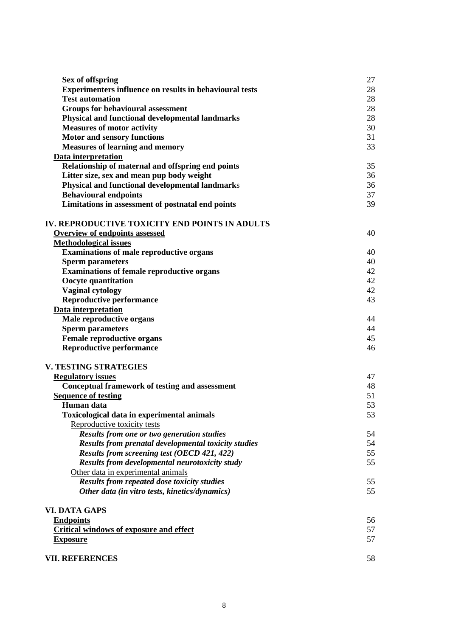| Sex of offspring                                               | 27 |
|----------------------------------------------------------------|----|
| <b>Experimenters influence on results in behavioural tests</b> | 28 |
| <b>Test automation</b>                                         | 28 |
| <b>Groups for behavioural assessment</b>                       | 28 |
| Physical and functional developmental landmarks                | 28 |
| <b>Measures of motor activity</b>                              | 30 |
| <b>Motor and sensory functions</b>                             | 31 |
| <b>Measures of learning and memory</b>                         | 33 |
| Data interpretation                                            |    |
| Relationship of maternal and offspring end points              | 35 |
| Litter size, sex and mean pup body weight                      | 36 |
| Physical and functional developmental landmarks                | 36 |
| <b>Behavioural endpoints</b>                                   | 37 |
| Limitations in assessment of postnatal end points              | 39 |
| IV. REPRODUCTIVE TOXICITY END POINTS IN ADULTS                 |    |
| <b>Overview of endpoints assessed</b>                          | 40 |
| <b>Methodological issues</b>                                   |    |
| <b>Examinations of male reproductive organs</b>                | 40 |
| <b>Sperm parameters</b>                                        | 40 |
| <b>Examinations of female reproductive organs</b>              | 42 |
| Oocyte quantitation                                            | 42 |
| <b>Vaginal cytology</b>                                        | 42 |
| <b>Reproductive performance</b>                                | 43 |
| Data interpretation                                            |    |
| Male reproductive organs                                       | 44 |
| <b>Sperm parameters</b>                                        | 44 |
| Female reproductive organs                                     | 45 |
| <b>Reproductive performance</b>                                | 46 |
| <b>V. TESTING STRATEGIES</b>                                   |    |
| <b>Regulatory issues</b>                                       | 47 |
| <b>Conceptual framework of testing and assessment</b>          | 48 |
| <b>Sequence of testing</b>                                     | 51 |
| Human data                                                     | 53 |
| <b>Toxicological data in experimental animals</b>              | 53 |
| Reproductive toxicity tests                                    |    |
| Results from one or two generation studies                     | 54 |
| <b>Results from prenatal developmental toxicity studies</b>    | 54 |
| <b>Results from screening test (OECD 421, 422)</b>             | 55 |
| <b>Results from developmental neurotoxicity study</b>          | 55 |
| Other data in experimental animals                             |    |
| <b>Results from repeated dose toxicity studies</b>             | 55 |
| Other data (in vitro tests, kinetics/dynamics)                 | 55 |
| <b>VI. DATA GAPS</b>                                           |    |
| <b>Endpoints</b>                                               | 56 |
| <b>Critical windows of exposure and effect</b>                 | 57 |
| <b>Exposure</b>                                                | 57 |
| <b>VII. REFERENCES</b>                                         | 58 |
|                                                                |    |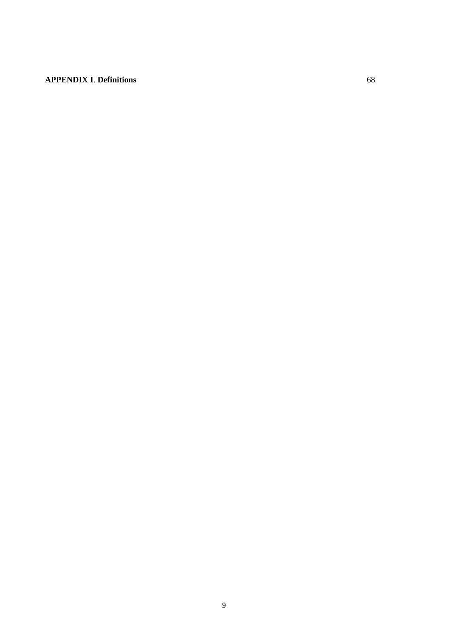# **APPENDIX I**. **Definitions** 68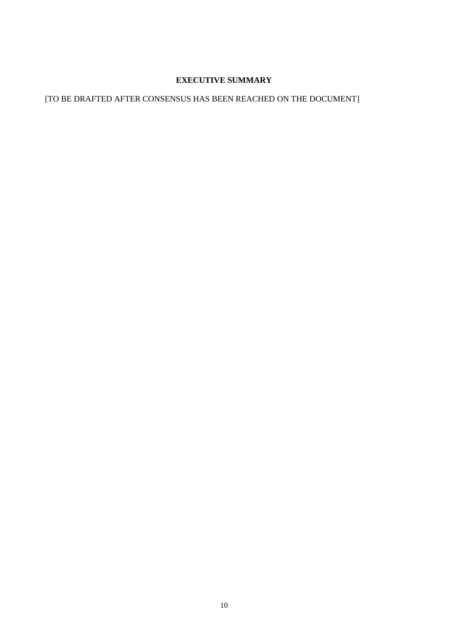# **EXECUTIVE SUMMARY**

# [TO BE DRAFTED AFTER CONSENSUS HAS BEEN REACHED ON THE DOCUMENT]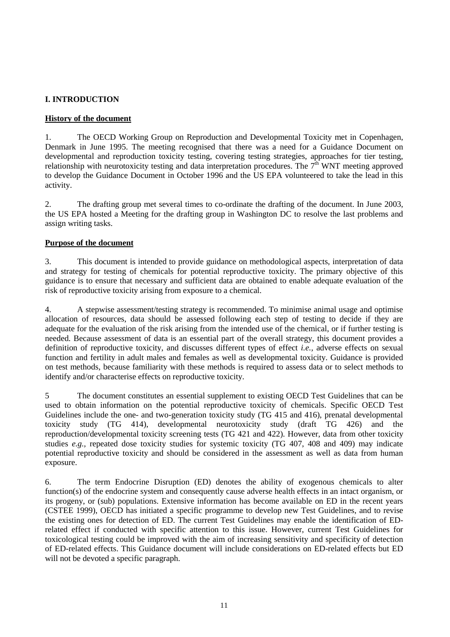## **I. INTRODUCTION**

## **History of the document**

1. The OECD Working Group on Reproduction and Developmental Toxicity met in Copenhagen, Denmark in June 1995. The meeting recognised that there was a need for a Guidance Document on developmental and reproduction toxicity testing, covering testing strategies, approaches for tier testing, relationship with neurotoxicity testing and data interpretation procedures. The  $7<sup>th</sup>$  WNT meeting approved to develop the Guidance Document in October 1996 and the US EPA volunteered to take the lead in this activity.

2. The drafting group met several times to co-ordinate the drafting of the document. In June 2003, the US EPA hosted a Meeting for the drafting group in Washington DC to resolve the last problems and assign writing tasks.

## **Purpose of the document**

3. This document is intended to provide guidance on methodological aspects, interpretation of data and strategy for testing of chemicals for potential reproductive toxicity. The primary objective of this guidance is to ensure that necessary and sufficient data are obtained to enable adequate evaluation of the risk of reproductive toxicity arising from exposure to a chemical.

4. A stepwise assessment/testing strategy is recommended. To minimise animal usage and optimise allocation of resources, data should be assessed following each step of testing to decide if they are adequate for the evaluation of the risk arising from the intended use of the chemical, or if further testing is needed. Because assessment of data is an essential part of the overall strategy, this document provides a definition of reproductive toxicity, and discusses different types of effect *i.e.,* adverse effects on sexual function and fertility in adult males and females as well as developmental toxicity. Guidance is provided on test methods, because familiarity with these methods is required to assess data or to select methods to identify and/or characterise effects on reproductive toxicity.

5 The document constitutes an essential supplement to existing OECD Test Guidelines that can be used to obtain information on the potential reproductive toxicity of chemicals. Specific OECD Test Guidelines include the one- and two-generation toxicity study (TG 415 and 416), prenatal developmental toxicity study (TG 414), developmental neurotoxicity study (draft TG 426) and the reproduction/developmental toxicity screening tests (TG 421 and 422). However, data from other toxicity studies *e.g.,* repeated dose toxicity studies for systemic toxicity (TG 407, 408 and 409) may indicate potential reproductive toxicity and should be considered in the assessment as well as data from human exposure.

6. The term Endocrine Disruption (ED) denotes the ability of exogenous chemicals to alter function(s) of the endocrine system and consequently cause adverse health effects in an intact organism, or its progeny, or (sub) populations. Extensive information has become available on ED in the recent years (CSTEE 1999), OECD has initiated a specific programme to develop new Test Guidelines, and to revise the existing ones for detection of ED. The current Test Guidelines may enable the identification of EDrelated effect if conducted with specific attention to this issue. However, current Test Guidelines for toxicological testing could be improved with the aim of increasing sensitivity and specificity of detection of ED-related effects. This Guidance document will include considerations on ED-related effects but ED will not be devoted a specific paragraph.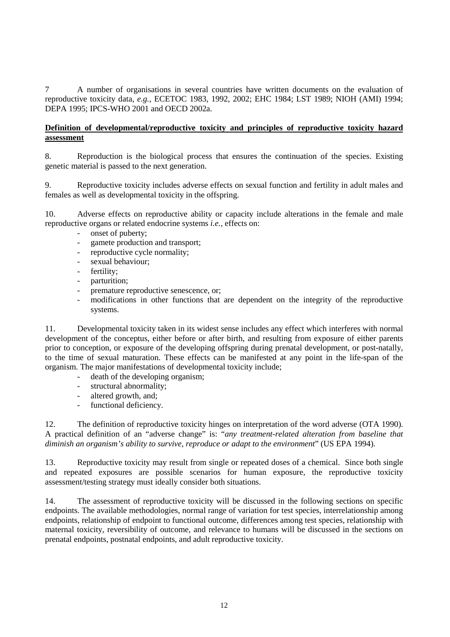7 A number of organisations in several countries have written documents on the evaluation of reproductive toxicity data, *e.g.,* ECETOC 1983, 1992, 2002; EHC 1984; LST 1989; NIOH (AMI) 1994; DEPA 1995; IPCS-WHO 2001 and OECD 2002a.

## **Definition of developmental/reproductive toxicity and principles of reproductive toxicity hazard assessment**

8. Reproduction is the biological process that ensures the continuation of the species. Existing genetic material is passed to the next generation.

9. Reproductive toxicity includes adverse effects on sexual function and fertility in adult males and females as well as developmental toxicity in the offspring.

10. Adverse effects on reproductive ability or capacity include alterations in the female and male reproductive organs or related endocrine systems *i.e.,* effects on:

- onset of puberty;
- gamete production and transport;
- reproductive cycle normality;
- sexual behaviour:
- fertility;
- parturition;
- premature reproductive senescence, or;
- modifications in other functions that are dependent on the integrity of the reproductive systems.

11. Developmental toxicity taken in its widest sense includes any effect which interferes with normal development of the conceptus, either before or after birth, and resulting from exposure of either parents prior to conception, or exposure of the developing offspring during prenatal development, or post-natally, to the time of sexual maturation. These effects can be manifested at any point in the life-span of the organism. The major manifestations of developmental toxicity include;

- death of the developing organism;
- structural abnormality:
- altered growth, and;
- functional deficiency.

12. The definition of reproductive toxicity hinges on interpretation of the word adverse (OTA 1990). A practical definition of an "adverse change" is: "*any treatment-related alteration from baseline that diminish an organism's ability to survive, reproduce or adapt to the environment*" (US EPA 1994).

13. Reproductive toxicity may result from single or repeated doses of a chemical. Since both single and repeated exposures are possible scenarios for human exposure, the reproductive toxicity assessment/testing strategy must ideally consider both situations.

14. The assessment of reproductive toxicity will be discussed in the following sections on specific endpoints. The available methodologies, normal range of variation for test species, interrelationship among endpoints, relationship of endpoint to functional outcome, differences among test species, relationship with maternal toxicity, reversibility of outcome, and relevance to humans will be discussed in the sections on prenatal endpoints, postnatal endpoints, and adult reproductive toxicity.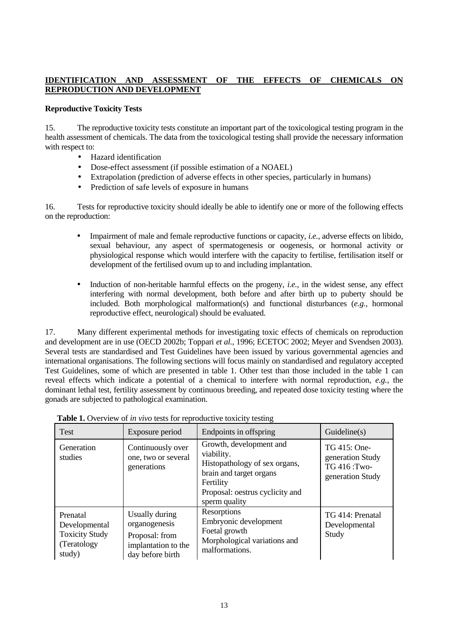## **IDENTIFICATION AND ASSESSMENT OF THE EFFECTS OF CHEMICALS ON REPRODUCTION AND DEVELOPMENT**

## **Reproductive Toxicity Tests**

15. The reproductive toxicity tests constitute an important part of the toxicological testing program in the health assessment of chemicals. The data from the toxicological testing shall provide the necessary information with respect to:

- Hazard identification
- Dose-effect assessment (if possible estimation of a NOAEL)
- Extrapolation (prediction of adverse effects in other species, particularly in humans)
- Prediction of safe levels of exposure in humans

16. Tests for reproductive toxicity should ideally be able to identify one or more of the following effects on the reproduction:

- Impairment of male and female reproductive functions or capacity, *i.e.,* adverse effects on libido, sexual behaviour, any aspect of spermatogenesis or oogenesis, or hormonal activity or physiological response which would interfere with the capacity to fertilise, fertilisation itself or development of the fertilised ovum up to and including implantation.
- Induction of non-heritable harmful effects on the progeny, *i.e.*, in the widest sense, any effect interfering with normal development, both before and after birth up to puberty should be included. Both morphological malformation(s) and functional disturbances (*e.g.,* hormonal reproductive effect, neurological) should be evaluated.

17. Many different experimental methods for investigating toxic effects of chemicals on reproduction and development are in use (OECD 2002b; Toppari *et al.,* 1996; ECETOC 2002; Meyer and Svendsen 2003). Several tests are standardised and Test Guidelines have been issued by various governmental agencies and international organisations. The following sections will focus mainly on standardised and regulatory accepted Test Guidelines, some of which are presented in table 1. Other test than those included in the table 1 can reveal effects which indicate a potential of a chemical to interfere with normal reproduction, *e.g.,* the dominant lethal test, fertility assessment by continuous breeding, and repeated dose toxicity testing where the gonads are subjected to pathological examination.

| <b>Test</b>                                                                  | Exposure period                                                                              | Endpoints in offspring                                                                                                                                             | Guideline(s)                                                         |
|------------------------------------------------------------------------------|----------------------------------------------------------------------------------------------|--------------------------------------------------------------------------------------------------------------------------------------------------------------------|----------------------------------------------------------------------|
| Generation<br>studies                                                        | Continuously over<br>one, two or several<br>generations                                      | Growth, development and<br>viability.<br>Histopathology of sex organs,<br>brain and target organs<br>Fertility<br>Proposal: oestrus cyclicity and<br>sperm quality | TG 415: One-<br>generation Study<br>TG 416: Two-<br>generation Study |
| Prenatal<br>Developmental<br><b>Toxicity Study</b><br>(Teratology)<br>study) | Usually during<br>organogenesis<br>Proposal: from<br>implantation to the<br>day before birth | Resorptions<br>Embryonic development<br>Foetal growth<br>Morphological variations and<br>malformations.                                                            | TG 414: Prenatal<br>Developmental<br>Study                           |

| Table 1. Overview of in vivo tests for reproductive toxicity testing |  |
|----------------------------------------------------------------------|--|
|----------------------------------------------------------------------|--|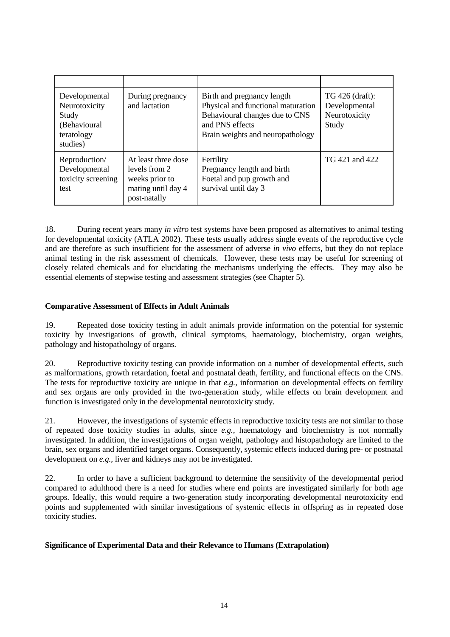| Developmental<br>Neurotoxicity<br>Study<br>(Behavioural<br>teratology<br>studies) | During pregnancy<br>and lactation                                                            | Birth and pregnancy length<br>Physical and functional maturation<br>Behavioural changes due to CNS<br>and PNS effects<br>Brain weights and neuropathology | TG 426 (draft):<br>Developmental<br>Neurotoxicity<br>Study |
|-----------------------------------------------------------------------------------|----------------------------------------------------------------------------------------------|-----------------------------------------------------------------------------------------------------------------------------------------------------------|------------------------------------------------------------|
| Reproduction/<br>Developmental<br>toxicity screening<br>test                      | At least three dose<br>levels from 2<br>weeks prior to<br>mating until day 4<br>post-natally | Fertility<br>Pregnancy length and birth<br>Foetal and pup growth and<br>survival until day 3                                                              | TG 421 and 422                                             |

18. During recent years many *in vitro* test systems have been proposed as alternatives to animal testing for developmental toxicity (ATLA 2002). These tests usually address single events of the reproductive cycle and are therefore as such insufficient for the assessment of adverse *in vivo* effects, but they do not replace animal testing in the risk assessment of chemicals. However, these tests may be useful for screening of closely related chemicals and for elucidating the mechanisms underlying the effects. They may also be essential elements of stepwise testing and assessment strategies (see Chapter 5).

## **Comparative Assessment of Effects in Adult Animals**

19. Repeated dose toxicity testing in adult animals provide information on the potential for systemic toxicity by investigations of growth, clinical symptoms, haematology, biochemistry, organ weights, pathology and histopathology of organs.

20. Reproductive toxicity testing can provide information on a number of developmental effects, such as malformations, growth retardation, foetal and postnatal death, fertility, and functional effects on the CNS. The tests for reproductive toxicity are unique in that *e.g.,* information on developmental effects on fertility and sex organs are only provided in the two-generation study, while effects on brain development and function is investigated only in the developmental neurotoxicity study.

21. However, the investigations of systemic effects in reproductive toxicity tests are not similar to those of repeated dose toxicity studies in adults, since *e.g.,* haematology and biochemistry is not normally investigated. In addition, the investigations of organ weight, pathology and histopathology are limited to the brain, sex organs and identified target organs. Consequently, systemic effects induced during pre- or postnatal development on *e.g.*, liver and kidneys may not be investigated.

22. In order to have a sufficient background to determine the sensitivity of the developmental period compared to adulthood there is a need for studies where end points are investigated similarly for both age groups. Ideally, this would require a two-generation study incorporating developmental neurotoxicity end points and supplemented with similar investigations of systemic effects in offspring as in repeated dose toxicity studies.

## **Significance of Experimental Data and their Relevance to Humans (Extrapolation)**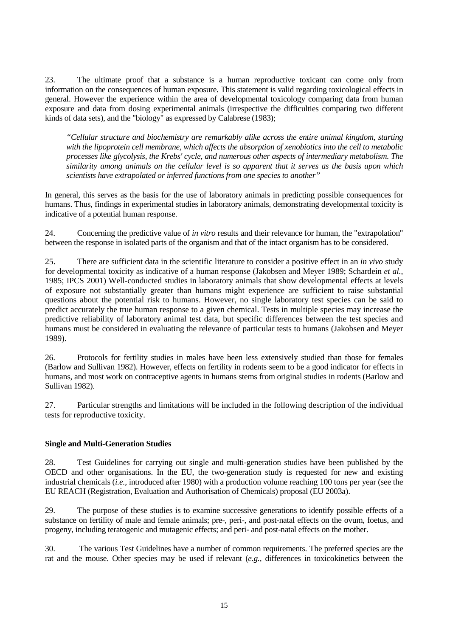23. The ultimate proof that a substance is a human reproductive toxicant can come only from information on the consequences of human exposure. This statement is valid regarding toxicological effects in general. However the experience within the area of developmental toxicology comparing data from human exposure and data from dosing experimental animals (irrespective the difficulties comparing two different kinds of data sets), and the "biology" as expressed by Calabrese (1983);

*"Cellular structure and biochemistry are remarkably alike across the entire animal kingdom, starting with the lipoprotein cell membrane, which affects the absorption of xenobiotics into the cell to metabolic processes like glycolysis, the Krebs' cycle, and numerous other aspects of intermediary metabolism. The similarity among animals on the cellular level is so apparent that it serves as the basis upon which scientists have extrapolated or inferred functions from one species to another"* 

In general, this serves as the basis for the use of laboratory animals in predicting possible consequences for humans. Thus, findings in experimental studies in laboratory animals, demonstrating developmental toxicity is indicative of a potential human response.

24. Concerning the predictive value of *in vitro* results and their relevance for human, the "extrapolation" between the response in isolated parts of the organism and that of the intact organism has to be considered.

25. There are sufficient data in the scientific literature to consider a positive effect in an *in vivo* study for developmental toxicity as indicative of a human response (Jakobsen and Meyer 1989; Schardein *et al.,* 1985; IPCS 2001) Well-conducted studies in laboratory animals that show developmental effects at levels of exposure not substantially greater than humans might experience are sufficient to raise substantial questions about the potential risk to humans. However, no single laboratory test species can be said to predict accurately the true human response to a given chemical. Tests in multiple species may increase the predictive reliability of laboratory animal test data, but specific differences between the test species and humans must be considered in evaluating the relevance of particular tests to humans (Jakobsen and Meyer 1989).

26. Protocols for fertility studies in males have been less extensively studied than those for females (Barlow and Sullivan 1982). However, effects on fertility in rodents seem to be a good indicator for effects in humans, and most work on contraceptive agents in humans stems from original studies in rodents (Barlow and Sullivan 1982).

27. Particular strengths and limitations will be included in the following description of the individual tests for reproductive toxicity.

## **Single and Multi-Generation Studies**

28. Test Guidelines for carrying out single and multi-generation studies have been published by the OECD and other organisations. In the EU, the two-generation study is requested for new and existing industrial chemicals (*i.e.,* introduced after 1980) with a production volume reaching 100 tons per year (see the EU REACH (Registration, Evaluation and Authorisation of Chemicals) proposal (EU 2003a).

29. The purpose of these studies is to examine successive generations to identify possible effects of a substance on fertility of male and female animals; pre-, peri-, and post-natal effects on the ovum, foetus, and progeny, including teratogenic and mutagenic effects; and peri- and post-natal effects on the mother.

30. The various Test Guidelines have a number of common requirements. The preferred species are the rat and the mouse. Other species may be used if relevant (*e.g.,* differences in toxicokinetics between the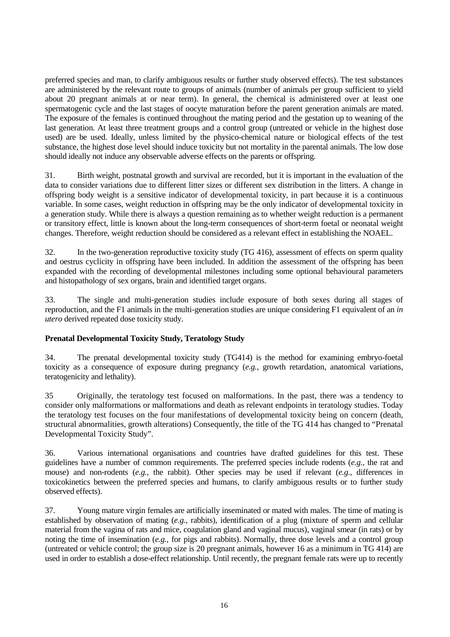preferred species and man, to clarify ambiguous results or further study observed effects). The test substances are administered by the relevant route to groups of animals (number of animals per group sufficient to yield about 20 pregnant animals at or near term). In general, the chemical is administered over at least one spermatogenic cycle and the last stages of oocyte maturation before the parent generation animals are mated. The exposure of the females is continued throughout the mating period and the gestation up to weaning of the last generation. At least three treatment groups and a control group (untreated or vehicle in the highest dose used) are be used. Ideally, unless limited by the physico-chemical nature or biological effects of the test substance, the highest dose level should induce toxicity but not mortality in the parental animals. The low dose should ideally not induce any observable adverse effects on the parents or offspring.

31. Birth weight, postnatal growth and survival are recorded, but it is important in the evaluation of the data to consider variations due to different litter sizes or different sex distribution in the litters. A change in offspring body weight is a sensitive indicator of developmental toxicity, in part because it is a continuous variable. In some cases, weight reduction in offspring may be the only indicator of developmental toxicity in a generation study. While there is always a question remaining as to whether weight reduction is a permanent or transitory effect, little is known about the long-term consequences of short-term foetal or neonatal weight changes. Therefore, weight reduction should be considered as a relevant effect in establishing the NOAEL.

32. In the two-generation reproductive toxicity study (TG 416), assessment of effects on sperm quality and oestrus cyclicity in offspring have been included. In addition the assessment of the offspring has been expanded with the recording of developmental milestones including some optional behavioural parameters and histopathology of sex organs, brain and identified target organs.

33. The single and multi-generation studies include exposure of both sexes during all stages of reproduction, and the F1 animals in the multi-generation studies are unique considering F1 equivalent of an *in utero* derived repeated dose toxicity study.

## **Prenatal Developmental Toxicity Study, Teratology Study**

34. The prenatal developmental toxicity study (TG414) is the method for examining embryo-foetal toxicity as a consequence of exposure during pregnancy (*e.g.,* growth retardation, anatomical variations, teratogenicity and lethality).

35 Originally, the teratology test focused on malformations. In the past, there was a tendency to consider only malformations or malformations and death as relevant endpoints in teratology studies. Today the teratology test focuses on the four manifestations of developmental toxicity being on concern (death, structural abnormalities, growth alterations) Consequently, the title of the TG 414 has changed to "Prenatal Developmental Toxicity Study".

36. Various international organisations and countries have drafted guidelines for this test. These guidelines have a number of common requirements. The preferred species include rodents (*e.g.,* the rat and mouse) and non-rodents (*e.g.,* the rabbit). Other species may be used if relevant (*e.g.,* differences in toxicokinetics between the preferred species and humans, to clarify ambiguous results or to further study observed effects).

37. Young mature virgin females are artificially inseminated or mated with males. The time of mating is established by observation of mating (*e.g.,* rabbits), identification of a plug (mixture of sperm and cellular material from the vagina of rats and mice, coagulation gland and vaginal mucus), vaginal smear (in rats) or by noting the time of insemination (*e.g.,* for pigs and rabbits). Normally, three dose levels and a control group (untreated or vehicle control; the group size is 20 pregnant animals, however 16 as a minimum in TG 414) are used in order to establish a dose-effect relationship. Until recently, the pregnant female rats were up to recently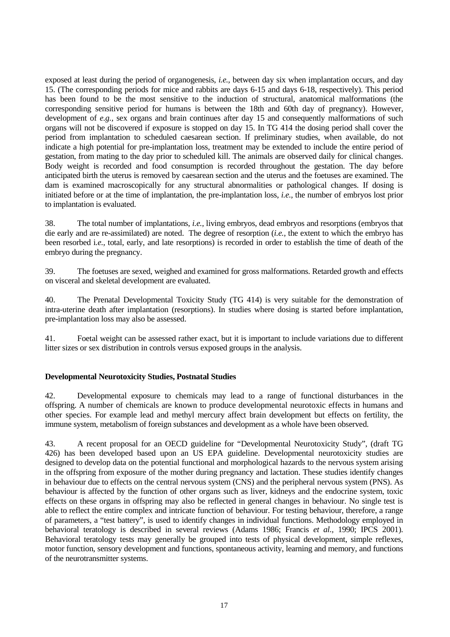exposed at least during the period of organogenesis, *i.e.,* between day six when implantation occurs, and day 15. (The corresponding periods for mice and rabbits are days 6-15 and days 6-18, respectively). This period has been found to be the most sensitive to the induction of structural, anatomical malformations (the corresponding sensitive period for humans is between the 18th and 60th day of pregnancy). However, development of *e.g.*, sex organs and brain continues after day 15 and consequently malformations of such organs will not be discovered if exposure is stopped on day 15. In TG 414 the dosing period shall cover the period from implantation to scheduled caesarean section. If preliminary studies, when available, do not indicate a high potential for pre-implantation loss, treatment may be extended to include the entire period of gestation, from mating to the day prior to scheduled kill. The animals are observed daily for clinical changes. Body weight is recorded and food consumption is recorded throughout the gestation. The day before anticipated birth the uterus is removed by caesarean section and the uterus and the foetuses are examined. The dam is examined macroscopically for any structural abnormalities or pathological changes. If dosing is initiated before or at the time of implantation, the pre-implantation loss, *i.e.,* the number of embryos lost prior to implantation is evaluated.

38. The total number of implantations, *i.e.,* living embryos, dead embryos and resorptions (embryos that die early and are re-assimilated) are noted. The degree of resorption (*i.e.,* the extent to which the embryo has been resorbed i*.e.,* total, early, and late resorptions) is recorded in order to establish the time of death of the embryo during the pregnancy.

39. The foetuses are sexed, weighed and examined for gross malformations. Retarded growth and effects on visceral and skeletal development are evaluated.

40. The Prenatal Developmental Toxicity Study (TG 414) is very suitable for the demonstration of intra-uterine death after implantation (resorptions). In studies where dosing is started before implantation, pre-implantation loss may also be assessed.

41. Foetal weight can be assessed rather exact, but it is important to include variations due to different litter sizes or sex distribution in controls versus exposed groups in the analysis.

## **Developmental Neurotoxicity Studies, Postnatal Studies**

42. Developmental exposure to chemicals may lead to a range of functional disturbances in the offspring. A number of chemicals are known to produce developmental neurotoxic effects in humans and other species. For example lead and methyl mercury affect brain development but effects on fertility, the immune system, metabolism of foreign substances and development as a whole have been observed.

43. A recent proposal for an OECD guideline for "Developmental Neurotoxicity Study", (draft TG 426) has been developed based upon an US EPA guideline. Developmental neurotoxicity studies are designed to develop data on the potential functional and morphological hazards to the nervous system arising in the offspring from exposure of the mother during pregnancy and lactation. These studies identify changes in behaviour due to effects on the central nervous system (CNS) and the peripheral nervous system (PNS). As behaviour is affected by the function of other organs such as liver, kidneys and the endocrine system, toxic effects on these organs in offspring may also be reflected in general changes in behaviour. No single test is able to reflect the entire complex and intricate function of behaviour. For testing behaviour, therefore, a range of parameters, a "test battery", is used to identify changes in individual functions. Methodology employed in behavioral teratology is described in several reviews (Adams 1986; Francis *et al.,* 1990; IPCS 2001). Behavioral teratology tests may generally be grouped into tests of physical development, simple reflexes, motor function, sensory development and functions, spontaneous activity, learning and memory, and functions of the neurotransmitter systems.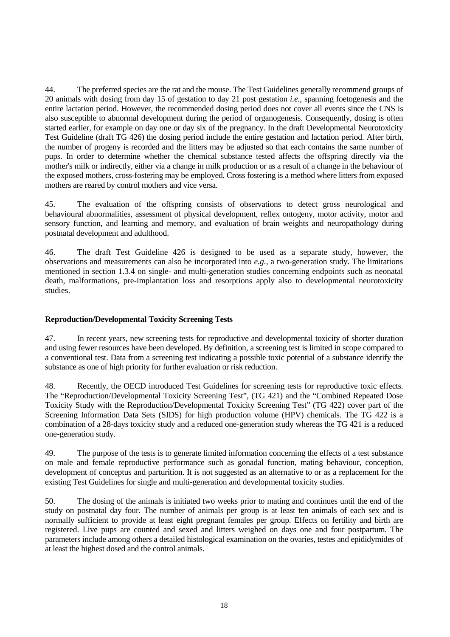44. The preferred species are the rat and the mouse. The Test Guidelines generally recommend groups of 20 animals with dosing from day 15 of gestation to day 21 post gestation *i.e.,* spanning foetogenesis and the entire lactation period. However, the recommended dosing period does not cover all events since the CNS is also susceptible to abnormal development during the period of organogenesis. Consequently, dosing is often started earlier, for example on day one or day six of the pregnancy. In the draft Developmental Neurotoxicity Test Guideline (draft TG 426) the dosing period include the entire gestation and lactation period. After birth, the number of progeny is recorded and the litters may be adjusted so that each contains the same number of pups. In order to determine whether the chemical substance tested affects the offspring directly via the mother's milk or indirectly, either via a change in milk production or as a result of a change in the behaviour of the exposed mothers, cross-fostering may be employed. Cross fostering is a method where litters from exposed mothers are reared by control mothers and vice versa.

45. The evaluation of the offspring consists of observations to detect gross neurological and behavioural abnormalities, assessment of physical development, reflex ontogeny, motor activity, motor and sensory function, and learning and memory, and evaluation of brain weights and neuropathology during postnatal development and adulthood.

46. The draft Test Guideline 426 is designed to be used as a separate study, however, the observations and measurements can also be incorporated into *e.g.,* a two-generation study. The limitations mentioned in section 1.3.4 on single- and multi-generation studies concerning endpoints such as neonatal death, malformations, pre-implantation loss and resorptions apply also to developmental neurotoxicity studies.

## **Reproduction/Developmental Toxicity Screening Tests**

47. In recent years, new screening tests for reproductive and developmental toxicity of shorter duration and using fewer resources have been developed. By definition, a screening test is limited in scope compared to a conventional test. Data from a screening test indicating a possible toxic potential of a substance identify the substance as one of high priority for further evaluation or risk reduction.

48. Recently, the OECD introduced Test Guidelines for screening tests for reproductive toxic effects. The "Reproduction/Developmental Toxicity Screening Test", (TG 421) and the "Combined Repeated Dose Toxicity Study with the Reproduction/Developmental Toxicity Screening Test" (TG 422) cover part of the Screening Information Data Sets (SIDS) for high production volume (HPV) chemicals. The TG 422 is a combination of a 28-days toxicity study and a reduced one-generation study whereas the TG 421 is a reduced one-generation study.

49. The purpose of the tests is to generate limited information concerning the effects of a test substance on male and female reproductive performance such as gonadal function, mating behaviour, conception, development of conceptus and parturition. It is not suggested as an alternative to or as a replacement for the existing Test Guidelines for single and multi-generation and developmental toxicity studies.

50. The dosing of the animals is initiated two weeks prior to mating and continues until the end of the study on postnatal day four. The number of animals per group is at least ten animals of each sex and is normally sufficient to provide at least eight pregnant females per group. Effects on fertility and birth are registered. Live pups are counted and sexed and litters weighed on days one and four postpartum. The parameters include among others a detailed histological examination on the ovaries, testes and epididymides of at least the highest dosed and the control animals.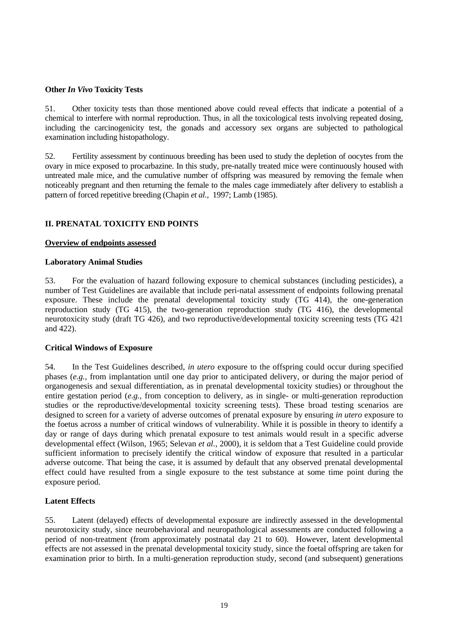### **Other** *In Vivo* **Toxicity Tests**

51. Other toxicity tests than those mentioned above could reveal effects that indicate a potential of a chemical to interfere with normal reproduction. Thus, in all the toxicological tests involving repeated dosing, including the carcinogenicity test, the gonads and accessory sex organs are subjected to pathological examination including histopathology.

52. Fertility assessment by continuous breeding has been used to study the depletion of oocytes from the ovary in mice exposed to procarbazine. In this study, pre-natally treated mice were continuously housed with untreated male mice, and the cumulative number of offspring was measured by removing the female when noticeably pregnant and then returning the female to the males cage immediately after delivery to establish a pattern of forced repetitive breeding (Chapin *et al.,* 1997; Lamb (1985).

## **II. PRENATAL TOXICITY END POINTS**

#### **Overview of endpoints assessed**

### **Laboratory Animal Studies**

53. For the evaluation of hazard following exposure to chemical substances (including pesticides), a number of Test Guidelines are available that include peri-natal assessment of endpoints following prenatal exposure. These include the prenatal developmental toxicity study (TG 414), the one-generation reproduction study (TG 415), the two-generation reproduction study (TG 416), the developmental neurotoxicity study (draft TG 426), and two reproductive/developmental toxicity screening tests (TG 421 and 422).

## **Critical Windows of Exposure**

54. In the Test Guidelines described, *in utero* exposure to the offspring could occur during specified phases (*e.g.,* from implantation until one day prior to anticipated delivery, or during the major period of organogenesis and sexual differentiation, as in prenatal developmental toxicity studies) or throughout the entire gestation period (*e.g.,* from conception to delivery, as in single- or multi-generation reproduction studies or the reproductive/developmental toxicity screening tests). These broad testing scenarios are designed to screen for a variety of adverse outcomes of prenatal exposure by ensuring *in utero* exposure to the foetus across a number of critical windows of vulnerability. While it is possible in theory to identify a day or range of days during which prenatal exposure to test animals would result in a specific adverse developmental effect (Wilson, 1965; Selevan *et al.,* 2000), it is seldom that a Test Guideline could provide sufficient information to precisely identify the critical window of exposure that resulted in a particular adverse outcome. That being the case, it is assumed by default that any observed prenatal developmental effect could have resulted from a single exposure to the test substance at some time point during the exposure period.

## **Latent Effects**

55. Latent (delayed) effects of developmental exposure are indirectly assessed in the developmental neurotoxicity study, since neurobehavioral and neuropathological assessments are conducted following a period of non-treatment (from approximately postnatal day 21 to 60). However, latent developmental effects are not assessed in the prenatal developmental toxicity study, since the foetal offspring are taken for examination prior to birth. In a multi-generation reproduction study, second (and subsequent) generations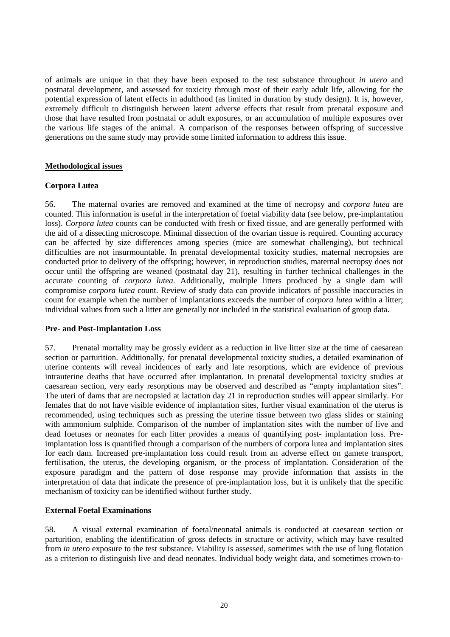of animals are unique in that they have been exposed to the test substance throughout *in utero* and postnatal development, and assessed for toxicity through most of their early adult life, allowing for the potential expression of latent effects in adulthood (as limited in duration by study design). It is, however, extremely difficult to distinguish between latent adverse effects that result from prenatal exposure and those that have resulted from postnatal or adult exposures, or an accumulation of multiple exposures over the various life stages of the animal. A comparison of the responses between offspring of successive generations on the same study may provide some limited information to address this issue.

## **Methodological issues**

## **Corpora Lutea**

56. The maternal ovaries are removed and examined at the time of necropsy and *corpora lutea* are counted. This information is useful in the interpretation of foetal viability data (see below, pre-implantation loss). *Corpora lutea* counts can be conducted with fresh or fixed tissue, and are generally performed with the aid of a dissecting microscope. Minimal dissection of the ovarian tissue is required. Counting accuracy can be affected by size differences among species (mice are somewhat challenging), but technical difficulties are not insurmountable. In prenatal developmental toxicity studies, maternal necropsies are conducted prior to delivery of the offspring; however, in reproduction studies, maternal necropsy does not occur until the offspring are weaned (postnatal day 21), resulting in further technical challenges in the accurate counting of *corpora lutea*. Additionally, multiple litters produced by a single dam will compromise *corpora lutea* count. Review of study data can provide indicators of possible inaccuracies in count for example when the number of implantations exceeds the number of *corpora lutea* within a litter; individual values from such a litter are generally not included in the statistical evaluation of group data.

## **Pre- and Post-Implantation Loss**

57. Prenatal mortality may be grossly evident as a reduction in live litter size at the time of caesarean section or parturition. Additionally, for prenatal developmental toxicity studies, a detailed examination of uterine contents will reveal incidences of early and late resorptions, which are evidence of previous intrauterine deaths that have occurred after implantation. In prenatal developmental toxicity studies at caesarean section, very early resorptions may be observed and described as "empty implantation sites". The uteri of dams that are necropsied at lactation day 21 in reproduction studies will appear similarly. For females that do not have visible evidence of implantation sites, further visual examination of the uterus is recommended, using techniques such as pressing the uterine tissue between two glass slides or staining with ammonium sulphide. Comparison of the number of implantation sites with the number of live and dead foetuses or neonates for each litter provides a means of quantifying post- implantation loss. Preimplantation loss is quantified through a comparison of the numbers of corpora lutea and implantation sites for each dam. Increased pre-implantation loss could result from an adverse effect on gamete transport, fertilisation, the uterus, the developing organism, or the process of implantation. Consideration of the exposure paradigm and the pattern of dose response may provide information that assists in the interpretation of data that indicate the presence of pre-implantation loss, but it is unlikely that the specific mechanism of toxicity can be identified without further study.

## **External Foetal Examinations**

58. A visual external examination of foetal/neonatal animals is conducted at caesarean section or parturition, enabling the identification of gross defects in structure or activity, which may have resulted from *in utero* exposure to the test substance. Viability is assessed, sometimes with the use of lung flotation as a criterion to distinguish live and dead neonates. Individual body weight data, and sometimes crown-to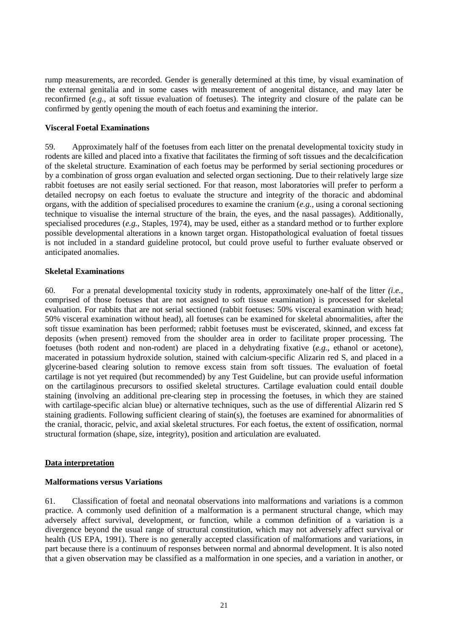rump measurements, are recorded. Gender is generally determined at this time, by visual examination of the external genitalia and in some cases with measurement of anogenital distance, and may later be reconfirmed (*e.g.,* at soft tissue evaluation of foetuses). The integrity and closure of the palate can be confirmed by gently opening the mouth of each foetus and examining the interior.

#### **Visceral Foetal Examinations**

59. Approximately half of the foetuses from each litter on the prenatal developmental toxicity study in rodents are killed and placed into a fixative that facilitates the firming of soft tissues and the decalcification of the skeletal structure. Examination of each foetus may be performed by serial sectioning procedures or by a combination of gross organ evaluation and selected organ sectioning. Due to their relatively large size rabbit foetuses are not easily serial sectioned. For that reason, most laboratories will prefer to perform a detailed necropsy on each foetus to evaluate the structure and integrity of the thoracic and abdominal organs, with the addition of specialised procedures to examine the cranium (*e.g.,* using a coronal sectioning technique to visualise the internal structure of the brain, the eyes, and the nasal passages). Additionally, specialised procedures (*e.g.,* Staples, 1974), may be used, either as a standard method or to further explore possible developmental alterations in a known target organ. Histopathological evaluation of foetal tissues is not included in a standard guideline protocol, but could prove useful to further evaluate observed or anticipated anomalies.

#### **Skeletal Examinations**

60. For a prenatal developmental toxicity study in rodents, approximately one-half of the litter *(i.e.,* comprised of those foetuses that are not assigned to soft tissue examination) is processed for skeletal evaluation. For rabbits that are not serial sectioned (rabbit foetuses: 50% visceral examination with head; 50% visceral examination without head), all foetuses can be examined for skeletal abnormalities, after the soft tissue examination has been performed; rabbit foetuses must be eviscerated, skinned, and excess fat deposits (when present) removed from the shoulder area in order to facilitate proper processing. The foetuses (both rodent and non-rodent) are placed in a dehydrating fixative (*e.g.,* ethanol or acetone), macerated in potassium hydroxide solution, stained with calcium-specific Alizarin red S, and placed in a glycerine-based clearing solution to remove excess stain from soft tissues. The evaluation of foetal cartilage is not yet required (but recommended) by any Test Guideline, but can provide useful information on the cartilaginous precursors to ossified skeletal structures. Cartilage evaluation could entail double staining (involving an additional pre-clearing step in processing the foetuses, in which they are stained with cartilage-specific alcian blue) or alternative techniques, such as the use of differential Alizarin red S staining gradients. Following sufficient clearing of stain(s), the foetuses are examined for abnormalities of the cranial, thoracic, pelvic, and axial skeletal structures. For each foetus, the extent of ossification, normal structural formation (shape, size, integrity), position and articulation are evaluated.

## **Data interpretation**

#### **Malformations versus Variations**

61. Classification of foetal and neonatal observations into malformations and variations is a common practice. A commonly used definition of a malformation is a permanent structural change, which may adversely affect survival, development, or function, while a common definition of a variation is a divergence beyond the usual range of structural constitution, which may not adversely affect survival or health (US EPA, 1991). There is no generally accepted classification of malformations and variations, in part because there is a continuum of responses between normal and abnormal development. It is also noted that a given observation may be classified as a malformation in one species, and a variation in another, or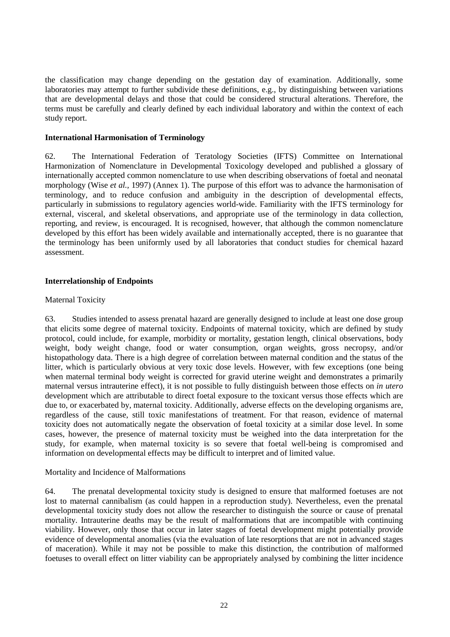the classification may change depending on the gestation day of examination. Additionally, some laboratories may attempt to further subdivide these definitions, e.g., by distinguishing between variations that are developmental delays and those that could be considered structural alterations. Therefore, the terms must be carefully and clearly defined by each individual laboratory and within the context of each study report.

#### **International Harmonisation of Terminology**

62. The International Federation of Teratology Societies (IFTS) Committee on International Harmonization of Nomenclature in Developmental Toxicology developed and published a glossary of internationally accepted common nomenclature to use when describing observations of foetal and neonatal morphology (Wise *et al.,* 1997) (Annex 1). The purpose of this effort was to advance the harmonisation of terminology, and to reduce confusion and ambiguity in the description of developmental effects, particularly in submissions to regulatory agencies world-wide. Familiarity with the IFTS terminology for external, visceral, and skeletal observations, and appropriate use of the terminology in data collection, reporting, and review, is encouraged. It is recognised, however, that although the common nomenclature developed by this effort has been widely available and internationally accepted, there is no guarantee that the terminology has been uniformly used by all laboratories that conduct studies for chemical hazard assessment.

#### **Interrelationship of Endpoints**

#### Maternal Toxicity

63. Studies intended to assess prenatal hazard are generally designed to include at least one dose group that elicits some degree of maternal toxicity. Endpoints of maternal toxicity, which are defined by study protocol, could include, for example, morbidity or mortality, gestation length, clinical observations, body weight, body weight change, food or water consumption, organ weights, gross necropsy, and/or histopathology data. There is a high degree of correlation between maternal condition and the status of the litter, which is particularly obvious at very toxic dose levels. However, with few exceptions (one being when maternal terminal body weight is corrected for gravid uterine weight and demonstrates a primarily maternal versus intrauterine effect), it is not possible to fully distinguish between those effects on *in utero* development which are attributable to direct foetal exposure to the toxicant versus those effects which are due to, or exacerbated by, maternal toxicity. Additionally, adverse effects on the developing organisms are, regardless of the cause, still toxic manifestations of treatment. For that reason, evidence of maternal toxicity does not automatically negate the observation of foetal toxicity at a similar dose level. In some cases, however, the presence of maternal toxicity must be weighed into the data interpretation for the study, for example, when maternal toxicity is so severe that foetal well-being is compromised and information on developmental effects may be difficult to interpret and of limited value.

#### Mortality and Incidence of Malformations

64. The prenatal developmental toxicity study is designed to ensure that malformed foetuses are not lost to maternal cannibalism (as could happen in a reproduction study). Nevertheless, even the prenatal developmental toxicity study does not allow the researcher to distinguish the source or cause of prenatal mortality. Intrauterine deaths may be the result of malformations that are incompatible with continuing viability. However, only those that occur in later stages of foetal development might potentially provide evidence of developmental anomalies (via the evaluation of late resorptions that are not in advanced stages of maceration). While it may not be possible to make this distinction, the contribution of malformed foetuses to overall effect on litter viability can be appropriately analysed by combining the litter incidence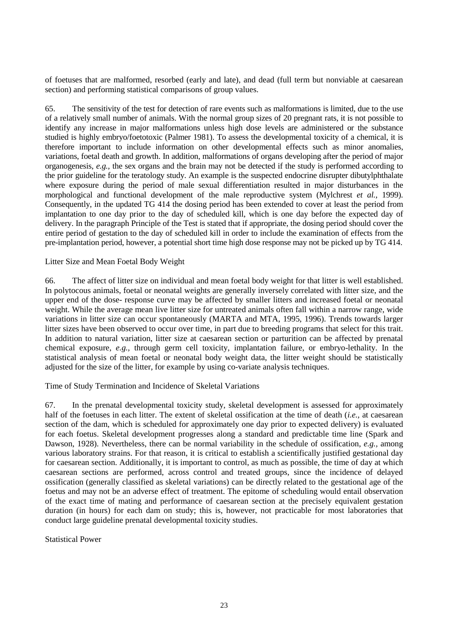of foetuses that are malformed, resorbed (early and late), and dead (full term but nonviable at caesarean section) and performing statistical comparisons of group values.

65. The sensitivity of the test for detection of rare events such as malformations is limited, due to the use of a relatively small number of animals. With the normal group sizes of 20 pregnant rats, it is not possible to identify any increase in major malformations unless high dose levels are administered or the substance studied is highly embryo/foetotoxic (Palmer 1981). To assess the developmental toxicity of a chemical, it is therefore important to include information on other developmental effects such as minor anomalies, variations, foetal death and growth. In addition, malformations of organs developing after the period of major organogenesis, *e.g.,* the sex organs and the brain may not be detected if the study is performed according to the prior guideline for the teratology study. An example is the suspected endocrine disrupter dibutylphthalate where exposure during the period of male sexual differentiation resulted in major disturbances in the morphological and functional development of the male reproductive system (Mylchrest *et al.,* 1999). Consequently, in the updated TG 414 the dosing period has been extended to cover at least the period from implantation to one day prior to the day of scheduled kill, which is one day before the expected day of delivery. In the paragraph Principle of the Test is stated that if appropriate, the dosing period should cover the entire period of gestation to the day of scheduled kill in order to include the examination of effects from the pre-implantation period, however, a potential short time high dose response may not be picked up by TG 414.

## Litter Size and Mean Foetal Body Weight

66. The affect of litter size on individual and mean foetal body weight for that litter is well established. In polytocous animals, foetal or neonatal weights are generally inversely correlated with litter size, and the upper end of the dose- response curve may be affected by smaller litters and increased foetal or neonatal weight. While the average mean live litter size for untreated animals often fall within a narrow range, wide variations in litter size can occur spontaneously (MARTA and MTA, 1995, 1996). Trends towards larger litter sizes have been observed to occur over time, in part due to breeding programs that select for this trait. In addition to natural variation, litter size at caesarean section or parturition can be affected by prenatal chemical exposure, *e.g.,* through germ cell toxicity, implantation failure, or embryo-lethality. In the statistical analysis of mean foetal or neonatal body weight data, the litter weight should be statistically adjusted for the size of the litter, for example by using co-variate analysis techniques.

Time of Study Termination and Incidence of Skeletal Variations

67. In the prenatal developmental toxicity study, skeletal development is assessed for approximately half of the foetuses in each litter. The extent of skeletal ossification at the time of death (*i.e.,* at caesarean section of the dam, which is scheduled for approximately one day prior to expected delivery) is evaluated for each foetus. Skeletal development progresses along a standard and predictable time line (Spark and Dawson, 1928). Nevertheless, there can be normal variability in the schedule of ossification, *e.g.,* among various laboratory strains. For that reason, it is critical to establish a scientifically justified gestational day for caesarean section. Additionally, it is important to control, as much as possible, the time of day at which caesarean sections are performed, across control and treated groups, since the incidence of delayed ossification (generally classified as skeletal variations) can be directly related to the gestational age of the foetus and may not be an adverse effect of treatment. The epitome of scheduling would entail observation of the exact time of mating and performance of caesarean section at the precisely equivalent gestation duration (in hours) for each dam on study; this is, however, not practicable for most laboratories that conduct large guideline prenatal developmental toxicity studies.

Statistical Power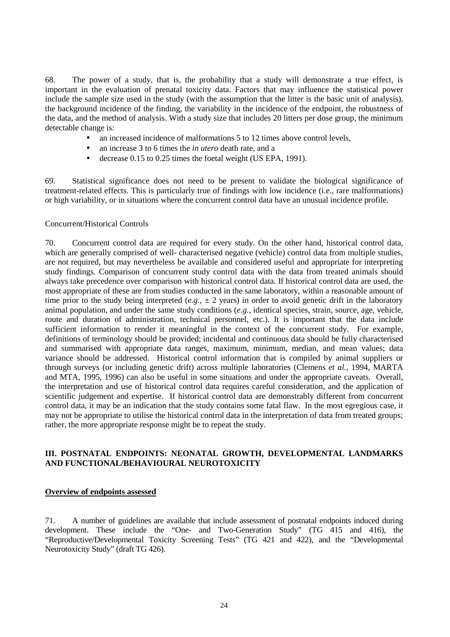68. The power of a study, that is, the probability that a study will demonstrate a true effect, is important in the evaluation of prenatal toxicity data. Factors that may influence the statistical power include the sample size used in the study (with the assumption that the litter is the basic unit of analysis), the background incidence of the finding, the variability in the incidence of the endpoint, the robustness of the data, and the method of analysis. With a study size that includes 20 litters per dose group, the minimum detectable change is:

- an increased incidence of malformations 5 to 12 times above control levels,
- an increase 3 to 6 times the *in utero* death rate, and a
- decrease 0.15 to 0.25 times the foetal weight (US EPA, 1991).

69. Statistical significance does not need to be present to validate the biological significance of treatment-related effects. This is particularly true of findings with low incidence (i.e., rare malformations) or high variability, or in situations where the concurrent control data have an unusual incidence profile.

#### Concurrent/Historical Controls

70. Concurrent control data are required for every study. On the other hand, historical control data, which are generally comprised of well- characterised negative (vehicle) control data from multiple studies, are not required, but may nevertheless be available and considered useful and appropriate for interpreting study findings. Comparison of concurrent study control data with the data from treated animals should always take precedence over comparison with historical control data. If historical control data are used, the most appropriate of these are from studies conducted in the same laboratory, within a reasonable amount of time prior to the study being interpreted  $(e.g., \pm 2 \text{ years})$  in order to avoid genetic drift in the laboratory animal population, and under the same study conditions (*e.g.,* identical species, strain, source, age, vehicle, route and duration of administration, technical personnel, etc.). It is important that the data include sufficient information to render it meaningful in the context of the concurrent study. For example, definitions of terminology should be provided; incidental and continuous data should be fully characterised and summarised with appropriate data ranges, maximum, minimum, median, and mean values; data variance should be addressed. Historical control information that is compiled by animal suppliers or through surveys (or including genetic drift) across multiple laboratories (Clemens *et al.,* 1994, MARTA and MTA, 1995, 1996) can also be useful in some situations and under the appropriate caveats. Overall, the interpretation and use of historical control data requires careful consideration, and the application of scientific judgement and expertise. If historical control data are demonstrably different from concurrent control data, it may be an indication that the study contains some fatal flaw. In the most egregious case, it may not be appropriate to utilise the historical control data in the interpretation of data from treated groups; rather, the more appropriate response might be to repeat the study.

## **III. POSTNATAL ENDPOINTS: NEONATAL GROWTH, DEVELOPMENTAL LANDMARKS AND FUNCTIONAL/BEHAVIOURAL NEUROTOXICITY**

#### **Overview of endpoints assessed**

71. A number of guidelines are available that include assessment of postnatal endpoints induced during development. These include the "One- and Two-Generation Study" (TG 415 and 416), the "Reproductive/Developmental Toxicity Screening Tests" (TG 421 and 422), and the "Developmental Neurotoxicity Study" (draft TG 426).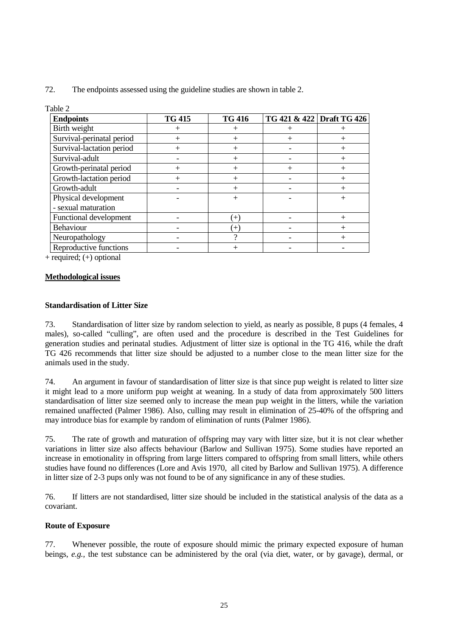72. The endpoints assessed using the guideline studies are shown in table 2.

| <b>Endpoints</b>              | <b>TG 415</b> | <b>TG 416</b>  |        | TG 421 & 422 Draft TG 426 |
|-------------------------------|---------------|----------------|--------|---------------------------|
| Birth weight                  | $\pm$         | $^{+}$         | $^{+}$ | $^{+}$                    |
| Survival-perinatal period     | $\, + \,$     | $^{+}$         | $^{+}$ | $^{+}$                    |
| Survival-lactation period     |               | $\, +$         |        | $^{+}$                    |
| Survival-adult                |               | $\overline{+}$ |        | $^{+}$                    |
| Growth-perinatal period       | ┿             | $^{+}$         | $^{+}$ | $^{+}$                    |
| Growth-lactation period       | $\, +$        | $^{+}$         |        |                           |
| Growth-adult                  |               | $+$            |        | $+$                       |
| Physical development          |               | $^{+}$         |        | $\overline{+}$            |
| - sexual maturation           |               |                |        |                           |
| <b>Functional development</b> |               | $(+)$          |        | $+$                       |
| Behaviour                     |               | $(+)$          |        | $^{+}$                    |
| Neuropathology                |               | റ              |        | $\, +$                    |
| Reproductive functions        |               | $^+$           |        |                           |

Table 2

+ required; (+) optional

## **Methodological issues**

## **Standardisation of Litter Size**

73. Standardisation of litter size by random selection to yield, as nearly as possible, 8 pups (4 females, 4 males), so-called "culling", are often used and the procedure is described in the Test Guidelines for generation studies and perinatal studies. Adjustment of litter size is optional in the TG 416, while the draft TG 426 recommends that litter size should be adjusted to a number close to the mean litter size for the animals used in the study.

74. An argument in favour of standardisation of litter size is that since pup weight is related to litter size it might lead to a more uniform pup weight at weaning. In a study of data from approximately 500 litters standardisation of litter size seemed only to increase the mean pup weight in the litters, while the variation remained unaffected (Palmer 1986). Also, culling may result in elimination of 25-40% of the offspring and may introduce bias for example by random of elimination of runts (Palmer 1986).

75. The rate of growth and maturation of offspring may vary with litter size, but it is not clear whether variations in litter size also affects behaviour (Barlow and Sullivan 1975). Some studies have reported an increase in emotionality in offspring from large litters compared to offspring from small litters, while others studies have found no differences (Lore and Avis 1970, all cited by Barlow and Sullivan 1975). A difference in litter size of 2-3 pups only was not found to be of any significance in any of these studies.

76. If litters are not standardised, litter size should be included in the statistical analysis of the data as a covariant.

## **Route of Exposure**

77. Whenever possible, the route of exposure should mimic the primary expected exposure of human beings, *e.g.,* the test substance can be administered by the oral (via diet, water, or by gavage), dermal, or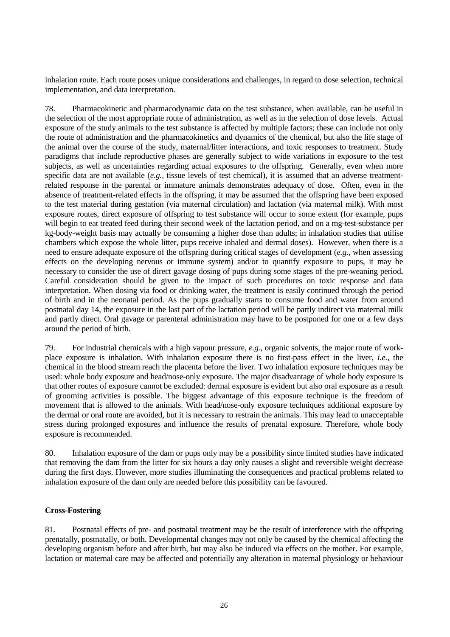inhalation route. Each route poses unique considerations and challenges, in regard to dose selection, technical implementation, and data interpretation.

78. Pharmacokinetic and pharmacodynamic data on the test substance, when available, can be useful in the selection of the most appropriate route of administration, as well as in the selection of dose levels. Actual exposure of the study animals to the test substance is affected by multiple factors; these can include not only the route of administration and the pharmacokinetics and dynamics of the chemical, but also the life stage of the animal over the course of the study, maternal/litter interactions, and toxic responses to treatment. Study paradigms that include reproductive phases are generally subject to wide variations in exposure to the test subjects, as well as uncertainties regarding actual exposures to the offspring. Generally, even when more specific data are not available (*e.g.,* tissue levels of test chemical), it is assumed that an adverse treatmentrelated response in the parental or immature animals demonstrates adequacy of dose. Often, even in the absence of treatment-related effects in the offspring, it may be assumed that the offspring have been exposed to the test material during gestation (via maternal circulation) and lactation (via maternal milk). With most exposure routes, direct exposure of offspring to test substance will occur to some extent (for example, pups will begin to eat treated feed during their second week of the lactation period, and on a mg-test-substance per kg-body-weight basis may actually be consuming a higher dose than adults; in inhalation studies that utilise chambers which expose the whole litter, pups receive inhaled and dermal doses). However, when there is a need to ensure adequate exposure of the offspring during critical stages of development (*e.g.,* when assessing effects on the developing nervous or immune system) and/or to quantify exposure to pups, it may be necessary to consider the use of direct gavage dosing of pups during some stages of the pre-weaning period**.** Careful consideration should be given to the impact of such procedures on toxic response and data interpretation. When dosing via food or drinking water, the treatment is easily continued through the period of birth and in the neonatal period. As the pups gradually starts to consume food and water from around postnatal day 14, the exposure in the last part of the lactation period will be partly indirect via maternal milk and partly direct. Oral gavage or parenteral administration may have to be postponed for one or a few days around the period of birth.

79. For industrial chemicals with a high vapour pressure, *e.g.,* organic solvents, the major route of workplace exposure is inhalation. With inhalation exposure there is no first-pass effect in the liver, *i.e.,* the chemical in the blood stream reach the placenta before the liver. Two inhalation exposure techniques may be used: whole body exposure and head/nose-only exposure. The major disadvantage of whole body exposure is that other routes of exposure cannot be excluded: dermal exposure is evident but also oral exposure as a result of grooming activities is possible. The biggest advantage of this exposure technique is the freedom of movement that is allowed to the animals. With head/nose-only exposure techniques additional exposure by the dermal or oral route are avoided, but it is necessary to restrain the animals. This may lead to unacceptable stress during prolonged exposures and influence the results of prenatal exposure. Therefore, whole body exposure is recommended.

80. Inhalation exposure of the dam or pups only may be a possibility since limited studies have indicated that removing the dam from the litter for six hours a day only causes a slight and reversible weight decrease during the first days. However, more studies illuminating the consequences and practical problems related to inhalation exposure of the dam only are needed before this possibility can be favoured.

## **Cross-Fostering**

81. Postnatal effects of pre- and postnatal treatment may be the result of interference with the offspring prenatally, postnatally, or both. Developmental changes may not only be caused by the chemical affecting the developing organism before and after birth, but may also be induced via effects on the mother. For example, lactation or maternal care may be affected and potentially any alteration in maternal physiology or behaviour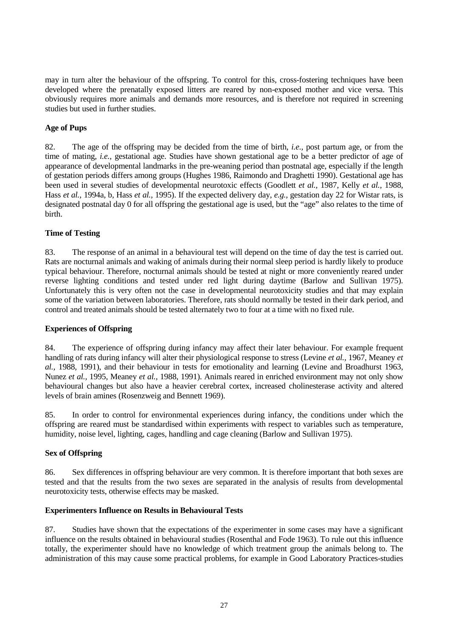may in turn alter the behaviour of the offspring. To control for this, cross-fostering techniques have been developed where the prenatally exposed litters are reared by non-exposed mother and vice versa. This obviously requires more animals and demands more resources, and is therefore not required in screening studies but used in further studies.

## **Age of Pups**

82. The age of the offspring may be decided from the time of birth, *i.e.,* post partum age, or from the time of mating, *i.e.,* gestational age. Studies have shown gestational age to be a better predictor of age of appearance of developmental landmarks in the pre-weaning period than postnatal age, especially if the length of gestation periods differs among groups (Hughes 1986, Raimondo and Draghetti 1990). Gestational age has been used in several studies of developmental neurotoxic effects (Goodlett *et al.,* 1987, Kelly *et al.,* 1988, Hass *et al.,* 1994a, b, Hass *et al.,* 1995). If the expected delivery day, *e.g.,* gestation day 22 for Wistar rats, is designated postnatal day 0 for all offspring the gestational age is used, but the "age" also relates to the time of birth.

## **Time of Testing**

83. The response of an animal in a behavioural test will depend on the time of day the test is carried out. Rats are nocturnal animals and waking of animals during their normal sleep period is hardly likely to produce typical behaviour. Therefore, nocturnal animals should be tested at night or more conveniently reared under reverse lighting conditions and tested under red light during daytime (Barlow and Sullivan 1975). Unfortunately this is very often not the case in developmental neurotoxicity studies and that may explain some of the variation between laboratories. Therefore, rats should normally be tested in their dark period, and control and treated animals should be tested alternately two to four at a time with no fixed rule.

## **Experiences of Offspring**

84. The experience of offspring during infancy may affect their later behaviour. For example frequent handling of rats during infancy will alter their physiological response to stress (Levine *et al.,* 1967, Meaney *et al.,* 1988, 1991), and their behaviour in tests for emotionality and learning (Levine and Broadhurst 1963, Nunez *et al.,* 1995, Meaney *et al.,* 1988, 1991). Animals reared in enriched environment may not only show behavioural changes but also have a heavier cerebral cortex, increased cholinesterase activity and altered levels of brain amines (Rosenzweig and Bennett 1969).

85. In order to control for environmental experiences during infancy, the conditions under which the offspring are reared must be standardised within experiments with respect to variables such as temperature, humidity, noise level, lighting, cages, handling and cage cleaning (Barlow and Sullivan 1975).

## **Sex of Offspring**

86. Sex differences in offspring behaviour are very common. It is therefore important that both sexes are tested and that the results from the two sexes are separated in the analysis of results from developmental neurotoxicity tests, otherwise effects may be masked.

## **Experimenters Influence on Results in Behavioural Tests**

87. Studies have shown that the expectations of the experimenter in some cases may have a significant influence on the results obtained in behavioural studies (Rosenthal and Fode 1963). To rule out this influence totally, the experimenter should have no knowledge of which treatment group the animals belong to. The administration of this may cause some practical problems, for example in Good Laboratory Practices-studies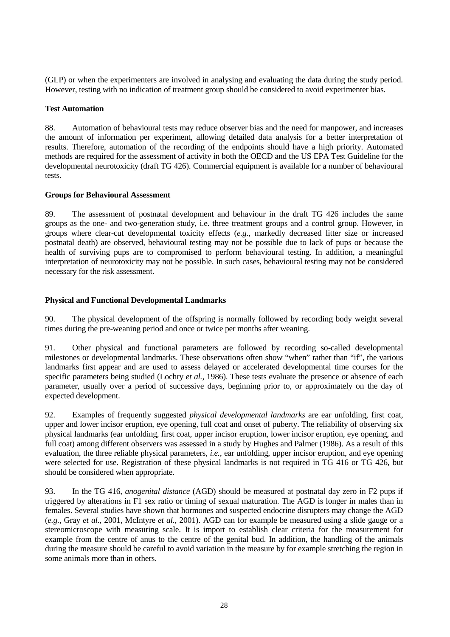(GLP) or when the experimenters are involved in analysing and evaluating the data during the study period. However, testing with no indication of treatment group should be considered to avoid experimenter bias.

### **Test Automation**

88. Automation of behavioural tests may reduce observer bias and the need for manpower, and increases the amount of information per experiment, allowing detailed data analysis for a better interpretation of results. Therefore, automation of the recording of the endpoints should have a high priority. Automated methods are required for the assessment of activity in both the OECD and the US EPA Test Guideline for the developmental neurotoxicity (draft TG 426). Commercial equipment is available for a number of behavioural tests.

#### **Groups for Behavioural Assessment**

89. The assessment of postnatal development and behaviour in the draft TG 426 includes the same groups as the one- and two-generation study, i.e. three treatment groups and a control group. However, in groups where clear-cut developmental toxicity effects (*e.g.,* markedly decreased litter size or increased postnatal death) are observed, behavioural testing may not be possible due to lack of pups or because the health of surviving pups are to compromised to perform behavioural testing. In addition, a meaningful interpretation of neurotoxicity may not be possible. In such cases, behavioural testing may not be considered necessary for the risk assessment.

#### **Physical and Functional Developmental Landmarks**

90. The physical development of the offspring is normally followed by recording body weight several times during the pre-weaning period and once or twice per months after weaning.

91. Other physical and functional parameters are followed by recording so-called developmental milestones or developmental landmarks. These observations often show "when" rather than "if", the various landmarks first appear and are used to assess delayed or accelerated developmental time courses for the specific parameters being studied (Lochry *et al.,* 1986). These tests evaluate the presence or absence of each parameter, usually over a period of successive days, beginning prior to, or approximately on the day of expected development.

92. Examples of frequently suggested *physical developmental landmarks* are ear unfolding, first coat, upper and lower incisor eruption, eye opening, full coat and onset of puberty. The reliability of observing six physical landmarks (ear unfolding, first coat, upper incisor eruption, lower incisor eruption, eye opening, and full coat) among different observers was assessed in a study by Hughes and Palmer (1986). As a result of this evaluation, the three reliable physical parameters, *i.e.,* ear unfolding, upper incisor eruption, and eye opening were selected for use. Registration of these physical landmarks is not required in TG 416 or TG 426, but should be considered when appropriate.

93. In the TG 416, *anogenital distance* (AGD) should be measured at postnatal day zero in F2 pups if triggered by alterations in F1 sex ratio or timing of sexual maturation. The AGD is longer in males than in females. Several studies have shown that hormones and suspected endocrine disrupters may change the AGD (*e.g.,* Gray *et al.,* 2001, McIntyre *et al.,* 2001). AGD can for example be measured using a slide gauge or a stereomicroscope with measuring scale. It is import to establish clear criteria for the measurement for example from the centre of anus to the centre of the genital bud. In addition, the handling of the animals during the measure should be careful to avoid variation in the measure by for example stretching the region in some animals more than in others.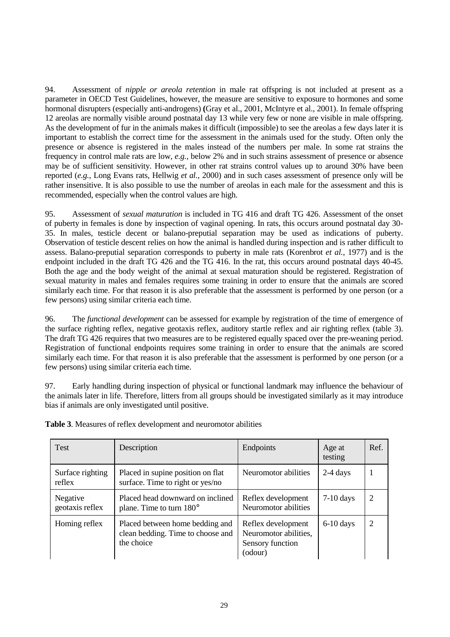94. Assessment of *nipple or areola retention* in male rat offspring is not included at present as a parameter in OECD Test Guidelines, however, the measure are sensitive to exposure to hormones and some hormonal disrupters (especially anti-androgens) **(**Gray et al., 2001, McIntyre et al., 2001). In female offspring 12 areolas are normally visible around postnatal day 13 while very few or none are visible in male offspring. As the development of fur in the animals makes it difficult (impossible) to see the areolas a few days later it is important to establish the correct time for the assessment in the animals used for the study. Often only the presence or absence is registered in the males instead of the numbers per male. In some rat strains the frequency in control male rats are low, *e.g.,* below 2% and in such strains assessment of presence or absence may be of sufficient sensitivity. However, in other rat strains control values up to around 30% have been reported (*e.g.,* Long Evans rats, Hellwig *et al.,* 2000) and in such cases assessment of presence only will be rather insensitive. It is also possible to use the number of areolas in each male for the assessment and this is recommended, especially when the control values are high.

95. Assessment of *sexual maturation* is included in TG 416 and draft TG 426. Assessment of the onset of puberty in females is done by inspection of vaginal opening. In rats, this occurs around postnatal day 30- 35. In males, testicle decent or balano-preputial separation may be used as indications of puberty. Observation of testicle descent relies on how the animal is handled during inspection and is rather difficult to assess. Balano-preputial separation corresponds to puberty in male rats (Korenbrot *et al.,* 1977) and is the endpoint included in the draft TG 426 and the TG 416. In the rat, this occurs around postnatal days 40-45. Both the age and the body weight of the animal at sexual maturation should be registered. Registration of sexual maturity in males and females requires some training in order to ensure that the animals are scored similarly each time. For that reason it is also preferable that the assessment is performed by one person (or a few persons) using similar criteria each time.

96. The *functional development* can be assessed for example by registration of the time of emergence of the surface righting reflex, negative geotaxis reflex, auditory startle reflex and air righting reflex (table 3). The draft TG 426 requires that two measures are to be registered equally spaced over the pre-weaning period. Registration of functional endpoints requires some training in order to ensure that the animals are scored similarly each time. For that reason it is also preferable that the assessment is performed by one person (or a few persons) using similar criteria each time.

97. Early handling during inspection of physical or functional landmark may influence the behaviour of the animals later in life. Therefore, litters from all groups should be investigated similarly as it may introduce bias if animals are only investigated until positive.

| <b>Test</b>                 | Description                                                                        | Endpoints                                                                  | Age at<br>testing | Ref.           |
|-----------------------------|------------------------------------------------------------------------------------|----------------------------------------------------------------------------|-------------------|----------------|
| Surface righting<br>reflex  | Placed in supine position on flat<br>surface. Time to right or yes/no              | Neuromotor abilities                                                       | $2-4$ days        |                |
| Negative<br>geotaxis reflex | Placed head downward on inclined<br>plane. Time to turn 180°                       | Reflex development<br>Neuromotor abilities                                 | $7-10$ days       | $\overline{2}$ |
| Homing reflex               | Placed between home bedding and<br>clean bedding. Time to choose and<br>the choice | Reflex development<br>Neuromotor abilities,<br>Sensory function<br>(odour) | $6-10$ days       | $\overline{2}$ |

**Table 3**. Measures of reflex development and neuromotor abilities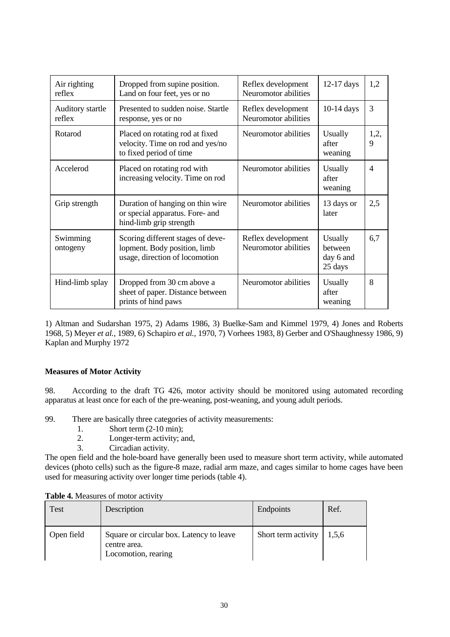| Air righting<br>reflex     | Dropped from supine position.<br>Land on four feet, yes or no                                       | Reflex development<br>Neuromotor abilities | $12-17$ days                               | 1,2                      |
|----------------------------|-----------------------------------------------------------------------------------------------------|--------------------------------------------|--------------------------------------------|--------------------------|
| Auditory startle<br>reflex | Presented to sudden noise. Startle<br>response, yes or no                                           | Reflex development<br>Neuromotor abilities | $10-14$ days                               | 3                        |
| Rotarod                    | Placed on rotating rod at fixed<br>velocity. Time on rod and yes/no<br>to fixed period of time      | Neuromotor abilities                       | Usually<br>after<br>weaning                | 1,2,<br>9                |
| Accelerod                  | Placed on rotating rod with<br>increasing velocity. Time on rod                                     | Neuromotor abilities                       | Usually<br>after<br>weaning                | $\overline{\mathcal{A}}$ |
| Grip strength              | Duration of hanging on thin wire<br>or special apparatus. Fore- and<br>hind-limb grip strength      | Neuromotor abilities                       | 13 days or<br>later                        | 2,5                      |
| Swimming<br>ontogeny       | Scoring different stages of deve-<br>lopment. Body position, limb<br>usage, direction of locomotion | Reflex development<br>Neuromotor abilities | Usually<br>hetween<br>day 6 and<br>25 days | 6,7                      |
| Hind-limb splay            | Dropped from 30 cm above a<br>sheet of paper. Distance between<br>prints of hind paws               | Neuromotor abilities                       | Usually<br>after<br>weaning                | 8                        |

1) Altman and Sudarshan 1975, 2) Adams 1986, 3) Buelke-Sam and Kimmel 1979, 4) Jones and Roberts 1968, 5) Meyer *et al.,* 1989, 6) Schapiro *et al.,* 1970, 7) Vorhees 1983, 8) Gerber and O'Shaughnessy 1986, 9) Kaplan and Murphy 1972

## **Measures of Motor Activity**

98. According to the draft TG 426, motor activity should be monitored using automated recording apparatus at least once for each of the pre-weaning, post-weaning, and young adult periods.

99. There are basically three categories of activity measurements:

- 1. Short term (2-10 min);
- 2. Longer-term activity; and,
- 3. Circadian activity.

The open field and the hole-board have generally been used to measure short term activity, while automated devices (photo cells) such as the figure-8 maze, radial arm maze, and cages similar to home cages have been used for measuring activity over longer time periods (table 4).

| <b>Test</b> | Description                                                                     | Endpoints           | Ref.  |
|-------------|---------------------------------------------------------------------------------|---------------------|-------|
| Open field  | Square or circular box. Latency to leave<br>centre area.<br>Locomotion, rearing | Short term activity | 1,5,6 |

**Table 4.** Measures of motor activity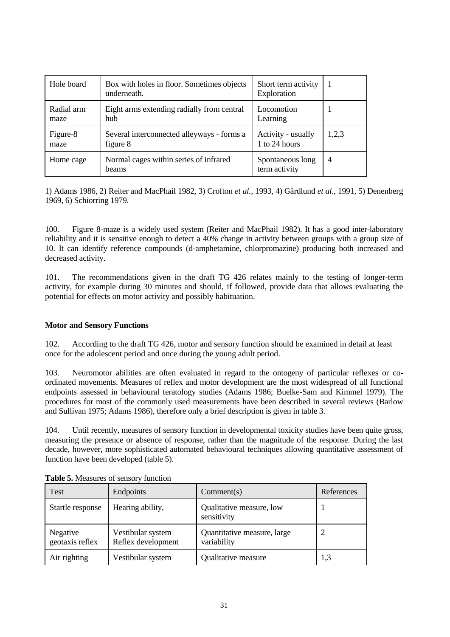| Hole board | Box with holes in floor. Sometimes objects<br>underneath. | Short term activity<br>Exploration |                |
|------------|-----------------------------------------------------------|------------------------------------|----------------|
| Radial arm | Eight arms extending radially from central                | Locomotion                         |                |
| maze       | hub                                                       | Learning                           |                |
| Figure-8   | Several interconnected alleyways - forms a                | Activity - usually                 | 1,2,3          |
| maze       | figure 8                                                  | 1 to 24 hours                      |                |
| Home cage  | Normal cages within series of infrared<br><b>beams</b>    | Spontaneous long<br>term activity  | $\overline{4}$ |

1) Adams 1986, 2) Reiter and MacPhail 1982, 3) Crofton *et al.,* 1993, 4) Gårdlund *et al.,* 1991, 5) Denenberg 1969, 6) Schiorring 1979.

100. Figure 8-maze is a widely used system (Reiter and MacPhail 1982). It has a good inter-laboratory reliability and it is sensitive enough to detect a 40% change in activity between groups with a group size of 10. It can identify reference compounds (d-amphetamine, chlorpromazine) producing both increased and decreased activity.

101. The recommendations given in the draft TG 426 relates mainly to the testing of longer-term activity, for example during 30 minutes and should, if followed, provide data that allows evaluating the potential for effects on motor activity and possibly habituation.

## **Motor and Sensory Functions**

102. According to the draft TG 426, motor and sensory function should be examined in detail at least once for the adolescent period and once during the young adult period.

103. Neuromotor abilities are often evaluated in regard to the ontogeny of particular reflexes or coordinated movements. Measures of reflex and motor development are the most widespread of all functional endpoints assessed in behavioural teratology studies (Adams 1986; Buelke-Sam and Kimmel 1979). The procedures for most of the commonly used measurements have been described in several reviews (Barlow and Sullivan 1975; Adams 1986), therefore only a brief description is given in table 3.

104. Until recently, measures of sensory function in developmental toxicity studies have been quite gross, measuring the presence or absence of response, rather than the magnitude of the response. During the last decade, however, more sophisticated automated behavioural techniques allowing quantitative assessment of function have been developed (table 5).

| Test                        | Endpoints                               | Comment(s)                                 | References |
|-----------------------------|-----------------------------------------|--------------------------------------------|------------|
| Startle response            | Hearing ability,                        | Qualitative measure, low<br>sensitivity    |            |
| Negative<br>geotaxis reflex | Vestibular system<br>Reflex development | Quantitative measure, large<br>variability |            |
| Air righting                | Vestibular system                       | Qualitative measure                        | 1,3        |

**Table 5.** Measures of sensory function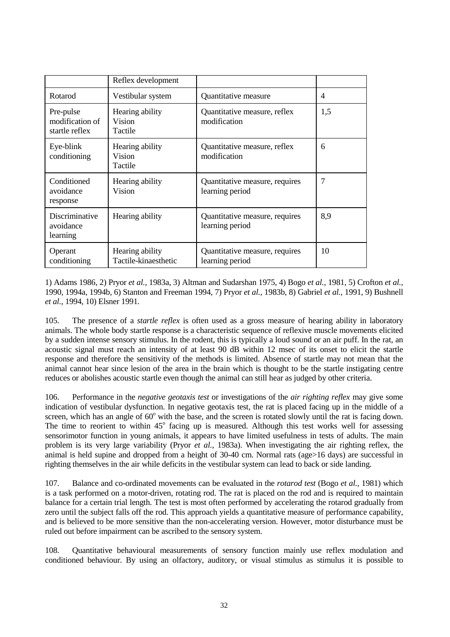|                                                | Reflex development                      |                                                   |     |
|------------------------------------------------|-----------------------------------------|---------------------------------------------------|-----|
| Rotarod                                        | Vestibular system                       | Quantitative measure                              | 4   |
| Pre-pulse<br>modification of<br>startle reflex | Hearing ability<br>Vision<br>Tactile    | Quantitative measure, reflex<br>modification      | 1,5 |
| Eye-blink<br>conditioning                      | Hearing ability<br>Vision<br>Tactile    | Quantitative measure, reflex<br>modification      | 6   |
| Conditioned<br>avoidance<br>response           | Hearing ability<br>Vision               | Quantitative measure, requires<br>learning period | 7   |
| Discriminative<br>avoidance<br>learning        | Hearing ability                         | Quantitative measure, requires<br>learning period | 8,9 |
| Operant<br>conditioning                        | Hearing ability<br>Tactile-kinaesthetic | Quantitative measure, requires<br>learning period | 10  |

1) Adams 1986, 2) Pryor *et al.,* 1983a, 3) Altman and Sudarshan 1975, 4) Bogo *et al.,* 1981, 5) Crofton *et al.,* 1990, 1994a, 1994b, 6) Stanton and Freeman 1994, 7) Pryor *et al.,* 1983b, 8) Gabriel *et al.,* 1991, 9) Bushnell *et al.,* 1994, 10) Elsner 1991.

105. The presence of a *startle reflex* is often used as a gross measure of hearing ability in laboratory animals. The whole body startle response is a characteristic sequence of reflexive muscle movements elicited by a sudden intense sensory stimulus. In the rodent, this is typically a loud sound or an air puff. In the rat, an acoustic signal must reach an intensity of at least 90 dB within 12 msec of its onset to elicit the startle response and therefore the sensitivity of the methods is limited. Absence of startle may not mean that the animal cannot hear since lesion of the area in the brain which is thought to be the startle instigating centre reduces or abolishes acoustic startle even though the animal can still hear as judged by other criteria.

106. Performance in the *negative geotaxis test* or investigations of the *air righting reflex* may give some indication of vestibular dysfunction. In negative geotaxis test, the rat is placed facing up in the middle of a screen, which has an angle of  $60^{\circ}$  with the base, and the screen is rotated slowly until the rat is facing down. The time to reorient to within 45° facing up is measured. Although this test works well for assessing sensorimotor function in young animals, it appears to have limited usefulness in tests of adults. The main problem is its very large variability (Pryor *et al.,* 1983a). When investigating the air righting reflex, the animal is held supine and dropped from a height of 30-40 cm. Normal rats (age>16 days) are successful in righting themselves in the air while deficits in the vestibular system can lead to back or side landing.

107. Balance and co-ordinated movements can be evaluated in the *rotarod test* (Bogo *et al.,* 1981) which is a task performed on a motor-driven, rotating rod. The rat is placed on the rod and is required to maintain balance for a certain trial length. The test is most often performed by accelerating the rotarod gradually from zero until the subject falls off the rod. This approach yields a quantitative measure of performance capability, and is believed to be more sensitive than the non-accelerating version. However, motor disturbance must be ruled out before impairment can be ascribed to the sensory system.

108. Quantitative behavioural measurements of sensory function mainly use reflex modulation and conditioned behaviour. By using an olfactory, auditory, or visual stimulus as stimulus it is possible to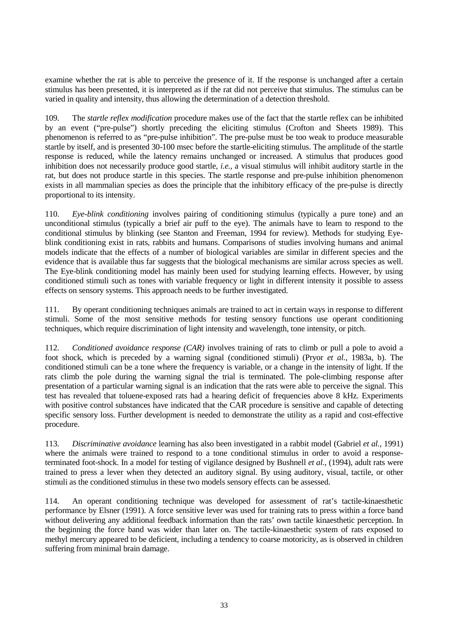examine whether the rat is able to perceive the presence of it. If the response is unchanged after a certain stimulus has been presented, it is interpreted as if the rat did not perceive that stimulus. The stimulus can be varied in quality and intensity, thus allowing the determination of a detection threshold.

109. The *startle reflex modification* procedure makes use of the fact that the startle reflex can be inhibited by an event ("pre-pulse") shortly preceding the eliciting stimulus (Crofton and Sheets 1989). This phenomenon is referred to as "pre-pulse inhibition". The pre-pulse must be too weak to produce measurable startle by itself, and is presented 30-100 msec before the startle-eliciting stimulus. The amplitude of the startle response is reduced, while the latency remains unchanged or increased. A stimulus that produces good inhibition does not necessarily produce good startle, *i.e.,* a visual stimulus will inhibit auditory startle in the rat, but does not produce startle in this species. The startle response and pre-pulse inhibition phenomenon exists in all mammalian species as does the principle that the inhibitory efficacy of the pre-pulse is directly proportional to its intensity.

110. *Eye-blink conditioning* involves pairing of conditioning stimulus (typically a pure tone) and an unconditional stimulus (typically a brief air puff to the eye). The animals have to learn to respond to the conditional stimulus by blinking (see Stanton and Freeman, 1994 for review). Methods for studying Eyeblink conditioning exist in rats, rabbits and humans. Comparisons of studies involving humans and animal models indicate that the effects of a number of biological variables are similar in different species and the evidence that is available thus far suggests that the biological mechanisms are similar across species as well. The Eye-blink conditioning model has mainly been used for studying learning effects. However, by using conditioned stimuli such as tones with variable frequency or light in different intensity it possible to assess effects on sensory systems. This approach needs to be further investigated.

111. By operant conditioning techniques animals are trained to act in certain ways in response to different stimuli. Some of the most sensitive methods for testing sensory functions use operant conditioning techniques, which require discrimination of light intensity and wavelength, tone intensity, or pitch.

112. *Conditioned avoidance response (CAR)* involves training of rats to climb or pull a pole to avoid a foot shock, which is preceded by a warning signal (conditioned stimuli) (Pryor *et al.,* 1983a, b). The conditioned stimuli can be a tone where the frequency is variable, or a change in the intensity of light. If the rats climb the pole during the warning signal the trial is terminated. The pole-climbing response after presentation of a particular warning signal is an indication that the rats were able to perceive the signal. This test has revealed that toluene-exposed rats had a hearing deficit of frequencies above 8 kHz. Experiments with positive control substances have indicated that the CAR procedure is sensitive and capable of detecting specific sensory loss. Further development is needed to demonstrate the utility as a rapid and cost-effective procedure.

113. *Discriminative avoidance* learning has also been investigated in a rabbit model (Gabriel *et al.,* 1991) where the animals were trained to respond to a tone conditional stimulus in order to avoid a responseterminated foot-shock. In a model for testing of vigilance designed by Bushnell *et al.,* (1994), adult rats were trained to press a lever when they detected an auditory signal. By using auditory, visual, tactile, or other stimuli as the conditioned stimulus in these two models sensory effects can be assessed.

114. An operant conditioning technique was developed for assessment of rat's tactile-kinaesthetic performance by Elsner (1991). A force sensitive lever was used for training rats to press within a force band without delivering any additional feedback information than the rats' own tactile kinaesthetic perception. In the beginning the force band was wider than later on. The tactile-kinaesthetic system of rats exposed to methyl mercury appeared to be deficient, including a tendency to coarse motoricity, as is observed in children suffering from minimal brain damage.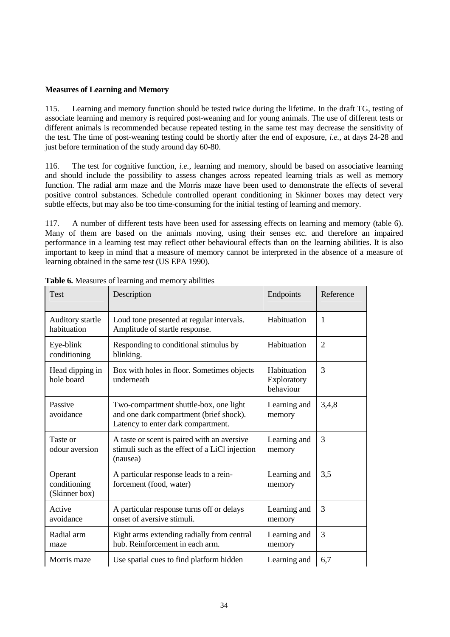## **Measures of Learning and Memory**

115. Learning and memory function should be tested twice during the lifetime. In the draft TG, testing of associate learning and memory is required post-weaning and for young animals. The use of different tests or different animals is recommended because repeated testing in the same test may decrease the sensitivity of the test. The time of post-weaning testing could be shortly after the end of exposure, *i.e.,* at days 24-28 and just before termination of the study around day 60-80.

116. The test for cognitive function, *i.e.,* learning and memory, should be based on associative learning and should include the possibility to assess changes across repeated learning trials as well as memory function. The radial arm maze and the Morris maze have been used to demonstrate the effects of several positive control substances. Schedule controlled operant conditioning in Skinner boxes may detect very subtle effects, but may also be too time-consuming for the initial testing of learning and memory.

117. A number of different tests have been used for assessing effects on learning and memory (table 6). Many of them are based on the animals moving, using their senses etc. and therefore an impaired performance in a learning test may reflect other behavioural effects than on the learning abilities. It is also important to keep in mind that a measure of memory cannot be interpreted in the absence of a measure of learning obtained in the same test (US EPA 1990).

| <b>Test</b>                              | Description                                                                                                             | Endpoints                               | Reference      |
|------------------------------------------|-------------------------------------------------------------------------------------------------------------------------|-----------------------------------------|----------------|
| Auditory startle<br>habituation          | Loud tone presented at regular intervals.<br>Amplitude of startle response.                                             | Habituation                             | 1              |
| Eye-blink<br>conditioning                | Responding to conditional stimulus by<br>blinking.                                                                      | Habituation                             | $\overline{2}$ |
| Head dipping in<br>hole board            | Box with holes in floor. Sometimes objects<br>underneath                                                                | Habituation<br>Exploratory<br>behaviour | 3              |
| Passive<br>avoidance                     | Two-compartment shuttle-box, one light<br>and one dark compartment (brief shock).<br>Latency to enter dark compartment. | Learning and<br>memory                  | 3,4,8          |
| Taste or<br>odour aversion               | A taste or scent is paired with an aversive<br>stimuli such as the effect of a LiCl injection<br>(nausea)               | Learning and<br>memory                  | 3              |
| Operant<br>conditioning<br>(Skinner box) | A particular response leads to a rein-<br>forcement (food, water)                                                       | Learning and<br>memory                  | 3,5            |
| Active<br>avoidance                      | A particular response turns off or delays<br>onset of aversive stimuli.                                                 | Learning and<br>memory                  | 3              |
| Radial arm<br>maze                       | Eight arms extending radially from central<br>hub. Reinforcement in each arm.                                           | Learning and<br>memory                  | 3              |
| Morris maze                              | Use spatial cues to find platform hidden                                                                                | Learning and                            | 6,7            |

**Table 6.** Measures of learning and memory abilities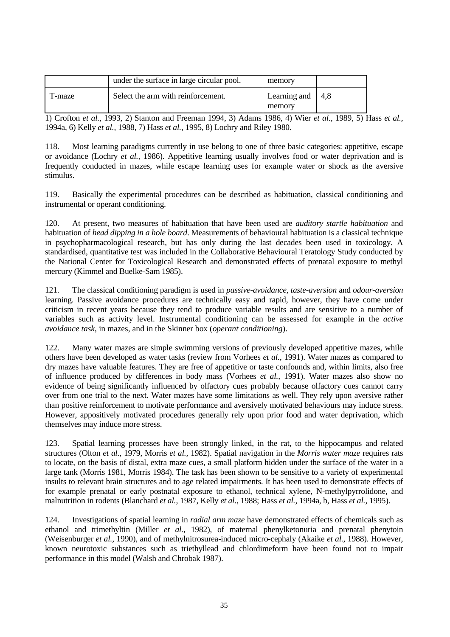|         | under the surface in large circular pool. | memory                                   |  |
|---------|-------------------------------------------|------------------------------------------|--|
| l`-maze | Select the arm with reinforcement.        | Learning and $\vert 4,8 \vert$<br>memory |  |

1) Crofton *et al.,* 1993, 2) Stanton and Freeman 1994, 3) Adams 1986, 4) Wier *et al.,* 1989, 5) Hass *et al.,* 1994a, 6) Kelly *et al.,* 1988, 7) Hass *et al.,* 1995, 8) Lochry and Riley 1980.

118. Most learning paradigms currently in use belong to one of three basic categories: appetitive, escape or avoidance (Lochry *et al.,* 1986). Appetitive learning usually involves food or water deprivation and is frequently conducted in mazes, while escape learning uses for example water or shock as the aversive stimulus.

119. Basically the experimental procedures can be described as habituation, classical conditioning and instrumental or operant conditioning.

120. At present, two measures of habituation that have been used are *auditory startle habituation* and habituation of *head dipping in a hole board*. Measurements of behavioural habituation is a classical technique in psychopharmacological research, but has only during the last decades been used in toxicology. A standardised, quantitative test was included in the Collaborative Behavioural Teratology Study conducted by the National Center for Toxicological Research and demonstrated effects of prenatal exposure to methyl mercury (Kimmel and Buelke-Sam 1985).

121. The classical conditioning paradigm is used in *passive-avoidance*, *taste-aversion* and *odour-aversion* learning. Passive avoidance procedures are technically easy and rapid, however, they have come under criticism in recent years because they tend to produce variable results and are sensitive to a number of variables such as activity level. Instrumental conditioning can be assessed for example in the *active avoidance task*, in mazes, and in the Skinner box (*operant conditioning*).

122. Many water mazes are simple swimming versions of previously developed appetitive mazes, while others have been developed as water tasks (review from Vorhees *et al.,* 1991). Water mazes as compared to dry mazes have valuable features. They are free of appetitive or taste confounds and, within limits, also free of influence produced by differences in body mass (Vorhees *et al.,* 1991). Water mazes also show no evidence of being significantly influenced by olfactory cues probably because olfactory cues cannot carry over from one trial to the next. Water mazes have some limitations as well. They rely upon aversive rather than positive reinforcement to motivate performance and aversively motivated behaviours may induce stress. However, appositively motivated procedures generally rely upon prior food and water deprivation, which themselves may induce more stress.

123. Spatial learning processes have been strongly linked, in the rat, to the hippocampus and related structures (Olton *et al.,* 1979, Morris *et al.,* 1982). Spatial navigation in the *Morris water maze* requires rats to locate, on the basis of distal, extra maze cues, a small platform hidden under the surface of the water in a large tank (Morris 1981, Morris 1984). The task has been shown to be sensitive to a variety of experimental insults to relevant brain structures and to age related impairments. It has been used to demonstrate effects of for example prenatal or early postnatal exposure to ethanol, technical xylene, N-methylpyrrolidone, and malnutrition in rodents (Blanchard *et al.,* 1987, Kelly *et al.,* 1988; Hass *et al.,* 1994a, b, Hass *et al.,* 1995).

124. Investigations of spatial learning in *radial arm maze* have demonstrated effects of chemicals such as ethanol and trimethyltin (Miller *et al.,* 1982), of maternal phenylketonuria and prenatal phenytoin (Weisenburger *et al.,* 1990), and of methylnitrosurea-induced micro-cephaly (Akaike *et al.,* 1988). However, known neurotoxic substances such as triethyllead and chlordimeform have been found not to impair performance in this model (Walsh and Chrobak 1987).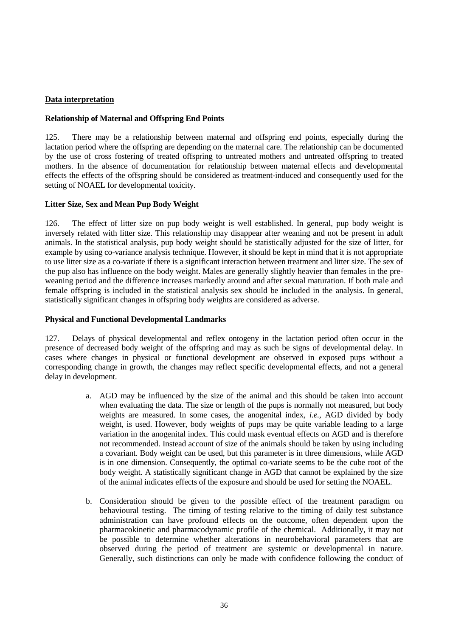## **Data interpretation**

## **Relationship of Maternal and Offspring End Points**

125. There may be a relationship between maternal and offspring end points, especially during the lactation period where the offspring are depending on the maternal care. The relationship can be documented by the use of cross fostering of treated offspring to untreated mothers and untreated offspring to treated mothers. In the absence of documentation for relationship between maternal effects and developmental effects the effects of the offspring should be considered as treatment-induced and consequently used for the setting of NOAEL for developmental toxicity.

## **Litter Size, Sex and Mean Pup Body Weight**

126. The effect of litter size on pup body weight is well established. In general, pup body weight is inversely related with litter size. This relationship may disappear after weaning and not be present in adult animals. In the statistical analysis, pup body weight should be statistically adjusted for the size of litter, for example by using co-variance analysis technique. However, it should be kept in mind that it is not appropriate to use litter size as a co-variate if there is a significant interaction between treatment and litter size. The sex of the pup also has influence on the body weight. Males are generally slightly heavier than females in the preweaning period and the difference increases markedly around and after sexual maturation. If both male and female offspring is included in the statistical analysis sex should be included in the analysis. In general, statistically significant changes in offspring body weights are considered as adverse.

## **Physical and Functional Developmental Landmarks**

127. Delays of physical developmental and reflex ontogeny in the lactation period often occur in the presence of decreased body weight of the offspring and may as such be signs of developmental delay. In cases where changes in physical or functional development are observed in exposed pups without a corresponding change in growth, the changes may reflect specific developmental effects, and not a general delay in development.

- a. AGD may be influenced by the size of the animal and this should be taken into account when evaluating the data. The size or length of the pups is normally not measured, but body weights are measured. In some cases, the anogenital index, *i.e.,* AGD divided by body weight, is used. However, body weights of pups may be quite variable leading to a large variation in the anogenital index. This could mask eventual effects on AGD and is therefore not recommended. Instead account of size of the animals should be taken by using including a covariant. Body weight can be used, but this parameter is in three dimensions, while AGD is in one dimension. Consequently, the optimal co-variate seems to be the cube root of the body weight. A statistically significant change in AGD that cannot be explained by the size of the animal indicates effects of the exposure and should be used for setting the NOAEL.
- b. Consideration should be given to the possible effect of the treatment paradigm on behavioural testing. The timing of testing relative to the timing of daily test substance administration can have profound effects on the outcome, often dependent upon the pharmacokinetic and pharmacodynamic profile of the chemical. Additionally, it may not be possible to determine whether alterations in neurobehavioral parameters that are observed during the period of treatment are systemic or developmental in nature. Generally, such distinctions can only be made with confidence following the conduct of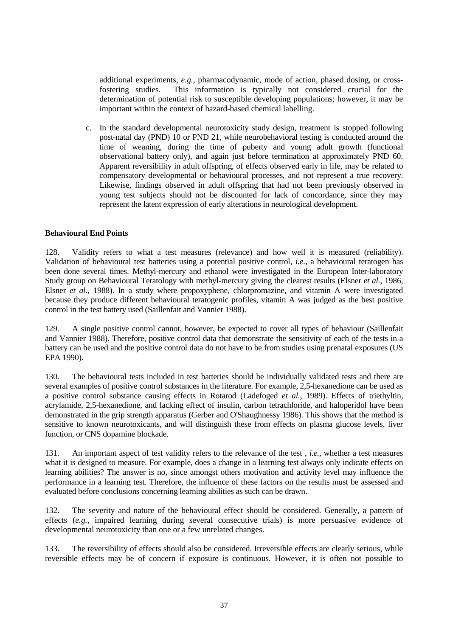additional experiments, *e.g.,* pharmacodynamic, mode of action, phased dosing, or crossfostering studies. This information is typically not considered crucial for the determination of potential risk to susceptible developing populations; however, it may be important within the context of hazard-based chemical labelling.

c. In the standard developmental neurotoxicity study design, treatment is stopped following post-natal day (PND) 10 or PND 21, while neurobehavioral testing is conducted around the time of weaning, during the time of puberty and young adult growth (functional observational battery only), and again just before termination at approximately PND 60. Apparent reversibility in adult offspring, of effects observed early in life, may be related to compensatory developmental or behavioural processes, and not represent a true recovery. Likewise, findings observed in adult offspring that had not been previously observed in young test subjects should not be discounted for lack of concordance, since they may represent the latent expression of early alterations in neurological development.

## **Behavioural End Points**

128. Validity refers to what a test measures (relevance) and how well it is measured (reliability). Validation of behavioural test batteries using a potential positive control, *i.e.,* a behavioural teratogen has been done several times. Methyl-mercury and ethanol were investigated in the European Inter-laboratory Study group on Behavioural Teratology with methyl-mercury giving the clearest results (Elsner *et al.,* 1986, Elsner *et al.,* 1988). In a study where propoxyphene, chlorpromazine, and vitamin A were investigated because they produce different behavioural teratogenic profiles, vitamin A was judged as the best positive control in the test battery used (Saillenfait and Vannier 1988).

129. A single positive control cannot, however, be expected to cover all types of behaviour (Saillenfait and Vannier 1988). Therefore, positive control data that demonstrate the sensitivity of each of the tests in a battery can be used and the positive control data do not have to be from studies using prenatal exposures (US EPA 1990).

130. The behavioural tests included in test batteries should be individually validated tests and there are several examples of positive control substances in the literature. For example, 2,5-hexanedione can be used as a positive control substance causing effects in Rotarod (Ladefoged *et al.,* 1989). Effects of triethyltin, acrylamide, 2,5-hexanedione, and lacking effect of insulin, carbon tetrachloride, and haloperidol have been demonstrated in the grip strength apparatus (Gerber and O'Shaughnessy 1986). This shows that the method is sensitive to known neurotoxicants, and will distinguish these from effects on plasma glucose levels, liver function, or CNS dopamine blockade.

131. An important aspect of test validity refers to the relevance of the test , *i.e.,* whether a test measures what it is designed to measure. For example, does a change in a learning test always only indicate effects on learning abilities? The answer is no, since amongst others motivation and activity level may influence the performance in a learning test. Therefore, the influence of these factors on the results must be assessed and evaluated before conclusions concerning learning abilities as such can be drawn.

132. The severity and nature of the behavioural effect should be considered. Generally, a pattern of effects (*e.g.,* impaired learning during several consecutive trials) is more persuasive evidence of developmental neurotoxicity than one or a few unrelated changes.

133. The reversibility of effects should also be considered. Irreversible effects are clearly serious, while reversible effects may be of concern if exposure is continuous. However, it is often not possible to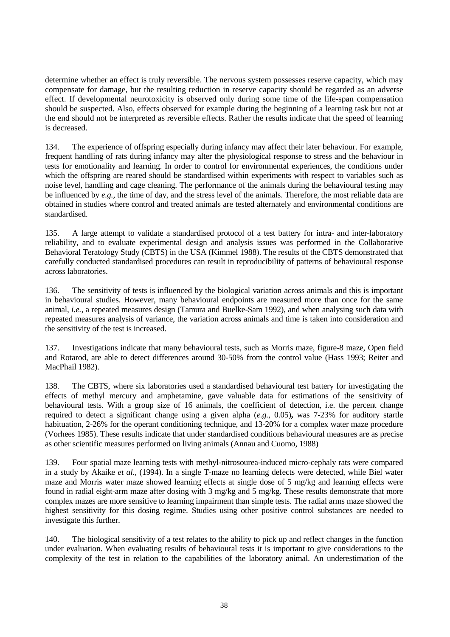determine whether an effect is truly reversible. The nervous system possesses reserve capacity, which may compensate for damage, but the resulting reduction in reserve capacity should be regarded as an adverse effect. If developmental neurotoxicity is observed only during some time of the life-span compensation should be suspected. Also, effects observed for example during the beginning of a learning task but not at the end should not be interpreted as reversible effects. Rather the results indicate that the speed of learning is decreased.

134. The experience of offspring especially during infancy may affect their later behaviour. For example, frequent handling of rats during infancy may alter the physiological response to stress and the behaviour in tests for emotionality and learning. In order to control for environmental experiences, the conditions under which the offspring are reared should be standardised within experiments with respect to variables such as noise level, handling and cage cleaning. The performance of the animals during the behavioural testing may be influenced by *e.g.,* the time of day, and the stress level of the animals. Therefore, the most reliable data are obtained in studies where control and treated animals are tested alternately and environmental conditions are standardised.

135. A large attempt to validate a standardised protocol of a test battery for intra- and inter-laboratory reliability, and to evaluate experimental design and analysis issues was performed in the Collaborative Behavioral Teratology Study (CBTS) in the USA (Kimmel 1988). The results of the CBTS demonstrated that carefully conducted standardised procedures can result in reproducibility of patterns of behavioural response across laboratories.

136. The sensitivity of tests is influenced by the biological variation across animals and this is important in behavioural studies. However, many behavioural endpoints are measured more than once for the same animal, *i.e.,* a repeated measures design (Tamura and Buelke-Sam 1992), and when analysing such data with repeated measures analysis of variance, the variation across animals and time is taken into consideration and the sensitivity of the test is increased.

137. Investigations indicate that many behavioural tests, such as Morris maze, figure-8 maze, Open field and Rotarod, are able to detect differences around 30-50% from the control value (Hass 1993; Reiter and MacPhail 1982).

138. The CBTS, where six laboratories used a standardised behavioural test battery for investigating the effects of methyl mercury and amphetamine, gave valuable data for estimations of the sensitivity of behavioural tests. With a group size of 16 animals, the coefficient of detection, i.e. the percent change required to detect a significant change using a given alpha (*e.g.,* 0.05)**,** was 7-23% for auditory startle habituation, 2-26% for the operant conditioning technique, and 13-20% for a complex water maze procedure (Vorhees 1985). These results indicate that under standardised conditions behavioural measures are as precise as other scientific measures performed on living animals (Annau and Cuomo, 1988)

139. Four spatial maze learning tests with methyl-nitrosourea-induced micro-cephaly rats were compared in a study by Akaike *et al.,* (1994). In a single T-maze no learning defects were detected, while Biel water maze and Morris water maze showed learning effects at single dose of 5 mg/kg and learning effects were found in radial eight-arm maze after dosing with 3 mg/kg and 5 mg/kg. These results demonstrate that more complex mazes are more sensitive to learning impairment than simple tests. The radial arms maze showed the highest sensitivity for this dosing regime. Studies using other positive control substances are needed to investigate this further.

140. The biological sensitivity of a test relates to the ability to pick up and reflect changes in the function under evaluation. When evaluating results of behavioural tests it is important to give considerations to the complexity of the test in relation to the capabilities of the laboratory animal. An underestimation of the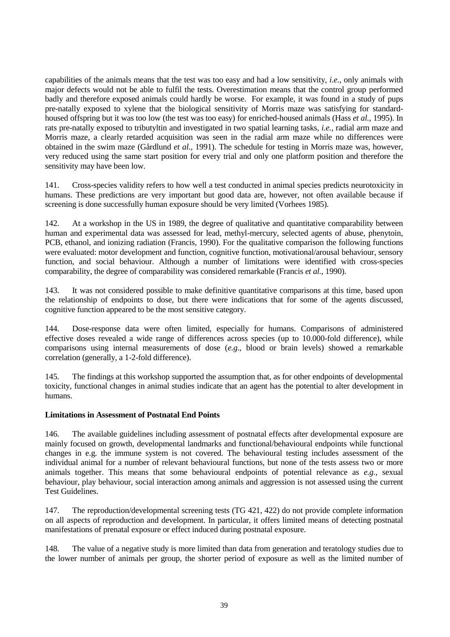capabilities of the animals means that the test was too easy and had a low sensitivity, *i.e.,* only animals with major defects would not be able to fulfil the tests. Overestimation means that the control group performed badly and therefore exposed animals could hardly be worse. For example, it was found in a study of pups pre-natally exposed to xylene that the biological sensitivity of Morris maze was satisfying for standardhoused offspring but it was too low (the test was too easy) for enriched-housed animals (Hass *et al.,* 1995). In rats pre-natally exposed to tributyltin and investigated in two spatial learning tasks, *i.e.,* radial arm maze and Morris maze, a clearly retarded acquisition was seen in the radial arm maze while no differences were obtained in the swim maze (Gårdlund *et al.,* 1991). The schedule for testing in Morris maze was, however, very reduced using the same start position for every trial and only one platform position and therefore the sensitivity may have been low.

141. Cross-species validity refers to how well a test conducted in animal species predicts neurotoxicity in humans. These predictions are very important but good data are, however, not often available because if screening is done successfully human exposure should be very limited (Vorhees 1985).

142. At a workshop in the US in 1989, the degree of qualitative and quantitative comparability between human and experimental data was assessed for lead, methyl-mercury, selected agents of abuse, phenytoin, PCB, ethanol, and ionizing radiation (Francis*,* 1990). For the qualitative comparison the following functions were evaluated: motor development and function, cognitive function, motivational/arousal behaviour, sensory function, and social behaviour. Although a number of limitations were identified with cross-species comparability, the degree of comparability was considered remarkable (Francis *et al.,* 1990).

143. It was not considered possible to make definitive quantitative comparisons at this time, based upon the relationship of endpoints to dose, but there were indications that for some of the agents discussed, cognitive function appeared to be the most sensitive category.

144. Dose-response data were often limited, especially for humans. Comparisons of administered effective doses revealed a wide range of differences across species (up to 10.000-fold difference), while comparisons using internal measurements of dose (*e.g*., blood or brain levels) showed a remarkable correlation (generally, a 1-2-fold difference).

145. The findings at this workshop supported the assumption that, as for other endpoints of developmental toxicity, functional changes in animal studies indicate that an agent has the potential to alter development in humans.

## **Limitations in Assessment of Postnatal End Points**

146. The available guidelines including assessment of postnatal effects after developmental exposure are mainly focused on growth, developmental landmarks and functional/behavioural endpoints while functional changes in e.g. the immune system is not covered. The behavioural testing includes assessment of the individual animal for a number of relevant behavioural functions, but none of the tests assess two or more animals together. This means that some behavioural endpoints of potential relevance as *e.g.,* sexual behaviour, play behaviour, social interaction among animals and aggression is not assessed using the current Test Guidelines.

147. The reproduction/developmental screening tests (TG 421, 422) do not provide complete information on all aspects of reproduction and development. In particular, it offers limited means of detecting postnatal manifestations of prenatal exposure or effect induced during postnatal exposure.

148. The value of a negative study is more limited than data from generation and teratology studies due to the lower number of animals per group, the shorter period of exposure as well as the limited number of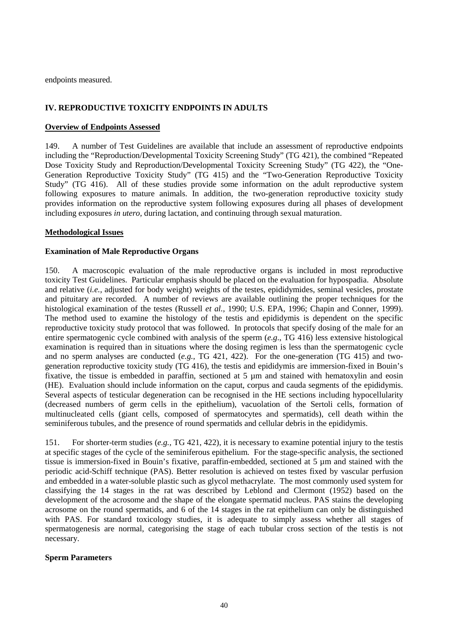endpoints measured.

## **IV. REPRODUCTIVE TOXICITY ENDPOINTS IN ADULTS**

### **Overview of Endpoints Assessed**

149. A number of Test Guidelines are available that include an assessment of reproductive endpoints including the "Reproduction/Developmental Toxicity Screening Study" (TG 421), the combined "Repeated Dose Toxicity Study and Reproduction/Developmental Toxicity Screening Study" (TG 422), the "One-Generation Reproductive Toxicity Study" (TG 415) and the "Two-Generation Reproductive Toxicity Study" (TG 416). All of these studies provide some information on the adult reproductive system following exposures to mature animals. In addition, the two-generation reproductive toxicity study provides information on the reproductive system following exposures during all phases of development including exposures *in utero,* during lactation, and continuing through sexual maturation.

## **Methodological Issues**

#### **Examination of Male Reproductive Organs**

150. A macroscopic evaluation of the male reproductive organs is included in most reproductive toxicity Test Guidelines. Particular emphasis should be placed on the evaluation for hypospadia. Absolute and relative (*i.e.,* adjusted for body weight) weights of the testes, epididymides, seminal vesicles, prostate and pituitary are recorded. A number of reviews are available outlining the proper techniques for the histological examination of the testes (Russell *et al.,* 1990; U.S. EPA, 1996; Chapin and Conner, 1999). The method used to examine the histology of the testis and epididymis is dependent on the specific reproductive toxicity study protocol that was followed. In protocols that specify dosing of the male for an entire spermatogenic cycle combined with analysis of the sperm (*e.g*., TG 416) less extensive histological examination is required than in situations where the dosing regimen is less than the spermatogenic cycle and no sperm analyses are conducted (*e.g.,* TG 421, 422). For the one-generation (TG 415) and twogeneration reproductive toxicity study (TG 416), the testis and epididymis are immersion-fixed in Bouin's fixative, the tissue is embedded in paraffin, sectioned at 5 µm and stained with hematoxylin and eosin (HE). Evaluation should include information on the caput, corpus and cauda segments of the epididymis. Several aspects of testicular degeneration can be recognised in the HE sections including hypocellularity (decreased numbers of germ cells in the epithelium), vacuolation of the Sertoli cells, formation of multinucleated cells (giant cells, composed of spermatocytes and spermatids), cell death within the seminiferous tubules, and the presence of round spermatids and cellular debris in the epididymis.

151. For shorter-term studies (*e.g.,* TG 421, 422), it is necessary to examine potential injury to the testis at specific stages of the cycle of the seminiferous epithelium. For the stage-specific analysis, the sectioned tissue is immersion-fixed in Bouin's fixative, paraffin-embedded, sectioned at 5 µm and stained with the periodic acid-Schiff technique (PAS). Better resolution is achieved on testes fixed by vascular perfusion and embedded in a water-soluble plastic such as glycol methacrylate. The most commonly used system for classifying the 14 stages in the rat was described by Leblond and Clermont (1952) based on the development of the acrosome and the shape of the elongate spermatid nucleus. PAS stains the developing acrosome on the round spermatids, and 6 of the 14 stages in the rat epithelium can only be distinguished with PAS. For standard toxicology studies, it is adequate to simply assess whether all stages of spermatogenesis are normal, categorising the stage of each tubular cross section of the testis is not necessary.

## **Sperm Parameters**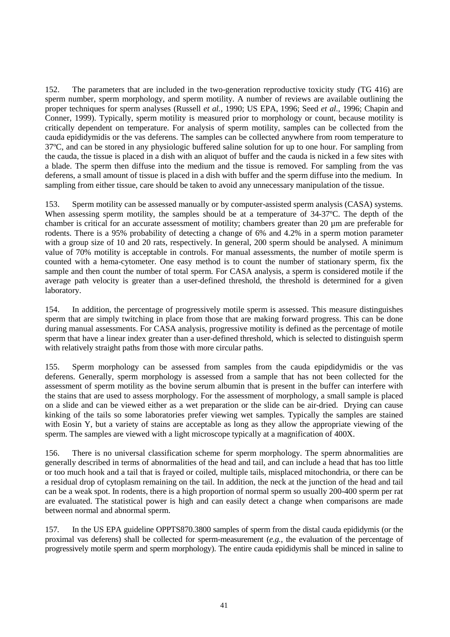152. The parameters that are included in the two-generation reproductive toxicity study (TG 416) are sperm number, sperm morphology, and sperm motility. A number of reviews are available outlining the proper techniques for sperm analyses (Russell *et al.,* 1990; US EPA, 1996; Seed *et al.,* 1996; Chapin and Conner, 1999). Typically, sperm motility is measured prior to morphology or count, because motility is critically dependent on temperature. For analysis of sperm motility, samples can be collected from the cauda epididymidis or the vas deferens. The samples can be collected anywhere from room temperature to 37ºC, and can be stored in any physiologic buffered saline solution for up to one hour. For sampling from the cauda, the tissue is placed in a dish with an aliquot of buffer and the cauda is nicked in a few sites with a blade. The sperm then diffuse into the medium and the tissue is removed. For sampling from the vas deferens, a small amount of tissue is placed in a dish with buffer and the sperm diffuse into the medium. In sampling from either tissue, care should be taken to avoid any unnecessary manipulation of the tissue.

153. Sperm motility can be assessed manually or by computer-assisted sperm analysis (CASA) systems. When assessing sperm motility, the samples should be at a temperature of 34-37ºC. The depth of the chamber is critical for an accurate assessment of motility; chambers greater than 20 µm are preferable for rodents. There is a 95% probability of detecting a change of 6% and 4.2% in a sperm motion parameter with a group size of 10 and 20 rats, respectively. In general, 200 sperm should be analysed. A minimum value of 70% motility is acceptable in controls. For manual assessments, the number of motile sperm is counted with a hema-cytometer. One easy method is to count the number of stationary sperm, fix the sample and then count the number of total sperm. For CASA analysis, a sperm is considered motile if the average path velocity is greater than a user-defined threshold, the threshold is determined for a given laboratory.

154. In addition, the percentage of progressively motile sperm is assessed. This measure distinguishes sperm that are simply twitching in place from those that are making forward progress. This can be done during manual assessments. For CASA analysis, progressive motility is defined as the percentage of motile sperm that have a linear index greater than a user-defined threshold, which is selected to distinguish sperm with relatively straight paths from those with more circular paths.

155. Sperm morphology can be assessed from samples from the cauda epipdidymidis or the vas deferens. Generally, sperm morphology is assessed from a sample that has not been collected for the assessment of sperm motility as the bovine serum albumin that is present in the buffer can interfere with the stains that are used to assess morphology. For the assessment of morphology, a small sample is placed on a slide and can be viewed either as a wet preparation or the slide can be air-dried. Drying can cause kinking of the tails so some laboratories prefer viewing wet samples. Typically the samples are stained with Eosin Y, but a variety of stains are acceptable as long as they allow the appropriate viewing of the sperm. The samples are viewed with a light microscope typically at a magnification of 400X.

156. There is no universal classification scheme for sperm morphology. The sperm abnormalities are generally described in terms of abnormalities of the head and tail, and can include a head that has too little or too much hook and a tail that is frayed or coiled, multiple tails, misplaced mitochondria, or there can be a residual drop of cytoplasm remaining on the tail. In addition, the neck at the junction of the head and tail can be a weak spot. In rodents, there is a high proportion of normal sperm so usually 200-400 sperm per rat are evaluated. The statistical power is high and can easily detect a change when comparisons are made between normal and abnormal sperm.

157. In the US EPA guideline OPPTS870.3800 samples of sperm from the distal cauda epididymis (or the proximal vas deferens) shall be collected for sperm-measurement (*e.g.,* the evaluation of the percentage of progressively motile sperm and sperm morphology). The entire cauda epididymis shall be minced in saline to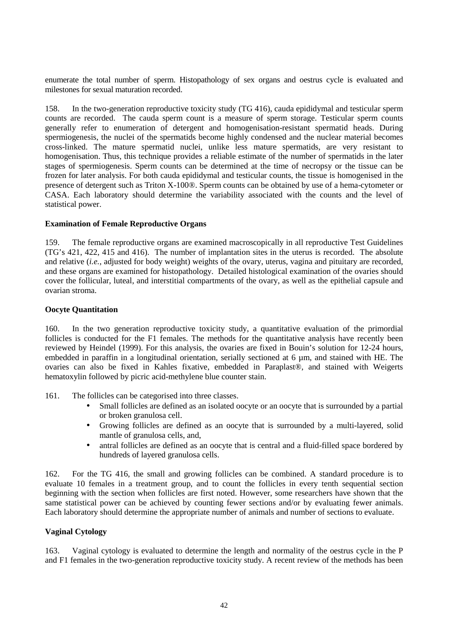enumerate the total number of sperm. Histopathology of sex organs and oestrus cycle is evaluated and milestones for sexual maturation recorded.

158. In the two-generation reproductive toxicity study (TG 416), cauda epididymal and testicular sperm counts are recorded. The cauda sperm count is a measure of sperm storage. Testicular sperm counts generally refer to enumeration of detergent and homogenisation-resistant spermatid heads. During spermiogenesis, the nuclei of the spermatids become highly condensed and the nuclear material becomes cross-linked. The mature spermatid nuclei, unlike less mature spermatids, are very resistant to homogenisation. Thus, this technique provides a reliable estimate of the number of spermatids in the later stages of spermiogenesis. Sperm counts can be determined at the time of necropsy or the tissue can be frozen for later analysis. For both cauda epididymal and testicular counts, the tissue is homogenised in the presence of detergent such as Triton X-100®. Sperm counts can be obtained by use of a hema-cytometer or CASA. Each laboratory should determine the variability associated with the counts and the level of statistical power.

## **Examination of Female Reproductive Organs**

159. The female reproductive organs are examined macroscopically in all reproductive Test Guidelines (TG's 421, 422, 415 and 416). The number of implantation sites in the uterus is recorded. The absolute and relative *(i.e.,* adjusted for body weight) weights of the ovary, uterus, vagina and pituitary are recorded, and these organs are examined for histopathology. Detailed histological examination of the ovaries should cover the follicular, luteal, and interstitial compartments of the ovary, as well as the epithelial capsule and ovarian stroma.

## **Oocyte Quantitation**

160. In the two generation reproductive toxicity study, a quantitative evaluation of the primordial follicles is conducted for the F1 females. The methods for the quantitative analysis have recently been reviewed by Heindel (1999). For this analysis, the ovaries are fixed in Bouin's solution for 12-24 hours, embedded in paraffin in a longitudinal orientation, serially sectioned at 6  $\mu$ m, and stained with HE. The ovaries can also be fixed in Kahles fixative, embedded in Paraplast®, and stained with Weigerts hematoxylin followed by picric acid-methylene blue counter stain.

- 161. The follicles can be categorised into three classes.
	- Small follicles are defined as an isolated oocyte or an oocyte that is surrounded by a partial or broken granulosa cell.
	- Growing follicles are defined as an oocyte that is surrounded by a multi-layered, solid mantle of granulosa cells, and,
	- antral follicles are defined as an oocyte that is central and a fluid-filled space bordered by hundreds of layered granulosa cells.

162. For the TG 416, the small and growing follicles can be combined. A standard procedure is to evaluate 10 females in a treatment group, and to count the follicles in every tenth sequential section beginning with the section when follicles are first noted. However, some researchers have shown that the same statistical power can be achieved by counting fewer sections and/or by evaluating fewer animals. Each laboratory should determine the appropriate number of animals and number of sections to evaluate.

## **Vaginal Cytology**

163. Vaginal cytology is evaluated to determine the length and normality of the oestrus cycle in the P and F1 females in the two-generation reproductive toxicity study. A recent review of the methods has been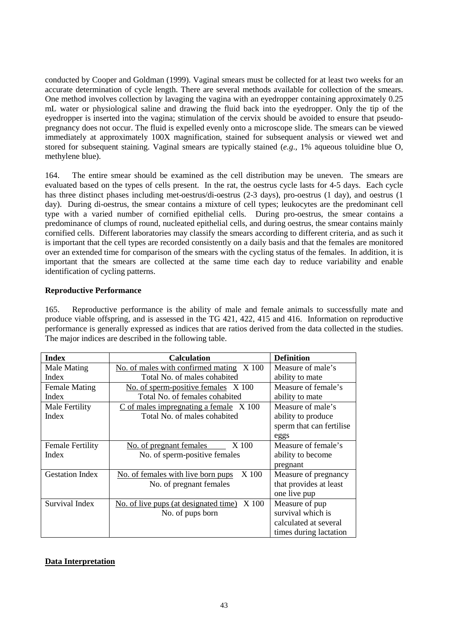conducted by Cooper and Goldman (1999). Vaginal smears must be collected for at least two weeks for an accurate determination of cycle length. There are several methods available for collection of the smears. One method involves collection by lavaging the vagina with an eyedropper containing approximately 0.25 mL water or physiological saline and drawing the fluid back into the eyedropper. Only the tip of the eyedropper is inserted into the vagina; stimulation of the cervix should be avoided to ensure that pseudopregnancy does not occur. The fluid is expelled evenly onto a microscope slide. The smears can be viewed immediately at approximately 100X magnification, stained for subsequent analysis or viewed wet and stored for subsequent staining. Vaginal smears are typically stained (*e.g*., 1% aqueous toluidine blue O, methylene blue).

164. The entire smear should be examined as the cell distribution may be uneven. The smears are evaluated based on the types of cells present. In the rat, the oestrus cycle lasts for 4-5 days. Each cycle has three distinct phases including met-oestrus/di-oestrus (2-3 days), pro-oestrus (1 day), and oestrus (1 day). During di-oestrus, the smear contains a mixture of cell types; leukocytes are the predominant cell type with a varied number of cornified epithelial cells. During pro-oestrus, the smear contains a predominance of clumps of round, nucleated epithelial cells, and during oestrus, the smear contains mainly cornified cells. Different laboratories may classify the smears according to different criteria, and as such it is important that the cell types are recorded consistently on a daily basis and that the females are monitored over an extended time for comparison of the smears with the cycling status of the females. In addition, it is important that the smears are collected at the same time each day to reduce variability and enable identification of cycling patterns.

## **Reproductive Performance**

165. Reproductive performance is the ability of male and female animals to successfully mate and produce viable offspring, and is assessed in the TG 421, 422, 415 and 416. Information on reproductive performance is generally expressed as indices that are ratios derived from the data collected in the studies. The major indices are described in the following table.

| <b>Index</b>            | <b>Calculation</b>                             | <b>Definition</b>        |
|-------------------------|------------------------------------------------|--------------------------|
| Male Mating             | No. of males with confirmed mating<br>X 100    | Measure of male's        |
| Index                   | Total No. of males cohabited                   | ability to mate          |
| <b>Female Mating</b>    | No. of sperm-positive females X 100            | Measure of female's      |
| Index                   | Total No. of females cohabited                 | ability to mate          |
| Male Fertility          | $C$ of males impregnating a female $X$ 100     | Measure of male's        |
| Index                   | Total No. of males cohabited                   | ability to produce       |
|                         |                                                | sperm that can fertilise |
|                         |                                                | eggs                     |
| <b>Female Fertility</b> | X 100<br>No. of pregnant females               | Measure of female's      |
| Index                   | No. of sperm-positive females                  | ability to become        |
|                         |                                                | pregnant                 |
| <b>Gestation Index</b>  | X 100<br>No. of females with live born pups    | Measure of pregnancy     |
|                         | No. of pregnant females                        | that provides at least   |
|                         |                                                | one live pup             |
| Survival Index          | No. of live pups (at designated time)<br>X 100 | Measure of pup           |
|                         | No. of pups born                               | survival which is        |
|                         |                                                | calculated at several    |
|                         |                                                | times during lactation   |

## **Data Interpretation**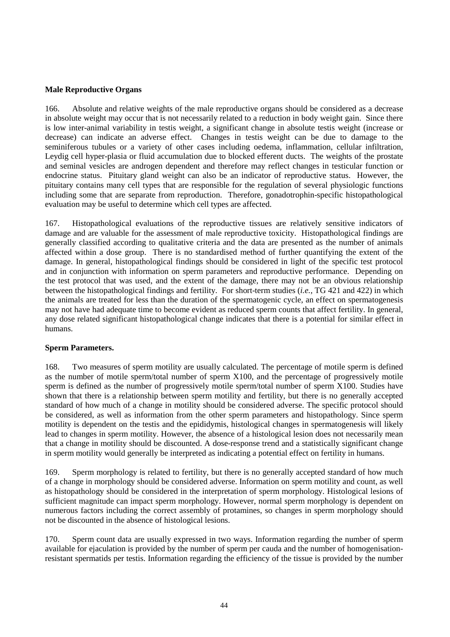## **Male Reproductive Organs**

166. Absolute and relative weights of the male reproductive organs should be considered as a decrease in absolute weight may occur that is not necessarily related to a reduction in body weight gain. Since there is low inter-animal variability in testis weight, a significant change in absolute testis weight (increase or decrease) can indicate an adverse effect. Changes in testis weight can be due to damage to the seminiferous tubules or a variety of other cases including oedema, inflammation, cellular infiltration, Leydig cell hyper-plasia or fluid accumulation due to blocked efferent ducts. The weights of the prostate and seminal vesicles are androgen dependent and therefore may reflect changes in testicular function or endocrine status. Pituitary gland weight can also be an indicator of reproductive status. However, the pituitary contains many cell types that are responsible for the regulation of several physiologic functions including some that are separate from reproduction. Therefore, gonadotrophin-specific histopathological evaluation may be useful to determine which cell types are affected.

167. Histopathological evaluations of the reproductive tissues are relatively sensitive indicators of damage and are valuable for the assessment of male reproductive toxicity. Histopathological findings are generally classified according to qualitative criteria and the data are presented as the number of animals affected within a dose group. There is no standardised method of further quantifying the extent of the damage. In general, histopathological findings should be considered in light of the specific test protocol and in conjunction with information on sperm parameters and reproductive performance. Depending on the test protocol that was used, and the extent of the damage, there may not be an obvious relationship between the histopathological findings and fertility. For short-term studies (*i.e.,* TG 421 and 422) in which the animals are treated for less than the duration of the spermatogenic cycle, an effect on spermatogenesis may not have had adequate time to become evident as reduced sperm counts that affect fertility. In general, any dose related significant histopathological change indicates that there is a potential for similar effect in humans.

## **Sperm Parameters.**

168. Two measures of sperm motility are usually calculated. The percentage of motile sperm is defined as the number of motile sperm/total number of sperm X100, and the percentage of progressively motile sperm is defined as the number of progressively motile sperm/total number of sperm X100. Studies have shown that there is a relationship between sperm motility and fertility, but there is no generally accepted standard of how much of a change in motility should be considered adverse. The specific protocol should be considered, as well as information from the other sperm parameters and histopathology. Since sperm motility is dependent on the testis and the epididymis, histological changes in spermatogenesis will likely lead to changes in sperm motility. However, the absence of a histological lesion does not necessarily mean that a change in motility should be discounted. A dose-response trend and a statistically significant change in sperm motility would generally be interpreted as indicating a potential effect on fertility in humans.

169. Sperm morphology is related to fertility, but there is no generally accepted standard of how much of a change in morphology should be considered adverse. Information on sperm motility and count, as well as histopathology should be considered in the interpretation of sperm morphology. Histological lesions of sufficient magnitude can impact sperm morphology. However, normal sperm morphology is dependent on numerous factors including the correct assembly of protamines, so changes in sperm morphology should not be discounted in the absence of histological lesions.

170. Sperm count data are usually expressed in two ways. Information regarding the number of sperm available for ejaculation is provided by the number of sperm per cauda and the number of homogenisationresistant spermatids per testis. Information regarding the efficiency of the tissue is provided by the number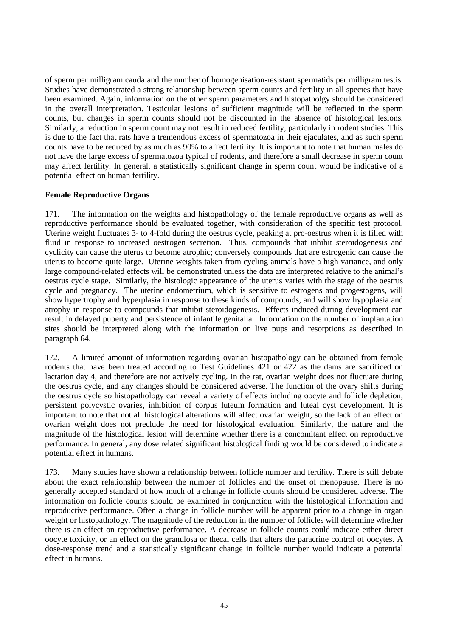of sperm per milligram cauda and the number of homogenisation-resistant spermatids per milligram testis. Studies have demonstrated a strong relationship between sperm counts and fertility in all species that have been examined. Again, information on the other sperm parameters and histopatholgy should be considered in the overall interpretation. Testicular lesions of sufficient magnitude will be reflected in the sperm counts, but changes in sperm counts should not be discounted in the absence of histological lesions. Similarly, a reduction in sperm count may not result in reduced fertility, particularly in rodent studies. This is due to the fact that rats have a tremendous excess of spermatozoa in their ejaculates, and as such sperm counts have to be reduced by as much as 90% to affect fertility. It is important to note that human males do not have the large excess of spermatozoa typical of rodents, and therefore a small decrease in sperm count may affect fertility. In general, a statistically significant change in sperm count would be indicative of a potential effect on human fertility.

## **Female Reproductive Organs**

171. The information on the weights and histopathology of the female reproductive organs as well as reproductive performance should be evaluated together, with consideration of the specific test protocol. Uterine weight fluctuates 3- to 4-fold during the oestrus cycle, peaking at pro-oestrus when it is filled with fluid in response to increased oestrogen secretion. Thus, compounds that inhibit steroidogenesis and cyclicity can cause the uterus to become atrophic; conversely compounds that are estrogenic can cause the uterus to become quite large. Uterine weights taken from cycling animals have a high variance, and only large compound-related effects will be demonstrated unless the data are interpreted relative to the animal's oestrus cycle stage. Similarly, the histologic appearance of the uterus varies with the stage of the oestrus cycle and pregnancy. The uterine endometrium, which is sensitive to estrogens and progestogens, will show hypertrophy and hyperplasia in response to these kinds of compounds, and will show hypoplasia and atrophy in response to compounds that inhibit steroidogenesis. Effects induced during development can result in delayed puberty and persistence of infantile genitalia. Information on the number of implantation sites should be interpreted along with the information on live pups and resorptions as described in paragraph 64.

172. A limited amount of information regarding ovarian histopathology can be obtained from female rodents that have been treated according to Test Guidelines 421 or 422 as the dams are sacrificed on lactation day 4, and therefore are not actively cycling. In the rat, ovarian weight does not fluctuate during the oestrus cycle, and any changes should be considered adverse. The function of the ovary shifts during the oestrus cycle so histopathology can reveal a variety of effects including oocyte and follicle depletion, persistent polycystic ovaries, inhibition of corpus luteum formation and luteal cyst development. It is important to note that not all histological alterations will affect ovarian weight, so the lack of an effect on ovarian weight does not preclude the need for histological evaluation. Similarly, the nature and the magnitude of the histological lesion will determine whether there is a concomitant effect on reproductive performance. In general, any dose related significant histological finding would be considered to indicate a potential effect in humans.

173. Many studies have shown a relationship between follicle number and fertility. There is still debate about the exact relationship between the number of follicles and the onset of menopause. There is no generally accepted standard of how much of a change in follicle counts should be considered adverse. The information on follicle counts should be examined in conjunction with the histological information and reproductive performance. Often a change in follicle number will be apparent prior to a change in organ weight or histopathology. The magnitude of the reduction in the number of follicles will determine whether there is an effect on reproductive performance. A decrease in follicle counts could indicate either direct oocyte toxicity, or an effect on the granulosa or thecal cells that alters the paracrine control of oocytes. A dose-response trend and a statistically significant change in follicle number would indicate a potential effect in humans.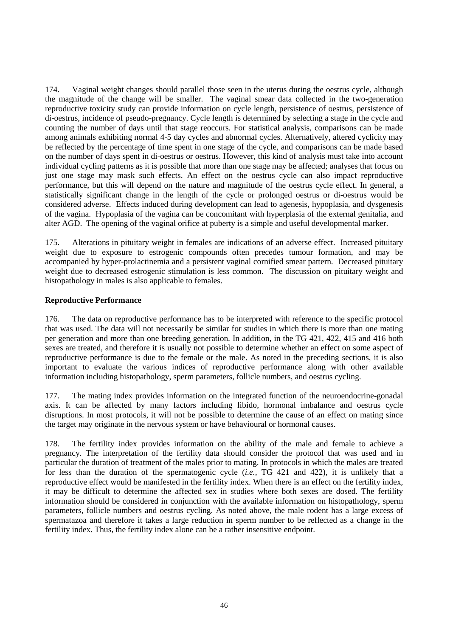174. Vaginal weight changes should parallel those seen in the uterus during the oestrus cycle, although the magnitude of the change will be smaller. The vaginal smear data collected in the two-generation reproductive toxicity study can provide information on cycle length, persistence of oestrus, persistence of di-oestrus, incidence of pseudo-pregnancy. Cycle length is determined by selecting a stage in the cycle and counting the number of days until that stage reoccurs. For statistical analysis, comparisons can be made among animals exhibiting normal 4-5 day cycles and abnormal cycles. Alternatively, altered cyclicity may be reflected by the percentage of time spent in one stage of the cycle, and comparisons can be made based on the number of days spent in di-oestrus or oestrus. However, this kind of analysis must take into account individual cycling patterns as it is possible that more than one stage may be affected; analyses that focus on just one stage may mask such effects. An effect on the oestrus cycle can also impact reproductive performance, but this will depend on the nature and magnitude of the oestrus cycle effect. In general, a statistically significant change in the length of the cycle or prolonged oestrus or di-oestrus would be considered adverse. Effects induced during development can lead to agenesis, hypoplasia, and dysgenesis of the vagina. Hypoplasia of the vagina can be concomitant with hyperplasia of the external genitalia, and alter AGD. The opening of the vaginal orifice at puberty is a simple and useful developmental marker.

175. Alterations in pituitary weight in females are indications of an adverse effect. Increased pituitary weight due to exposure to estrogenic compounds often precedes tumour formation, and may be accompanied by hyper-prolactinemia and a persistent vaginal cornified smear pattern. Decreased pituitary weight due to decreased estrogenic stimulation is less common. The discussion on pituitary weight and histopathology in males is also applicable to females.

#### **Reproductive Performance**

176. The data on reproductive performance has to be interpreted with reference to the specific protocol that was used. The data will not necessarily be similar for studies in which there is more than one mating per generation and more than one breeding generation. In addition, in the TG 421, 422, 415 and 416 both sexes are treated, and therefore it is usually not possible to determine whether an effect on some aspect of reproductive performance is due to the female or the male. As noted in the preceding sections, it is also important to evaluate the various indices of reproductive performance along with other available information including histopathology, sperm parameters, follicle numbers, and oestrus cycling.

177. The mating index provides information on the integrated function of the neuroendocrine-gonadal axis. It can be affected by many factors including libido, hormonal imbalance and oestrus cycle disruptions. In most protocols, it will not be possible to determine the cause of an effect on mating since the target may originate in the nervous system or have behavioural or hormonal causes.

178. The fertility index provides information on the ability of the male and female to achieve a pregnancy. The interpretation of the fertility data should consider the protocol that was used and in particular the duration of treatment of the males prior to mating. In protocols in which the males are treated for less than the duration of the spermatogenic cycle (*i.e.,* TG 421 and 422), it is unlikely that a reproductive effect would be manifested in the fertility index. When there is an effect on the fertility index, it may be difficult to determine the affected sex in studies where both sexes are dosed. The fertility information should be considered in conjunction with the available information on histopathology, sperm parameters, follicle numbers and oestrus cycling. As noted above, the male rodent has a large excess of spermatazoa and therefore it takes a large reduction in sperm number to be reflected as a change in the fertility index. Thus, the fertility index alone can be a rather insensitive endpoint.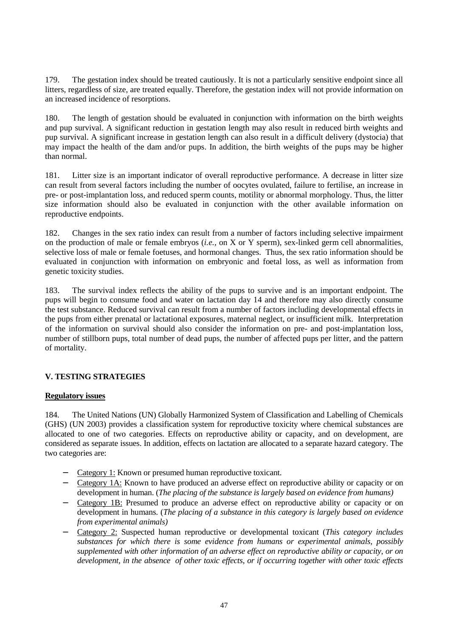179. The gestation index should be treated cautiously. It is not a particularly sensitive endpoint since all litters, regardless of size, are treated equally. Therefore, the gestation index will not provide information on an increased incidence of resorptions.

180. The length of gestation should be evaluated in conjunction with information on the birth weights and pup survival. A significant reduction in gestation length may also result in reduced birth weights and pup survival. A significant increase in gestation length can also result in a difficult delivery (dystocia) that may impact the health of the dam and/or pups. In addition, the birth weights of the pups may be higher than normal.

181. Litter size is an important indicator of overall reproductive performance. A decrease in litter size can result from several factors including the number of oocytes ovulated, failure to fertilise, an increase in pre- or post-implantation loss, and reduced sperm counts, motility or abnormal morphology. Thus, the litter size information should also be evaluated in conjunction with the other available information on reproductive endpoints.

182. Changes in the sex ratio index can result from a number of factors including selective impairment on the production of male or female embryos (*i.e.,* on X or Y sperm), sex-linked germ cell abnormalities, selective loss of male or female foetuses, and hormonal changes. Thus, the sex ratio information should be evaluated in conjunction with information on embryonic and foetal loss, as well as information from genetic toxicity studies.

183. The survival index reflects the ability of the pups to survive and is an important endpoint. The pups will begin to consume food and water on lactation day 14 and therefore may also directly consume the test substance. Reduced survival can result from a number of factors including developmental effects in the pups from either prenatal or lactational exposures, maternal neglect, or insufficient milk. Interpretation of the information on survival should also consider the information on pre- and post-implantation loss, number of stillborn pups, total number of dead pups, the number of affected pups per litter, and the pattern of mortality.

## **V. TESTING STRATEGIES**

## **Regulatory issues**

184. The United Nations (UN) Globally Harmonized System of Classification and Labelling of Chemicals (GHS) (UN 2003) provides a classification system for reproductive toxicity where chemical substances are allocated to one of two categories. Effects on reproductive ability or capacity, and on development, are considered as separate issues. In addition, effects on lactation are allocated to a separate hazard category. The two categories are:

- − Category 1: Known or presumed human reproductive toxicant.
- − Category 1A: Known to have produced an adverse effect on reproductive ability or capacity or on development in human. (*The placing of the substance is largely based on evidence from humans)*
- − Category 1B: Presumed to produce an adverse effect on reproductive ability or capacity or on development in humans. (*The placing of a substance in this category is largely based on evidence from experimental animals)*
- − Category 2: Suspected human reproductive or developmental toxicant (*This category includes substances for which there is some evidence from humans or experimental animals, possibly supplemented with other information of an adverse effect on reproductive ability or capacity, or on development, in the absence of other toxic effects, or if occurring together with other toxic effects*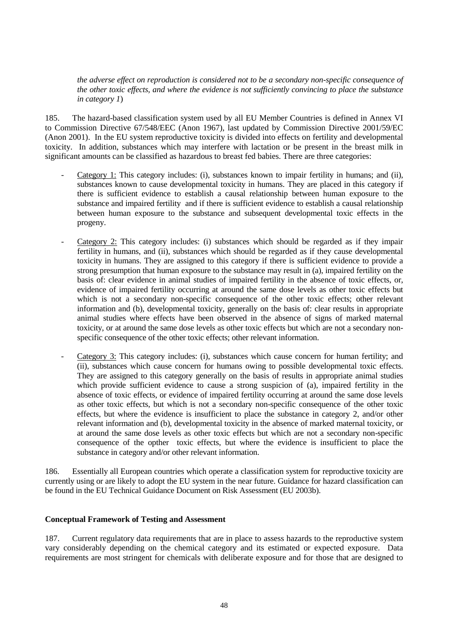*the adverse effect on reproduction is considered not to be a secondary non-specific consequence of the other toxic effects, and where the evidence is not sufficiently convincing to place the substance in category 1*)

185. The hazard-based classification system used by all EU Member Countries is defined in Annex VI to Commission Directive 67/548/EEC (Anon 1967), last updated by Commission Directive 2001/59/EC (Anon 2001). In the EU system reproductive toxicity is divided into effects on fertility and developmental toxicity. In addition, substances which may interfere with lactation or be present in the breast milk in significant amounts can be classified as hazardous to breast fed babies. There are three categories:

- Category 1: This category includes: (i), substances known to impair fertility in humans; and (ii), substances known to cause developmental toxicity in humans. They are placed in this category if there is sufficient evidence to establish a causal relationship between human exposure to the substance and impaired fertility and if there is sufficient evidence to establish a causal relationship between human exposure to the substance and subsequent developmental toxic effects in the progeny.
- Category 2: This category includes: (i) substances which should be regarded as if they impair fertility in humans, and (ii), substances which should be regarded as if they cause developmental toxicity in humans. They are assigned to this category if there is sufficient evidence to provide a strong presumption that human exposure to the substance may result in (a), impaired fertility on the basis of: clear evidence in animal studies of impaired fertility in the absence of toxic effects, or, evidence of impaired fertility occurring at around the same dose levels as other toxic effects but which is not a secondary non-specific consequence of the other toxic effects; other relevant information and (b), developmental toxicity, generally on the basis of: clear results in appropriate animal studies where effects have been observed in the absence of signs of marked maternal toxicity, or at around the same dose levels as other toxic effects but which are not a secondary nonspecific consequence of the other toxic effects; other relevant information.
- Category 3: This category includes: (i), substances which cause concern for human fertility; and (ii), substances which cause concern for humans owing to possible developmental toxic effects. They are assigned to this category generally on the basis of results in appropriate animal studies which provide sufficient evidence to cause a strong suspicion of (a), impaired fertility in the absence of toxic effects, or evidence of impaired fertility occurring at around the same dose levels as other toxic effects, but which is not a secondary non-specific consequence of the other toxic effects, but where the evidence is insufficient to place the substance in category 2, and/or other relevant information and (b), developmental toxicity in the absence of marked maternal toxicity, or at around the same dose levels as other toxic effects but which are not a secondary non-specific consequence of the opther toxic effects, but where the evidence is insufficient to place the substance in category and/or other relevant information.

186. Essentially all European countries which operate a classification system for reproductive toxicity are currently using or are likely to adopt the EU system in the near future. Guidance for hazard classification can be found in the EU Technical Guidance Document on Risk Assessment (EU 2003b).

## **Conceptual Framework of Testing and Assessment**

187. Current regulatory data requirements that are in place to assess hazards to the reproductive system vary considerably depending on the chemical category and its estimated or expected exposure. Data requirements are most stringent for chemicals with deliberate exposure and for those that are designed to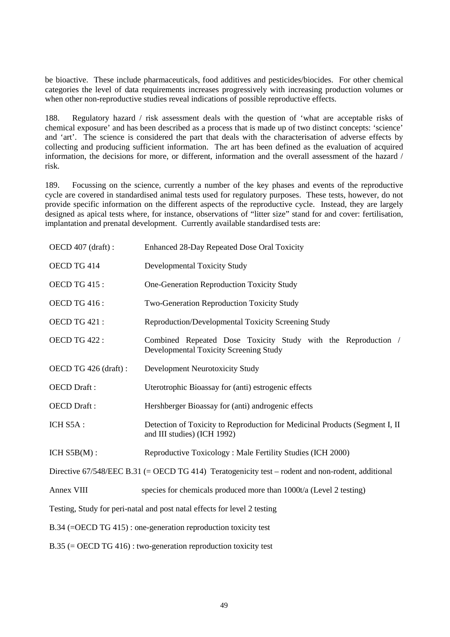be bioactive. These include pharmaceuticals, food additives and pesticides/biocides. For other chemical categories the level of data requirements increases progressively with increasing production volumes or when other non-reproductive studies reveal indications of possible reproductive effects.

188. Regulatory hazard / risk assessment deals with the question of 'what are acceptable risks of chemical exposure' and has been described as a process that is made up of two distinct concepts: 'science' and 'art'. The science is considered the part that deals with the characterisation of adverse effects by collecting and producing sufficient information. The art has been defined as the evaluation of acquired information, the decisions for more, or different, information and the overall assessment of the hazard / risk.

189. Focussing on the science, currently a number of the key phases and events of the reproductive cycle are covered in standardised animal tests used for regulatory purposes. These tests, however, do not provide specific information on the different aspects of the reproductive cycle. Instead, they are largely designed as apical tests where, for instance, observations of "litter size" stand for and cover: fertilisation, implantation and prenatal development. Currently available standardised tests are:

| <b>OECD 407 (draft):</b>                                                                          | Enhanced 28-Day Repeated Dose Oral Toxicity                                                                |  |
|---------------------------------------------------------------------------------------------------|------------------------------------------------------------------------------------------------------------|--|
| OECD TG 414                                                                                       | <b>Developmental Toxicity Study</b>                                                                        |  |
| OECD TG 415:                                                                                      | One-Generation Reproduction Toxicity Study                                                                 |  |
| OECD TG 416:                                                                                      | Two-Generation Reproduction Toxicity Study                                                                 |  |
| OECD TG 421:                                                                                      | Reproduction/Developmental Toxicity Screening Study                                                        |  |
| OECD TG 422:                                                                                      | Combined Repeated Dose Toxicity Study with the Reproduction /<br>Developmental Toxicity Screening Study    |  |
| OECD TG 426 (draft) :                                                                             | Development Neurotoxicity Study                                                                            |  |
| <b>OECD</b> Draft:                                                                                | Uterotrophic Bioassay for (anti) estrogenic effects                                                        |  |
| <b>OECD</b> Draft:                                                                                | Hershberger Bioassay for (anti) androgenic effects                                                         |  |
| ICH S5A:                                                                                          | Detection of Toxicity to Reproduction for Medicinal Products (Segment I, II<br>and III studies) (ICH 1992) |  |
| ICH $SSB(M)$ :                                                                                    | Reproductive Toxicology: Male Fertility Studies (ICH 2000)                                                 |  |
| Directive 67/548/EEC B.31 (= OECD TG 414) Teratogenicity test – rodent and non-rodent, additional |                                                                                                            |  |
| Annex VIII                                                                                        | species for chemicals produced more than 1000t/a (Level 2 testing)                                         |  |
|                                                                                                   | Testing, Study for peri-natal and post natal effects for level 2 testing                                   |  |
|                                                                                                   | $B.34$ (=OECD TG 415): one-generation reproduction toxicity test                                           |  |
|                                                                                                   | $B.35$ (= OECD TG 416) : two-generation reproduction toxicity test                                         |  |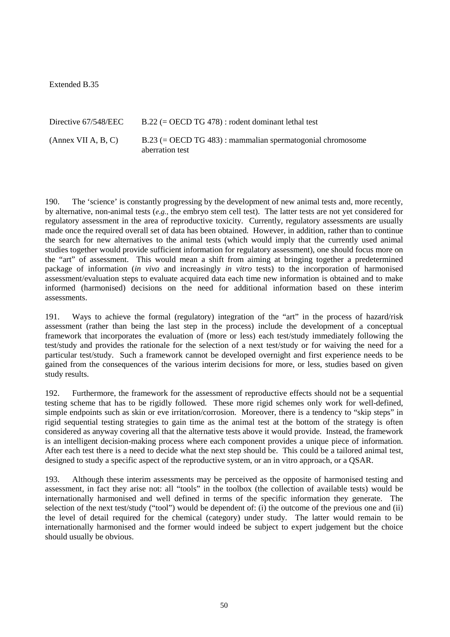Extended B.35

Directive  $67/548/EEC$  B.22 (= OECD TG 478) : rodent dominant lethal test (Annex VII A, B, C)  $B.23 \equiv \text{OECD} \text{ TG } 483$ ) : mammalian spermatogonial chromosome aberration test

190. The 'science' is constantly progressing by the development of new animal tests and, more recently, by alternative, non-animal tests (*e.g.,* the embryo stem cell test). The latter tests are not yet considered for regulatory assessment in the area of reproductive toxicity. Currently, regulatory assessments are usually made once the required overall set of data has been obtained. However, in addition, rather than to continue the search for new alternatives to the animal tests (which would imply that the currently used animal studies together would provide sufficient information for regulatory assessment), one should focus more on the "art" of assessment. This would mean a shift from aiming at bringing together a predetermined package of information (*in vivo* and increasingly *in vitro* tests) to the incorporation of harmonised assessment/evaluation steps to evaluate acquired data each time new information is obtained and to make informed (harmonised) decisions on the need for additional information based on these interim assessments.

191. Ways to achieve the formal (regulatory) integration of the "art" in the process of hazard/risk assessment (rather than being the last step in the process) include the development of a conceptual framework that incorporates the evaluation of (more or less) each test/study immediately following the test/study and provides the rationale for the selection of a next test/study or for waiving the need for a particular test/study. Such a framework cannot be developed overnight and first experience needs to be gained from the consequences of the various interim decisions for more, or less, studies based on given study results.

192. Furthermore, the framework for the assessment of reproductive effects should not be a sequential testing scheme that has to be rigidly followed. These more rigid schemes only work for well-defined, simple endpoints such as skin or eve irritation/corrosion. Moreover, there is a tendency to "skip steps" in rigid sequential testing strategies to gain time as the animal test at the bottom of the strategy is often considered as anyway covering all that the alternative tests above it would provide. Instead, the framework is an intelligent decision-making process where each component provides a unique piece of information. After each test there is a need to decide what the next step should be. This could be a tailored animal test, designed to study a specific aspect of the reproductive system, or an in vitro approach, or a QSAR.

193. Although these interim assessments may be perceived as the opposite of harmonised testing and assessment, in fact they arise not: all "tools" in the toolbox (the collection of available tests) would be internationally harmonised and well defined in terms of the specific information they generate. The selection of the next test/study ("tool") would be dependent of: (i) the outcome of the previous one and (ii) the level of detail required for the chemical (category) under study. The latter would remain to be internationally harmonised and the former would indeed be subject to expert judgement but the choice should usually be obvious.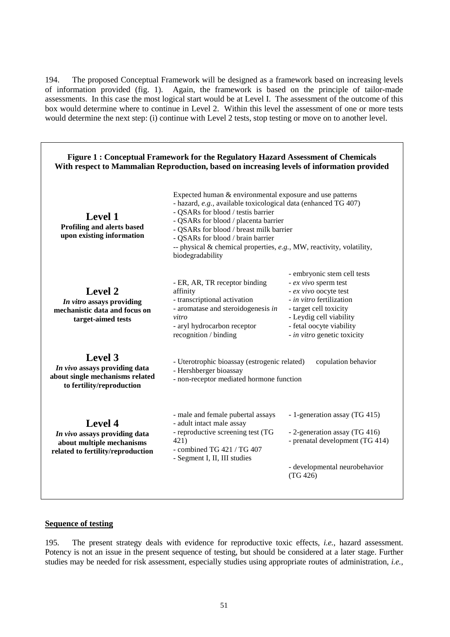194. The proposed Conceptual Framework will be designed as a framework based on increasing levels of information provided (fig. 1). Again, the framework is based on the principle of tailor-made assessments. In this case the most logical start would be at Level I. The assessment of the outcome of this box would determine where to continue in Level 2. Within this level the assessment of one or more tests would determine the next step: (i) continue with Level 2 tests, stop testing or move on to another level.

|                                                                                                                   | Figure 1: Conceptual Framework for the Regulatory Hazard Assessment of Chemicals<br>With respect to Mammalian Reproduction, based on increasing levels of information provided                                                                                                                                                                                                       |                                                                                                                                                                                                                          |
|-------------------------------------------------------------------------------------------------------------------|--------------------------------------------------------------------------------------------------------------------------------------------------------------------------------------------------------------------------------------------------------------------------------------------------------------------------------------------------------------------------------------|--------------------------------------------------------------------------------------------------------------------------------------------------------------------------------------------------------------------------|
| <b>Level 1</b><br>Profiling and alerts based<br>upon existing information                                         | Expected human & environmental exposure and use patterns<br>- hazard, e.g., available toxicological data (enhanced TG 407)<br>- QSARs for blood / testis barrier<br>- QSARs for blood / placenta barrier<br>- QSARs for blood / breast milk barrier<br>- QSARs for blood / brain barrier<br>-- physical & chemical properties, e.g., MW, reactivity, volatility,<br>biodegradability |                                                                                                                                                                                                                          |
| <b>Level 2</b><br>In vitro assays providing<br>mechanistic data and focus on<br>target-aimed tests                | - ER, AR, TR receptor binding<br>affinity<br>- transcriptional activation<br>- aromatase and steroidogenesis in<br>vitro<br>- aryl hydrocarbon receptor<br>recognition / binding                                                                                                                                                                                                     | - embryonic stem cell tests<br>- ex vivo sperm test<br>- ex vivo oocyte test<br>- in vitro fertilization<br>- target cell toxicity<br>- Leydig cell viability<br>- fetal oocyte viability<br>- in vitro genetic toxicity |
| Level 3<br>In vivo assays providing data<br>about single mechanisms related<br>to fertility/reproduction          | - Uterotrophic bioassay (estrogenic related)<br>copulation behavior<br>- Hershberger bioassay<br>- non-receptor mediated hormone function                                                                                                                                                                                                                                            |                                                                                                                                                                                                                          |
| <b>Level 4</b><br>In vivo assays providing data<br>about multiple mechanisms<br>related to fertility/reproduction | - male and female pubertal assays<br>- adult intact male assay<br>- reproductive screening test (TG<br>421)<br>- combined TG 421 / TG 407<br>- Segment I, II, III studies                                                                                                                                                                                                            | - 1-generation assay (TG 415)<br>- 2-generation assay (TG 416)<br>- prenatal development (TG 414)<br>- developmental neurobehavior<br>(TG 426)                                                                           |
|                                                                                                                   |                                                                                                                                                                                                                                                                                                                                                                                      |                                                                                                                                                                                                                          |

## **Sequence of testing**

195. The present strategy deals with evidence for reproductive toxic effects, *i.e.*, hazard assessment. Potency is not an issue in the present sequence of testing, but should be considered at a later stage. Further studies may be needed for risk assessment, especially studies using appropriate routes of administration, *i.e.,*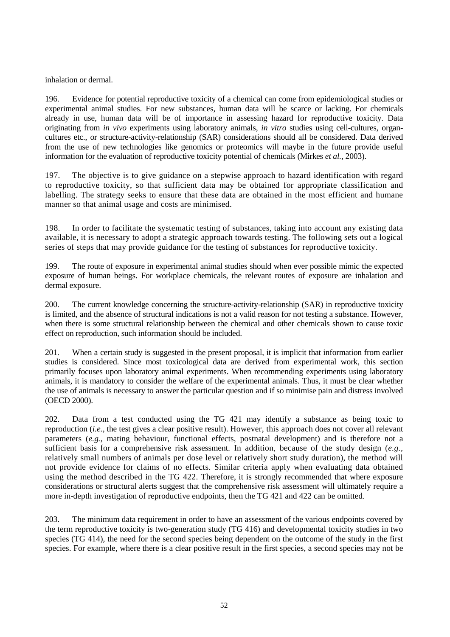inhalation or dermal.

196. Evidence for potential reproductive toxicity of a chemical can come from epidemiological studies or experimental animal studies. For new substances, human data will be scarce or lacking. For chemicals already in use, human data will be of importance in assessing hazard for reproductive toxicity. Data originating from *in vivo* experiments using laboratory animals, *in vitro* studies using cell-cultures, organcultures etc., or structure-activity-relationship (SAR) considerations should all be considered. Data derived from the use of new technologies like genomics or proteomics will maybe in the future provide useful information for the evaluation of reproductive toxicity potential of chemicals (Mirkes *et al.,* 2003).

197. The objective is to give guidance on a stepwise approach to hazard identification with regard to reproductive toxicity, so that sufficient data may be obtained for appropriate classification and labelling. The strategy seeks to ensure that these data are obtained in the most efficient and humane manner so that animal usage and costs are minimised.

198. In order to facilitate the systematic testing of substances, taking into account any existing data available, it is necessary to adopt a strategic approach towards testing. The following sets out a logical series of steps that may provide guidance for the testing of substances for reproductive toxicity.

199. The route of exposure in experimental animal studies should when ever possible mimic the expected exposure of human beings. For workplace chemicals, the relevant routes of exposure are inhalation and dermal exposure.

200. The current knowledge concerning the structure-activity-relationship (SAR) in reproductive toxicity is limited, and the absence of structural indications is not a valid reason for not testing a substance. However, when there is some structural relationship between the chemical and other chemicals shown to cause toxic effect on reproduction, such information should be included.

201. When a certain study is suggested in the present proposal, it is implicit that information from earlier studies is considered. Since most toxicological data are derived from experimental work, this section primarily focuses upon laboratory animal experiments. When recommending experiments using laboratory animals, it is mandatory to consider the welfare of the experimental animals. Thus, it must be clear whether the use of animals is necessary to answer the particular question and if so minimise pain and distress involved (OECD 2000).

202. Data from a test conducted using the TG 421 may identify a substance as being toxic to reproduction (*i.e.,* the test gives a clear positive result). However, this approach does not cover all relevant parameters (*e.g.,* mating behaviour, functional effects, postnatal development) and is therefore not a sufficient basis for a comprehensive risk assessment. In addition, because of the study design (*e.g.,* relatively small numbers of animals per dose level or relatively short study duration), the method will not provide evidence for claims of no effects. Similar criteria apply when evaluating data obtained using the method described in the TG 422. Therefore, it is strongly recommended that where exposure considerations or structural alerts suggest that the comprehensive risk assessment will ultimately require a more in-depth investigation of reproductive endpoints, then the TG 421 and 422 can be omitted.

203. The minimum data requirement in order to have an assessment of the various endpoints covered by the term reproductive toxicity is two-generation study (TG 416) and developmental toxicity studies in two species (TG 414), the need for the second species being dependent on the outcome of the study in the first species. For example, where there is a clear positive result in the first species, a second species may not be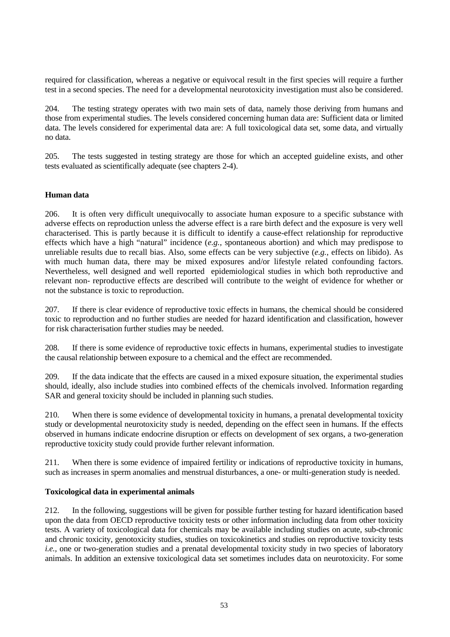required for classification, whereas a negative or equivocal result in the first species will require a further test in a second species. The need for a developmental neurotoxicity investigation must also be considered.

204. The testing strategy operates with two main sets of data, namely those deriving from humans and those from experimental studies. The levels considered concerning human data are: Sufficient data or limited data. The levels considered for experimental data are: A full toxicological data set, some data, and virtually no data.

205. The tests suggested in testing strategy are those for which an accepted guideline exists, and other tests evaluated as scientifically adequate (see chapters 2-4).

#### **Human data**

206. It is often very difficult unequivocally to associate human exposure to a specific substance with adverse effects on reproduction unless the adverse effect is a rare birth defect and the exposure is very well characterised. This is partly because it is difficult to identify a cause-effect relationship for reproductive effects which have a high "natural" incidence (*e.g.,* spontaneous abortion) and which may predispose to unreliable results due to recall bias. Also, some effects can be very subjective (*e.g.*, effects on libido). As with much human data, there may be mixed exposures and/or lifestyle related confounding factors. Nevertheless, well designed and well reported epidemiological studies in which both reproductive and relevant non- reproductive effects are described will contribute to the weight of evidence for whether or not the substance is toxic to reproduction.

207. If there is clear evidence of reproductive toxic effects in humans, the chemical should be considered toxic to reproduction and no further studies are needed for hazard identification and classification, however for risk characterisation further studies may be needed.

208. If there is some evidence of reproductive toxic effects in humans, experimental studies to investigate the causal relationship between exposure to a chemical and the effect are recommended.

209. If the data indicate that the effects are caused in a mixed exposure situation, the experimental studies should, ideally, also include studies into combined effects of the chemicals involved. Information regarding SAR and general toxicity should be included in planning such studies.

210. When there is some evidence of developmental toxicity in humans, a prenatal developmental toxicity study or developmental neurotoxicity study is needed, depending on the effect seen in humans. If the effects observed in humans indicate endocrine disruption or effects on development of sex organs, a two-generation reproductive toxicity study could provide further relevant information.

211. When there is some evidence of impaired fertility or indications of reproductive toxicity in humans, such as increases in sperm anomalies and menstrual disturbances, a one- or multi-generation study is needed.

### **Toxicological data in experimental animals**

212. In the following, suggestions will be given for possible further testing for hazard identification based upon the data from OECD reproductive toxicity tests or other information including data from other toxicity tests. A variety of toxicological data for chemicals may be available including studies on acute, sub-chronic and chronic toxicity, genotoxicity studies, studies on toxicokinetics and studies on reproductive toxicity tests *i.e.*, one or two-generation studies and a prenatal developmental toxicity study in two species of laboratory animals. In addition an extensive toxicological data set sometimes includes data on neurotoxicity. For some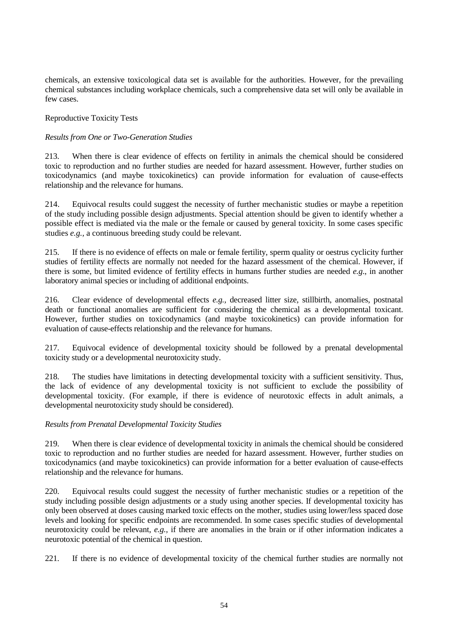chemicals, an extensive toxicological data set is available for the authorities. However, for the prevailing chemical substances including workplace chemicals, such a comprehensive data set will only be available in few cases.

## Reproductive Toxicity Tests

## *Results from One or Two-Generation Studies*

213. When there is clear evidence of effects on fertility in animals the chemical should be considered toxic to reproduction and no further studies are needed for hazard assessment. However, further studies on toxicodynamics (and maybe toxicokinetics) can provide information for evaluation of cause-effects relationship and the relevance for humans.

214. Equivocal results could suggest the necessity of further mechanistic studies or maybe a repetition of the study including possible design adjustments. Special attention should be given to identify whether a possible effect is mediated via the male or the female or caused by general toxicity. In some cases specific studies *e.g.,* a continuous breeding study could be relevant.

215. If there is no evidence of effects on male or female fertility, sperm quality or oestrus cyclicity further studies of fertility effects are normally not needed for the hazard assessment of the chemical. However, if there is some, but limited evidence of fertility effects in humans further studies are needed *e.g*., in another laboratory animal species or including of additional endpoints.

216. Clear evidence of developmental effects *e.g.,* decreased litter size, stillbirth, anomalies, postnatal death or functional anomalies are sufficient for considering the chemical as a developmental toxicant. However, further studies on toxicodynamics (and maybe toxicokinetics) can provide information for evaluation of cause-effects relationship and the relevance for humans.

217. Equivocal evidence of developmental toxicity should be followed by a prenatal developmental toxicity study or a developmental neurotoxicity study.

218. The studies have limitations in detecting developmental toxicity with a sufficient sensitivity. Thus, the lack of evidence of any developmental toxicity is not sufficient to exclude the possibility of developmental toxicity. (For example, if there is evidence of neurotoxic effects in adult animals, a developmental neurotoxicity study should be considered).

## *Results from Prenatal Developmental Toxicity Studies*

219. When there is clear evidence of developmental toxicity in animals the chemical should be considered toxic to reproduction and no further studies are needed for hazard assessment. However, further studies on toxicodynamics (and maybe toxicokinetics) can provide information for a better evaluation of cause-effects relationship and the relevance for humans.

220. Equivocal results could suggest the necessity of further mechanistic studies or a repetition of the study including possible design adjustments or a study using another species. If developmental toxicity has only been observed at doses causing marked toxic effects on the mother, studies using lower/less spaced dose levels and looking for specific endpoints are recommended. In some cases specific studies of developmental neurotoxicity could be relevant, *e.g.,* if there are anomalies in the brain or if other information indicates a neurotoxic potential of the chemical in question.

221. If there is no evidence of developmental toxicity of the chemical further studies are normally not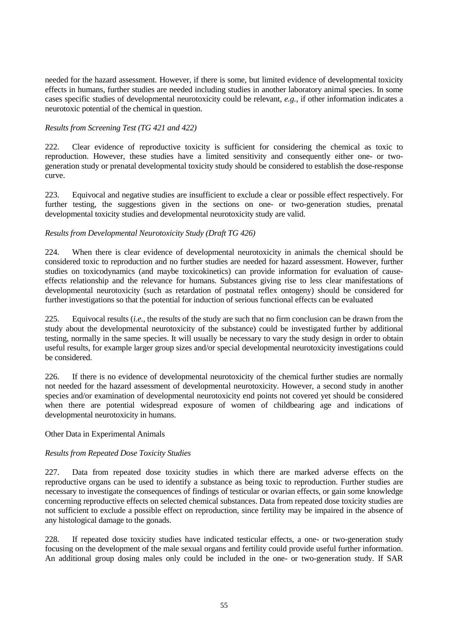needed for the hazard assessment. However, if there is some, but limited evidence of developmental toxicity effects in humans, further studies are needed including studies in another laboratory animal species. In some cases specific studies of developmental neurotoxicity could be relevant, *e.g.,* if other information indicates a neurotoxic potential of the chemical in question.

## *Results from Screening Test (TG 421 and 422)*

222. Clear evidence of reproductive toxicity is sufficient for considering the chemical as toxic to reproduction. However, these studies have a limited sensitivity and consequently either one- or twogeneration study or prenatal developmental toxicity study should be considered to establish the dose-response curve.

223. Equivocal and negative studies are insufficient to exclude a clear or possible effect respectively. For further testing, the suggestions given in the sections on one- or two-generation studies, prenatal developmental toxicity studies and developmental neurotoxicity study are valid.

## *Results from Developmental Neurotoxicity Study (Draft TG 426)*

224. When there is clear evidence of developmental neurotoxicity in animals the chemical should be considered toxic to reproduction and no further studies are needed for hazard assessment. However, further studies on toxicodynamics (and maybe toxicokinetics) can provide information for evaluation of causeeffects relationship and the relevance for humans. Substances giving rise to less clear manifestations of developmental neurotoxicity (such as retardation of postnatal reflex ontogeny) should be considered for further investigations so that the potential for induction of serious functional effects can be evaluated

225. Equivocal results (*i.e.,* the results of the study are such that no firm conclusion can be drawn from the study about the developmental neurotoxicity of the substance) could be investigated further by additional testing, normally in the same species. It will usually be necessary to vary the study design in order to obtain useful results, for example larger group sizes and/or special developmental neurotoxicity investigations could be considered.

226. If there is no evidence of developmental neurotoxicity of the chemical further studies are normally not needed for the hazard assessment of developmental neurotoxicity. However, a second study in another species and/or examination of developmental neurotoxicity end points not covered yet should be considered when there are potential widespread exposure of women of childbearing age and indications of developmental neurotoxicity in humans.

## Other Data in Experimental Animals

## *Results from Repeated Dose Toxicity Studies*

227. Data from repeated dose toxicity studies in which there are marked adverse effects on the reproductive organs can be used to identify a substance as being toxic to reproduction. Further studies are necessary to investigate the consequences of findings of testicular or ovarian effects, or gain some knowledge concerning reproductive effects on selected chemical substances. Data from repeated dose toxicity studies are not sufficient to exclude a possible effect on reproduction, since fertility may be impaired in the absence of any histological damage to the gonads.

228. If repeated dose toxicity studies have indicated testicular effects, a one- or two-generation study focusing on the development of the male sexual organs and fertility could provide useful further information. An additional group dosing males only could be included in the one- or two-generation study. If SAR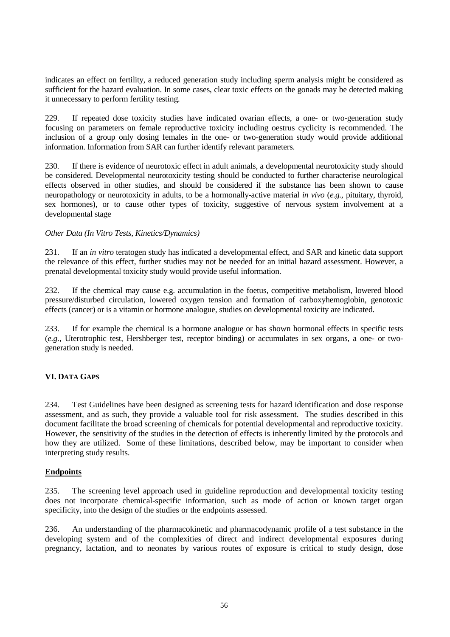indicates an effect on fertility, a reduced generation study including sperm analysis might be considered as sufficient for the hazard evaluation. In some cases, clear toxic effects on the gonads may be detected making it unnecessary to perform fertility testing.

229. If repeated dose toxicity studies have indicated ovarian effects, a one- or two-generation study focusing on parameters on female reproductive toxicity including oestrus cyclicity is recommended. The inclusion of a group only dosing females in the one- or two-generation study would provide additional information. Information from SAR can further identify relevant parameters.

230. If there is evidence of neurotoxic effect in adult animals, a developmental neurotoxicity study should be considered. Developmental neurotoxicity testing should be conducted to further characterise neurological effects observed in other studies, and should be considered if the substance has been shown to cause neuropathology or neurotoxicity in adults, to be a hormonally-active material *in vivo* (*e.g.,* pituitary, thyroid, sex hormones), or to cause other types of toxicity, suggestive of nervous system involvement at a developmental stage

## *Other Data (In Vitro Tests, Kinetics/Dynamics)*

231. If an *in vitro* teratogen study has indicated a developmental effect, and SAR and kinetic data support the relevance of this effect, further studies may not be needed for an initial hazard assessment. However, a prenatal developmental toxicity study would provide useful information.

232. If the chemical may cause e.g. accumulation in the foetus, competitive metabolism, lowered blood pressure/disturbed circulation, lowered oxygen tension and formation of carboxyhemoglobin, genotoxic effects (cancer) or is a vitamin or hormone analogue, studies on developmental toxicity are indicated.

233. If for example the chemical is a hormone analogue or has shown hormonal effects in specific tests (*e.g.,* Uterotrophic test, Hershberger test, receptor binding) or accumulates in sex organs, a one- or twogeneration study is needed.

## **VI. DATA GAPS**

234. Test Guidelines have been designed as screening tests for hazard identification and dose response assessment, and as such, they provide a valuable tool for risk assessment. The studies described in this document facilitate the broad screening of chemicals for potential developmental and reproductive toxicity. However, the sensitivity of the studies in the detection of effects is inherently limited by the protocols and how they are utilized. Some of these limitations, described below, may be important to consider when interpreting study results.

## **Endpoints**

235. The screening level approach used in guideline reproduction and developmental toxicity testing does not incorporate chemical-specific information, such as mode of action or known target organ specificity, into the design of the studies or the endpoints assessed.

236. An understanding of the pharmacokinetic and pharmacodynamic profile of a test substance in the developing system and of the complexities of direct and indirect developmental exposures during pregnancy, lactation, and to neonates by various routes of exposure is critical to study design, dose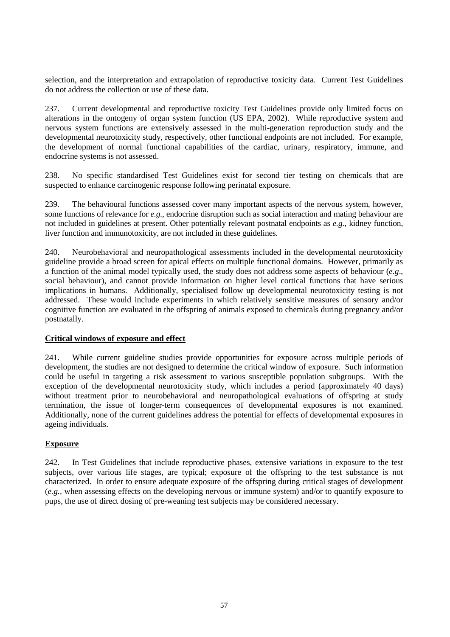selection, and the interpretation and extrapolation of reproductive toxicity data. Current Test Guidelines do not address the collection or use of these data.

237. Current developmental and reproductive toxicity Test Guidelines provide only limited focus on alterations in the ontogeny of organ system function (US EPA, 2002). While reproductive system and nervous system functions are extensively assessed in the multi-generation reproduction study and the developmental neurotoxicity study, respectively, other functional endpoints are not included. For example, the development of normal functional capabilities of the cardiac, urinary, respiratory, immune, and endocrine systems is not assessed.

238. No specific standardised Test Guidelines exist for second tier testing on chemicals that are suspected to enhance carcinogenic response following perinatal exposure.

239. The behavioural functions assessed cover many important aspects of the nervous system, however, some functions of relevance for *e.g.,* endocrine disruption such as social interaction and mating behaviour are not included in guidelines at present. Other potentially relevant postnatal endpoints as *e.g.,* kidney function, liver function and immunotoxicity, are not included in these guidelines.

240. Neurobehavioral and neuropathological assessments included in the developmental neurotoxicity guideline provide a broad screen for apical effects on multiple functional domains. However, primarily as a function of the animal model typically used, the study does not address some aspects of behaviour (*e.g*., social behaviour), and cannot provide information on higher level cortical functions that have serious implications in humans. Additionally, specialised follow up developmental neurotoxicity testing is not addressed. These would include experiments in which relatively sensitive measures of sensory and/or cognitive function are evaluated in the offspring of animals exposed to chemicals during pregnancy and/or postnatally.

## **Critical windows of exposure and effect**

241. While current guideline studies provide opportunities for exposure across multiple periods of development, the studies are not designed to determine the critical window of exposure. Such information could be useful in targeting a risk assessment to various susceptible population subgroups. With the exception of the developmental neurotoxicity study, which includes a period (approximately 40 days) without treatment prior to neurobehavioral and neuropathological evaluations of offspring at study termination, the issue of longer-term consequences of developmental exposures is not examined. Additionally, none of the current guidelines address the potential for effects of developmental exposures in ageing individuals.

## **Exposure**

242. In Test Guidelines that include reproductive phases, extensive variations in exposure to the test subjects, over various life stages, are typical; exposure of the offspring to the test substance is not characterized. In order to ensure adequate exposure of the offspring during critical stages of development (*e.g.,* when assessing effects on the developing nervous or immune system) and/or to quantify exposure to pups, the use of direct dosing of pre-weaning test subjects may be considered necessary.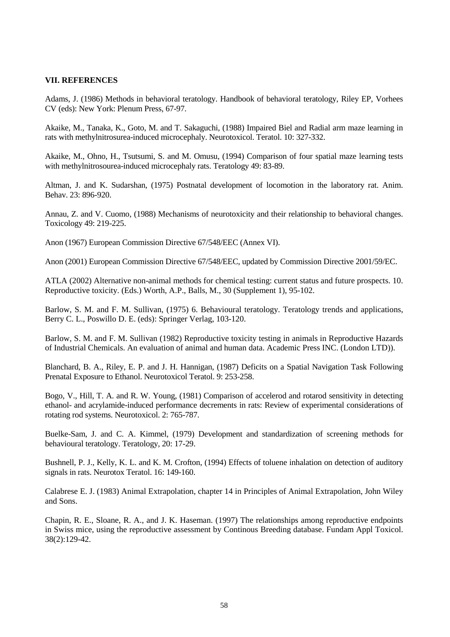### **VII. REFERENCES**

Adams, J. (1986) Methods in behavioral teratology. Handbook of behavioral teratology, Riley EP, Vorhees CV (eds): New York: Plenum Press, 67-97.

Akaike, M., Tanaka, K., Goto, M. and T. Sakaguchi, (1988) Impaired Biel and Radial arm maze learning in rats with methylnitrosurea-induced microcephaly. Neurotoxicol. Teratol. 10: 327-332.

Akaike, M., Ohno, H., Tsutsumi, S. and M. Omusu, (1994) Comparison of four spatial maze learning tests with methylnitrosourea-induced microcephaly rats. Teratology 49: 83-89.

Altman, J. and K. Sudarshan, (1975) Postnatal development of locomotion in the laboratory rat. Anim. Behav. 23: 896-920.

Annau, Z. and V. Cuomo, (1988) Mechanisms of neurotoxicity and their relationship to behavioral changes. Toxicology 49: 219-225.

Anon (1967) European Commission Directive 67/548/EEC (Annex VI).

Anon (2001) European Commission Directive 67/548/EEC, updated by Commission Directive 2001/59/EC.

ATLA (2002) Alternative non-animal methods for chemical testing: current status and future prospects. 10. Reproductive toxicity. (Eds.) Worth, A.P., Balls, M., 30 (Supplement 1), 95-102.

Barlow, S. M. and F. M. Sullivan, (1975) 6. Behavioural teratology. Teratology trends and applications, Berry C. L., Poswillo D. E. (eds): Springer Verlag, 103-120.

Barlow, S. M. and F. M. Sullivan (1982) Reproductive toxicity testing in animals in Reproductive Hazards of Industrial Chemicals. An evaluation of animal and human data. Academic Press INC. (London LTD)).

Blanchard, B. A., Riley, E. P. and J. H. Hannigan, (1987) Deficits on a Spatial Navigation Task Following Prenatal Exposure to Ethanol. Neurotoxicol Teratol. 9: 253-258.

Bogo, V., Hill, T. A. and R. W. Young, (1981) Comparison of accelerod and rotarod sensitivity in detecting ethanol- and acrylamide-induced performance decrements in rats: Review of experimental considerations of rotating rod systems. Neurotoxicol. 2: 765-787.

Buelke-Sam, J. and C. A. Kimmel, (1979) Development and standardization of screening methods for behavioural teratology. Teratology, 20: 17-29.

Bushnell, P. J., Kelly, K. L. and K. M. Crofton, (1994) Effects of toluene inhalation on detection of auditory signals in rats. Neurotox Teratol. 16: 149-160.

Calabrese E. J. (1983) Animal Extrapolation, chapter 14 in Principles of Animal Extrapolation, John Wiley and Sons.

Chapin, R. E., Sloane, R. A., and J. K. Haseman. (1997) The relationships among reproductive endpoints in Swiss mice, using the reproductive assessment by Continous Breeding database. Fundam Appl Toxicol. 38(2):129-42.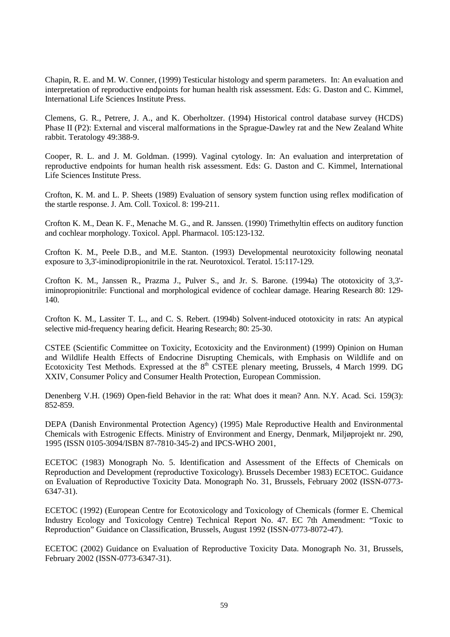Chapin, R. E. and M. W. Conner, (1999) Testicular histology and sperm parameters. In: An evaluation and interpretation of reproductive endpoints for human health risk assessment. Eds: G. Daston and C. Kimmel, International Life Sciences Institute Press.

Clemens, G. R., Petrere, J. A., and K. Oberholtzer. (1994) Historical control database survey (HCDS) Phase II (P2): External and visceral malformations in the Sprague-Dawley rat and the New Zealand White rabbit. Teratology 49:388-9.

Cooper, R. L. and J. M. Goldman. (1999). Vaginal cytology. In: An evaluation and interpretation of reproductive endpoints for human health risk assessment. Eds: G. Daston and C. Kimmel, International Life Sciences Institute Press.

Crofton, K. M. and L. P. Sheets (1989) Evaluation of sensory system function using reflex modification of the startle response. J. Am. Coll. Toxicol. 8: 199-211.

Crofton K. M., Dean K. F., Menache M. G., and R. Janssen. (1990) Trimethyltin effects on auditory function and cochlear morphology. Toxicol. Appl. Pharmacol. 105:123-132.

Crofton K. M., Peele D.B., and M.E. Stanton. (1993) Developmental neurotoxicity following neonatal exposure to 3,3'-iminodipropionitrile in the rat. Neurotoxicol. Teratol. 15:117-129.

Crofton K. M., Janssen R., Prazma J., Pulver S., and Jr. S. Barone. (1994a) The ototoxicity of 3,3' iminopropionitrile: Functional and morphological evidence of cochlear damage. Hearing Research 80: 129- 140.

Crofton K. M., Lassiter T. L., and C. S. Rebert. (1994b) Solvent-induced ototoxicity in rats: An atypical selective mid-frequency hearing deficit. Hearing Research; 80: 25-30.

CSTEE (Scientific Committee on Toxicity, Ecotoxicity and the Environment) (1999) Opinion on Human and Wildlife Health Effects of Endocrine Disrupting Chemicals, with Emphasis on Wildlife and on Ecotoxicity Test Methods. Expressed at the  $8<sup>th</sup>$  CSTEE plenary meeting, Brussels, 4 March 1999. DG XXIV, Consumer Policy and Consumer Health Protection, European Commission.

Denenberg V.H. (1969) Open-field Behavior in the rat: What does it mean? Ann. N.Y. Acad. Sci. 159(3): 852-859.

DEPA (Danish Environmental Protection Agency) (1995) Male Reproductive Health and Environmental Chemicals with Estrogenic Effects. Ministry of Environment and Energy, Denmark, Miljøprojekt nr. 290, 1995 (ISSN 0105-3094/ISBN 87-7810-345-2) and IPCS-WHO 2001,

ECETOC (1983) Monograph No. 5. Identification and Assessment of the Effects of Chemicals on Reproduction and Development (reproductive Toxicology). Brussels December 1983) ECETOC. Guidance on Evaluation of Reproductive Toxicity Data. Monograph No. 31, Brussels, February 2002 (ISSN-0773- 6347-31).

ECETOC (1992) (European Centre for Ecotoxicology and Toxicology of Chemicals (former E. Chemical Industry Ecology and Toxicology Centre) Technical Report No. 47. EC 7th Amendment: "Toxic to Reproduction" Guidance on Classification, Brussels, August 1992 (ISSN-0773-8072-47).

ECETOC (2002) Guidance on Evaluation of Reproductive Toxicity Data. Monograph No. 31, Brussels, February 2002 (ISSN-0773-6347-31).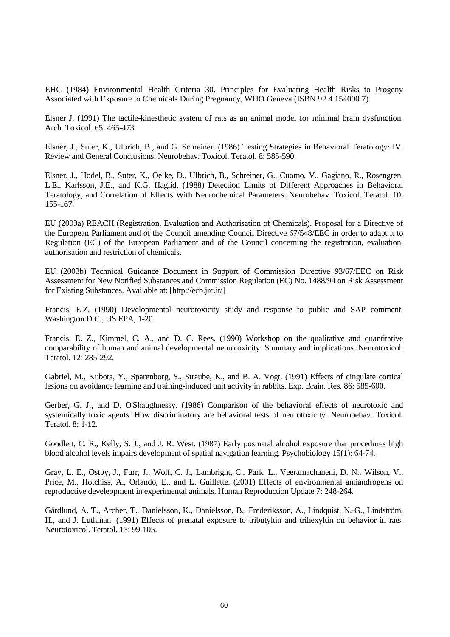EHC (1984) Environmental Health Criteria 30. Principles for Evaluating Health Risks to Progeny Associated with Exposure to Chemicals During Pregnancy, WHO Geneva (ISBN 92 4 154090 7).

Elsner J. (1991) The tactile-kinesthetic system of rats as an animal model for minimal brain dysfunction. Arch. Toxicol. 65: 465-473.

Elsner, J., Suter, K., Ulbrich, B., and G. Schreiner. (1986) Testing Strategies in Behavioral Teratology: IV. Review and General Conclusions. Neurobehav. Toxicol. Teratol. 8: 585-590.

Elsner, J., Hodel, B., Suter, K., Oelke, D., Ulbrich, B., Schreiner, G., Cuomo, V., Gagiano, R., Rosengren, L.E., Karlsson, J.E., and K.G. Haglid. (1988) Detection Limits of Different Approaches in Behavioral Teratology, and Correlation of Effects With Neurochemical Parameters. Neurobehav. Toxicol. Teratol. 10: 155-167.

EU (2003a) REACH (Registration, Evaluation and Authorisation of Chemicals). Proposal for a Directive of the European Parliament and of the Council amending Council Directive 67/548/EEC in order to adapt it to Regulation (EC) of the European Parliament and of the Council concerning the registration, evaluation, authorisation and restriction of chemicals.

EU (2003b) Technical Guidance Document in Support of Commission Directive 93/67/EEC on Risk Assessment for New Notified Substances and Commission Regulation (EC) No. 1488/94 on Risk Assessment for Existing Substances. Available at: [http://ecb.jrc.it/]

Francis, E.Z. (1990) Developmental neurotoxicity study and response to public and SAP comment, Washington D.C., US EPA, 1-20.

Francis, E. Z., Kimmel, C. A., and D. C. Rees. (1990) Workshop on the qualitative and quantitative comparability of human and animal developmental neurotoxicity: Summary and implications. Neurotoxicol. Teratol. 12: 285-292.

Gabriel, M., Kubota, Y., Sparenborg, S., Straube, K., and B. A. Vogt. (1991) Effects of cingulate cortical lesions on avoidance learning and training-induced unit activity in rabbits. Exp. Brain. Res. 86: 585-600.

Gerber, G. J., and D. O'Shaughnessy. (1986) Comparison of the behavioral effects of neurotoxic and systemically toxic agents: How discriminatory are behavioral tests of neurotoxicity. Neurobehav. Toxicol. Teratol. 8: 1-12.

Goodlett, C. R., Kelly, S. J., and J. R. West. (1987) Early postnatal alcohol exposure that procedures high blood alcohol levels impairs development of spatial navigation learning. Psychobiology 15(1): 64-74.

Gray, L. E., Ostby, J., Furr, J., Wolf, C. J., Lambright, C., Park, L., Veeramachaneni, D. N., Wilson, V., Price, M., Hotchiss, A., Orlando, E., and L. Guillette. (2001) Effects of environmental antiandrogens on reproductive develeopment in experimental animals. Human Reproduction Update 7: 248-264.

Gårdlund, A. T., Archer, T., Danielsson, K., Danielsson, B., Frederiksson, A., Lindquist, N.-G., Lindström, H., and J. Luthman. (1991) Effects of prenatal exposure to tributyltin and trihexyltin on behavior in rats. Neurotoxicol. Teratol. 13: 99-105.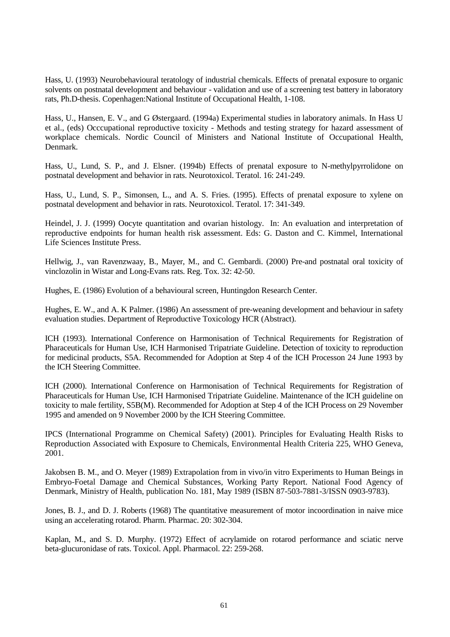Hass, U. (1993) Neurobehavioural teratology of industrial chemicals. Effects of prenatal exposure to organic solvents on postnatal development and behaviour - validation and use of a screening test battery in laboratory rats, Ph.D-thesis. Copenhagen:National Institute of Occupational Health, 1-108.

Hass, U., Hansen, E. V., and G Østergaard. (1994a) Experimental studies in laboratory animals. In Hass U et al., (eds) Occcupational reproductive toxicity - Methods and testing strategy for hazard assessment of workplace chemicals. Nordic Council of Ministers and National Institute of Occupational Health, Denmark.

Hass, U., Lund, S. P., and J. Elsner. (1994b) Effects of prenatal exposure to N-methylpyrrolidone on postnatal development and behavior in rats. Neurotoxicol. Teratol. 16: 241-249.

Hass, U., Lund, S. P., Simonsen, L., and A. S. Fries. (1995). Effects of prenatal exposure to xylene on postnatal development and behavior in rats. Neurotoxicol. Teratol. 17: 341-349.

Heindel, J. J. (1999) Oocyte quantitation and ovarian histology. In: An evaluation and interpretation of reproductive endpoints for human health risk assessment. Eds: G. Daston and C. Kimmel, International Life Sciences Institute Press.

Hellwig, J., van Ravenzwaay, B., Mayer, M., and C. Gembardi. (2000) Pre-and postnatal oral toxicity of vinclozolin in Wistar and Long-Evans rats. Reg. Tox. 32: 42-50.

Hughes, E. (1986) Evolution of a behavioural screen, Huntingdon Research Center.

Hughes, E. W., and A. K Palmer. (1986) An assessment of pre-weaning development and behaviour in safety evaluation studies. Department of Reproductive Toxicology HCR (Abstract).

ICH (1993). International Conference on Harmonisation of Technical Requirements for Registration of Pharaceuticals for Human Use, ICH Harmonised Tripatriate Guideline. Detection of toxicity to reproduction for medicinal products, S5A. Recommended for Adoption at Step 4 of the ICH Processon 24 June 1993 by the ICH Steering Committee.

ICH (2000). International Conference on Harmonisation of Technical Requirements for Registration of Pharaceuticals for Human Use, ICH Harmonised Tripatriate Guideline. Maintenance of the ICH guideline on toxicity to male fertility, S5B(M). Recommended for Adoption at Step 4 of the ICH Process on 29 November 1995 and amended on 9 November 2000 by the ICH Steering Committee.

IPCS (International Programme on Chemical Safety) (2001). Principles for Evaluating Health Risks to Reproduction Associated with Exposure to Chemicals, Environmental Health Criteria 225, WHO Geneva, 2001.

Jakobsen B. M., and O. Meyer (1989) Extrapolation from in vivo/in vitro Experiments to Human Beings in Embryo-Foetal Damage and Chemical Substances, Working Party Report. National Food Agency of Denmark, Ministry of Health, publication No. 181, May 1989 (ISBN 87-503-7881-3/ISSN 0903-9783).

Jones, B. J., and D. J. Roberts (1968) The quantitative measurement of motor incoordination in naive mice using an accelerating rotarod. Pharm. Pharmac. 20: 302-304.

Kaplan, M., and S. D. Murphy. (1972) Effect of acrylamide on rotarod performance and sciatic nerve beta-glucuronidase of rats. Toxicol. Appl. Pharmacol. 22: 259-268.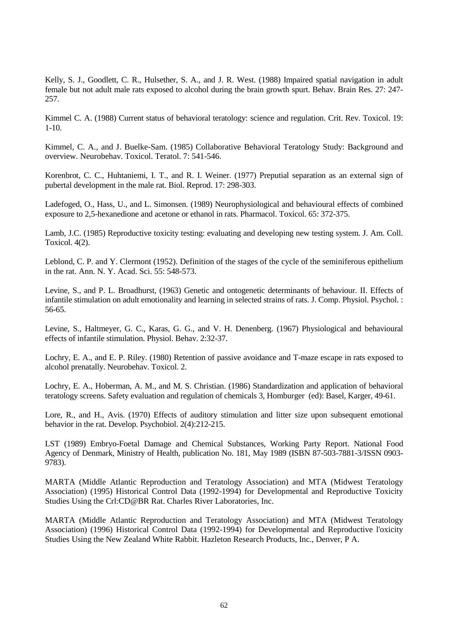Kelly, S. J., Goodlett, C. R., Hulsether, S. A., and J. R. West. (1988) Impaired spatial navigation in adult female but not adult male rats exposed to alcohol during the brain growth spurt. Behav. Brain Res. 27: 247- 257.

Kimmel C. A. (1988) Current status of behavioral teratology: science and regulation. Crit. Rev. Toxicol. 19: 1-10.

Kimmel, C. A., and J. Buelke-Sam. (1985) Collaborative Behavioral Teratology Study: Background and overview. Neurobehav. Toxicol. Teratol. 7: 541-546.

Korenbrot, C. C., Huhtaniemi, I. T., and R. I. Weiner. (1977) Preputial separation as an external sign of pubertal development in the male rat. Biol. Reprod. 17: 298-303.

Ladefoged, O., Hass, U., and L. Simonsen. (1989) Neurophysiological and behavioural effects of combined exposure to 2,5-hexanedione and acetone or ethanol in rats. Pharmacol. Toxicol. 65: 372-375.

Lamb, J.C. (1985) Reproductive toxicity testing: evaluating and developing new testing system. J. Am. Coll. Toxicol. 4(2).

Leblond, C. P. and Y. Clermont (1952). Definition of the stages of the cycle of the seminiferous epithelium in the rat. Ann. N. Y. Acad. Sci. 55: 548-573.

Levine, S., and P. L. Broadhurst, (1963) Genetic and ontogenetic determinants of behaviour. II. Effects of infantile stimulation on adult emotionality and learning in selected strains of rats. J. Comp. Physiol. Psychol. : 56-65.

Levine, S., Haltmeyer, G. C., Karas, G. G., and V. H. Denenberg. (1967) Physiological and behavioural effects of infantile stimulation. Physiol. Behav. 2:32-37.

Lochry, E. A., and E. P. Riley. (1980) Retention of passive avoidance and T-maze escape in rats exposed to alcohol prenatally. Neurobehav. Toxicol. 2.

Lochry, E. A., Hoberman, A. M., and M. S. Christian. (1986) Standardization and application of behavioral teratology screens. Safety evaluation and regulation of chemicals 3, Homburger (ed): Basel, Karger, 49-61.

Lore, R., and H., Avis. (1970) Effects of auditory stimulation and litter size upon subsequent emotional behavior in the rat. Develop. Psychobiol. 2(4):212-215.

LST (1989) Embryo-Foetal Damage and Chemical Substances, Working Party Report. National Food Agency of Denmark, Ministry of Health, publication No. 181, May 1989 (ISBN 87-503-7881-3/ISSN 0903- 9783).

MARTA (Middle Atlantic Reproduction and Teratology Association) and MTA (Midwest Teratology Association) (1995) Historical Control Data (1992-1994) for Developmental and Reproductive Toxicity Studies Using the Crl:CD@BR Rat. Charles River Laboratories, Inc.

MARTA (Middle Atlantic Reproduction and Teratology Association) and MTA (Midwest Teratology Association) (1996) Historical Control Data (1992-1994) for Developmental and Reproductive l'oxicity Studies Using the New Zealand White Rabbit. Hazleton Research Products, Inc., Denver, P A.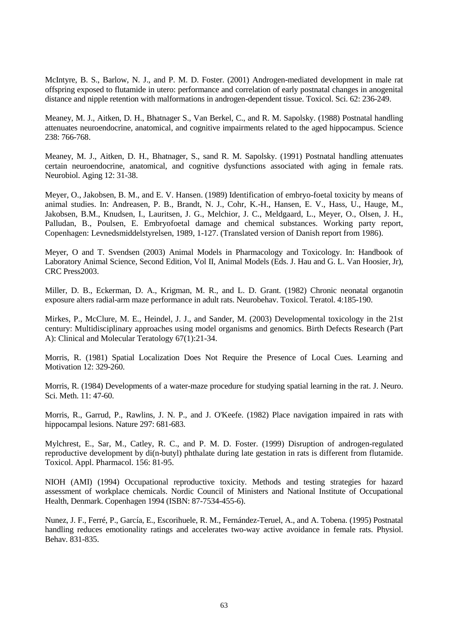McIntyre, B. S., Barlow, N. J., and P. M. D. Foster. (2001) Androgen-mediated development in male rat offspring exposed to flutamide in utero: performance and correlation of early postnatal changes in anogenital distance and nipple retention with malformations in androgen-dependent tissue. Toxicol. Sci. 62: 236-249.

Meaney, M. J., Aitken, D. H., Bhatnager S., Van Berkel, C., and R. M. Sapolsky. (1988) Postnatal handling attenuates neuroendocrine, anatomical, and cognitive impairments related to the aged hippocampus. Science 238: 766-768.

Meaney, M. J., Aitken, D. H., Bhatnager, S., sand R. M. Sapolsky. (1991) Postnatal handling attenuates certain neuroendocrine, anatomical, and cognitive dysfunctions associated with aging in female rats. Neurobiol. Aging 12: 31-38.

Meyer, O., Jakobsen, B. M., and E. V. Hansen. (1989) Identification of embryo-foetal toxicity by means of animal studies. In: Andreasen, P. B., Brandt, N. J., Cohr, K.-H., Hansen, E. V., Hass, U., Hauge, M., Jakobsen, B.M., Knudsen, I., Lauritsen, J. G., Melchior, J. C., Meldgaard, L., Meyer, O., Olsen, J. H., Palludan, B., Poulsen, E. Embryofoetal damage and chemical substances. Working party report, Copenhagen: Levnedsmiddelstyrelsen, 1989, 1-127. (Translated version of Danish report from 1986).

Meyer, O and T. Svendsen (2003) Animal Models in Pharmacology and Toxicology. In: Handbook of Laboratory Animal Science, Second Edition, Vol II, Animal Models (Eds. J. Hau and G. L. Van Hoosier, Jr), CRC Press2003.

Miller, D. B., Eckerman, D. A., Krigman, M. R., and L. D. Grant. (1982) Chronic neonatal organotin exposure alters radial-arm maze performance in adult rats. Neurobehav. Toxicol. Teratol. 4:185-190.

Mirkes, P., McClure, M. E., Heindel, J. J., and Sander, M. (2003) Developmental toxicology in the 21st century: Multidisciplinary approaches using model organisms and genomics. Birth Defects Research (Part A): Clinical and Molecular Teratology 67(1):21-34.

Morris, R. (1981) Spatial Localization Does Not Require the Presence of Local Cues. Learning and Motivation 12: 329-260.

Morris, R. (1984) Developments of a water-maze procedure for studying spatial learning in the rat. J. Neuro. Sci. Meth. 11: 47-60.

Morris, R., Garrud, P., Rawlins, J. N. P., and J. O'Keefe. (1982) Place navigation impaired in rats with hippocampal lesions. Nature 297: 681-683.

Mylchrest, E., Sar, M., Catley, R. C., and P. M. D. Foster. (1999) Disruption of androgen-regulated reproductive development by di(n-butyl) phthalate during late gestation in rats is different from flutamide. Toxicol. Appl. Pharmacol. 156: 81-95.

NIOH (AMI) (1994) Occupational reproductive toxicity. Methods and testing strategies for hazard assessment of workplace chemicals. Nordic Council of Ministers and National Institute of Occupational Health, Denmark. Copenhagen 1994 (ISBN: 87-7534-455-6).

Nunez, J. F., Ferré, P., García, E., Escorihuele, R. M., Fernández-Teruel, A., and A. Tobena. (1995) Postnatal handling reduces emotionality ratings and accelerates two-way active avoidance in female rats. Physiol. Behav. 831-835.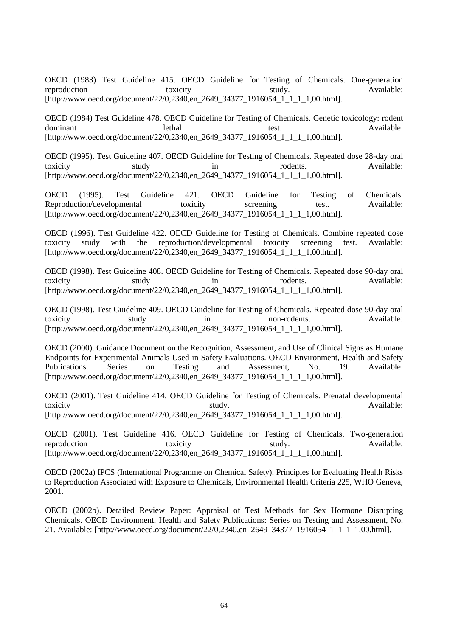OECD (1983) Test Guideline 415. OECD Guideline for Testing of Chemicals. One-generation reproduction toxicity toxicity study. Available: [http://www.oecd.org/document/22/0,2340,en\_2649\_34377\_1916054\_1\_1\_1\_1,00.html].

OECD (1984) Test Guideline 478. OECD Guideline for Testing of Chemicals. Genetic toxicology: rodent dominant lethal lethal test. Available: [http://www.oecd.org/document/22/0,2340,en\_2649\_34377\_1916054\_1\_1\_1\_1,00.html].

OECD (1995). Test Guideline 407. OECD Guideline for Testing of Chemicals. Repeated dose 28-day oral toxicity study in rodents. Available: [http://www.oecd.org/document/22/0,2340,en\_2649\_34377\_1916054\_1\_1\_1\_1,00.html].

OECD (1995). Test Guideline 421. OECD Guideline for Testing of Chemicals. Reproduction/developmental toxicity screening test. Available: [http://www.oecd.org/document/22/0,2340,en\_2649\_34377\_1916054\_1\_1\_1\_1,00.html].

OECD (1996). Test Guideline 422. OECD Guideline for Testing of Chemicals. Combine repeated dose toxicity study with the reproduction/developmental toxicity screening test. Available: [http://www.oecd.org/document/22/0,2340,en\_2649\_34377\_1916054\_1\_1\_1\_1,00.html].

OECD (1998). Test Guideline 408. OECD Guideline for Testing of Chemicals. Repeated dose 90-day oral toxicity study in rodents. Available: [http://www.oecd.org/document/22/0,2340,en\_2649\_34377\_1916054\_1\_1\_1\_1,00.html].

OECD (1998). Test Guideline 409. OECD Guideline for Testing of Chemicals. Repeated dose 90-day oral toxicity study in in non-rodents. Available: [http://www.oecd.org/document/22/0,2340,en\_2649\_34377\_1916054\_1\_1\_1\_1,00.html].

OECD (2000). Guidance Document on the Recognition, Assessment, and Use of Clinical Signs as Humane Endpoints for Experimental Animals Used in Safety Evaluations. OECD Environment, Health and Safety Publications: Series on Testing and Assessment, No. 19. Available: [http://www.oecd.org/document/22/0,2340,en\_2649\_34377\_1916054\_1\_1\_1\_1,00.html].

OECD (2001). Test Guideline 414. OECD Guideline for Testing of Chemicals. Prenatal developmental toxicity Available: Study. Available: [http://www.oecd.org/document/22/0,2340,en\_2649\_34377\_1916054\_1\_1\_1\_1,00.html].

OECD (2001). Test Guideline 416. OECD Guideline for Testing of Chemicals. Two-generation reproduction toxicity toxicity study. Available: [http://www.oecd.org/document/22/0,2340,en\_2649\_34377\_1916054\_1\_1\_1\_1,00.html].

OECD (2002a) IPCS (International Programme on Chemical Safety). Principles for Evaluating Health Risks to Reproduction Associated with Exposure to Chemicals, Environmental Health Criteria 225, WHO Geneva, 2001.

OECD (2002b). Detailed Review Paper: Appraisal of Test Methods for Sex Hormone Disrupting Chemicals. OECD Environment, Health and Safety Publications: Series on Testing and Assessment, No. 21. Available: [http://www.oecd.org/document/22/0,2340,en\_2649\_34377\_1916054\_1\_1\_1\_1,00.html].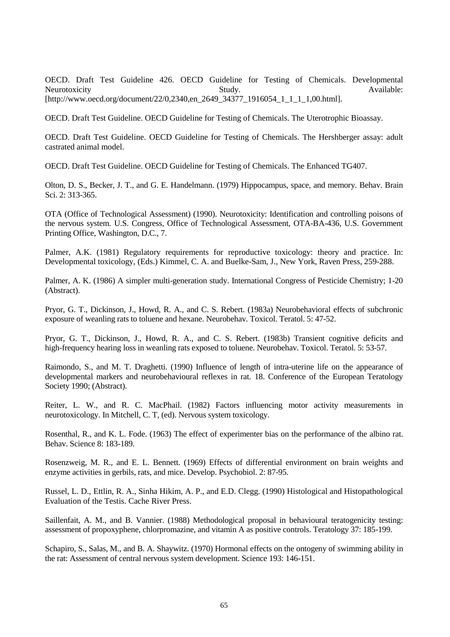OECD. Draft Test Guideline 426. OECD Guideline for Testing of Chemicals. Developmental Neurotoxicity **Study.** Study. Available: Available: [http://www.oecd.org/document/22/0,2340,en\_2649\_34377\_1916054\_1\_1\_1\_1,00.html].

OECD. Draft Test Guideline. OECD Guideline for Testing of Chemicals. The Uterotrophic Bioassay.

OECD. Draft Test Guideline. OECD Guideline for Testing of Chemicals. The Hershberger assay: adult castrated animal model.

OECD. Draft Test Guideline. OECD Guideline for Testing of Chemicals. The Enhanced TG407.

Olton, D. S., Becker, J. T., and G. E. Handelmann. (1979) Hippocampus, space, and memory. Behav. Brain Sci. 2: 313-365.

OTA (Office of Technological Assessment) (1990). Neurotoxicity: Identification and controlling poisons of the nervous system. U.S. Congress, Office of Technological Assessment, OTA-BA-436, U.S. Government Printing Office, Washington, D.C., 7.

Palmer, A.K. (1981) Regulatory requirements for reproductive toxicology: theory and practice. In: Developmental toxicology, (Eds.) Kimmel, C. A. and Buelke-Sam, J., New York, Raven Press, 259-288.

Palmer, A. K. (1986) A simpler multi-generation study. International Congress of Pesticide Chemistry; 1-20 (Abstract).

Pryor, G. T., Dickinson, J., Howd, R. A., and C. S. Rebert. (1983a) Neurobehavioral effects of subchronic exposure of weanling rats to toluene and hexane. Neurobehav. Toxicol. Teratol. 5: 47-52.

Pryor, G. T., Dickinson, J., Howd, R. A., and C. S. Rebert. (1983b) Transient cognitive deficits and high-frequency hearing loss in weanling rats exposed to toluene. Neurobehav. Toxicol. Teratol. 5: 53-57.

Raimondo, S., and M. T. Draghetti. (1990) Influence of length of intra-uterine life on the appearance of developmental markers and neurobehavioural reflexes in rat. 18. Conference of the European Teratology Society 1990; (Abstract).

Reiter, L. W., and R. C. MacPhail. (1982) Factors influencing motor activity measurements in neurotoxicology. In Mitchell, C. T, (ed). Nervous system toxicology.

Rosenthal, R., and K. L. Fode. (1963) The effect of experimenter bias on the performance of the albino rat. Behav. Science 8: 183-189.

Rosenzweig, M. R., and E. L. Bennett. (1969) Effects of differential environment on brain weights and enzyme activities in gerbils, rats, and mice. Develop. Psychobiol. 2: 87-95.

Russel, L. D., Ettlin, R. A., Sinha Hikim, A. P., and E.D. Clegg. (1990) Histological and Histopathological Evaluation of the Testis. Cache River Press.

Saillenfait, A. M., and B. Vannier. (1988) Methodological proposal in behavioural teratogenicity testing: assessment of propoxyphene, chlorpromazine, and vitamin A as positive controls. Teratology 37: 185-199.

Schapiro, S., Salas, M., and B. A. Shaywitz. (1970) Hormonal effects on the ontogeny of swimming ability in the rat: Assessment of central nervous system development. Science 193: 146-151.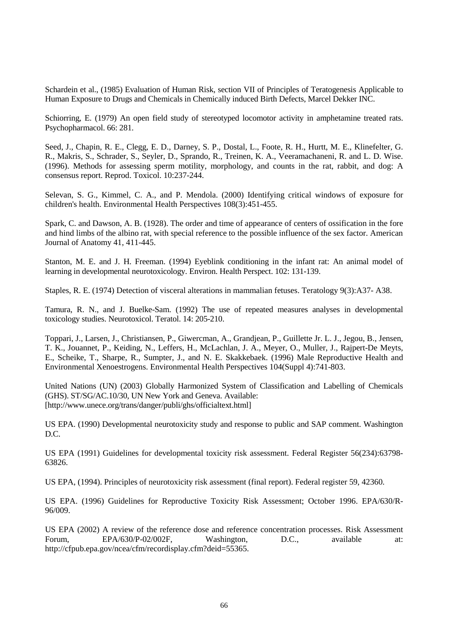Schardein et al., (1985) Evaluation of Human Risk, section VII of Principles of Teratogenesis Applicable to Human Exposure to Drugs and Chemicals in Chemically induced Birth Defects, Marcel Dekker INC.

Schiorring, E. (1979) An open field study of stereotyped locomotor activity in amphetamine treated rats. Psychopharmacol. 66: 281.

Seed, J., Chapin, R. E., Clegg, E. D., Darney, S. P., Dostal, L., Foote, R. H., Hurtt, M. E., Klinefelter, G. R., Makris, S., Schrader, S., Seyler, D., Sprando, R., Treinen, K. A., Veeramachaneni, R. and L. D. Wise. (1996). Methods for assessing sperm motility, morphology, and counts in the rat, rabbit, and dog: A consensus report. Reprod. Toxicol. 10:237-244.

Selevan, S. G., Kimmel, C. A., and P. Mendola. (2000) Identifying critical windows of exposure for children's health. Environmental Health Perspectives 108(3):451-455.

Spark, C. and Dawson, A. B. (1928). The order and time of appearance of centers of ossification in the fore and hind limbs of the albino rat, with special reference to the possible influence of the sex factor. American Journal of Anatomy 41, 411-445.

Stanton, M. E. and J. H. Freeman. (1994) Eyeblink conditioning in the infant rat: An animal model of learning in developmental neurotoxicology. Environ. Health Perspect. 102: 131-139.

Staples, R. E. (1974) Detection of visceral alterations in mammalian fetuses. Teratology 9(3):A37- A38.

Tamura, R. N., and J. Buelke-Sam. (1992) The use of repeated measures analyses in developmental toxicology studies. Neurotoxicol. Teratol. 14: 205-210.

Toppari, J., Larsen, J., Christiansen, P., Giwercman, A., Grandjean, P., Guillette Jr. L. J., Jegou, B., Jensen, T. K., Jouannet, P., Keiding, N., Leffers, H., McLachlan, J. A., Meyer, O., Muller, J., Rajpert-De Meyts, E., Scheike, T., Sharpe, R., Sumpter, J., and N. E. Skakkebaek. (1996) Male Reproductive Health and Environmental Xenoestrogens. Environmental Health Perspectives 104(Suppl 4):741-803.

United Nations (UN) (2003) Globally Harmonized System of Classification and Labelling of Chemicals (GHS). ST/SG/AC.10/30, UN New York and Geneva. Available: [http://www.unece.org/trans/danger/publi/ghs/officialtext.html]

US EPA. (1990) Developmental neurotoxicity study and response to public and SAP comment. Washington D.C.

US EPA (1991) Guidelines for developmental toxicity risk assessment. Federal Register 56(234):63798- 63826.

US EPA, (1994). Principles of neurotoxicity risk assessment (final report). Federal register 59, 42360.

US EPA. (1996) Guidelines for Reproductive Toxicity Risk Assessment; October 1996. EPA/630/R-96/009.

US EPA (2002) A review of the reference dose and reference concentration processes. Risk Assessment Forum, EPA/630/P-02/002F, Washington, D.C., available at: http://cfpub.epa.gov/ncea/cfm/recordisplay.cfm?deid=55365.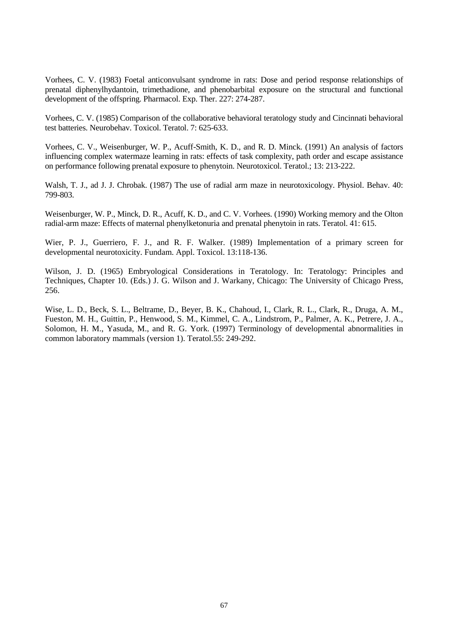Vorhees, C. V. (1983) Foetal anticonvulsant syndrome in rats: Dose and period response relationships of prenatal diphenylhydantoin, trimethadione, and phenobarbital exposure on the structural and functional development of the offspring. Pharmacol. Exp. Ther. 227: 274-287.

Vorhees, C. V. (1985) Comparison of the collaborative behavioral teratology study and Cincinnati behavioral test batteries. Neurobehav. Toxicol. Teratol. 7: 625-633.

Vorhees, C. V., Weisenburger, W. P., Acuff-Smith, K. D., and R. D. Minck. (1991) An analysis of factors influencing complex watermaze learning in rats: effects of task complexity, path order and escape assistance on performance following prenatal exposure to phenytoin. Neurotoxicol. Teratol.; 13: 213-222.

Walsh, T. J., ad J. J. Chrobak. (1987) The use of radial arm maze in neurotoxicology. Physiol. Behav. 40: 799-803.

Weisenburger, W. P., Minck, D. R., Acuff, K. D., and C. V. Vorhees. (1990) Working memory and the Olton radial-arm maze: Effects of maternal phenylketonuria and prenatal phenytoin in rats. Teratol. 41: 615.

Wier, P. J., Guerriero, F. J., and R. F. Walker. (1989) Implementation of a primary screen for developmental neurotoxicity. Fundam. Appl. Toxicol. 13:118-136.

Wilson, J. D. (1965) Embryological Considerations in Teratology. In: Teratology: Principles and Techniques, Chapter 10. (Eds.) J. G. Wilson and J. Warkany, Chicago: The University of Chicago Press, 256.

Wise, L. D., Beck, S. L., Beltrame, D., Beyer, B. K., Chahoud, I., Clark, R. L., Clark, R., Druga, A. M., Fueston, M. H., Guittin, P., Henwood, S. M., Kimmel, C. A., Lindstrom, P., Palmer, A. K., Petrere, J. A., Solomon, H. M., Yasuda, M., and R. G. York. (1997) Terminology of developmental abnormalities in common laboratory mammals (version 1). Teratol.55: 249-292.